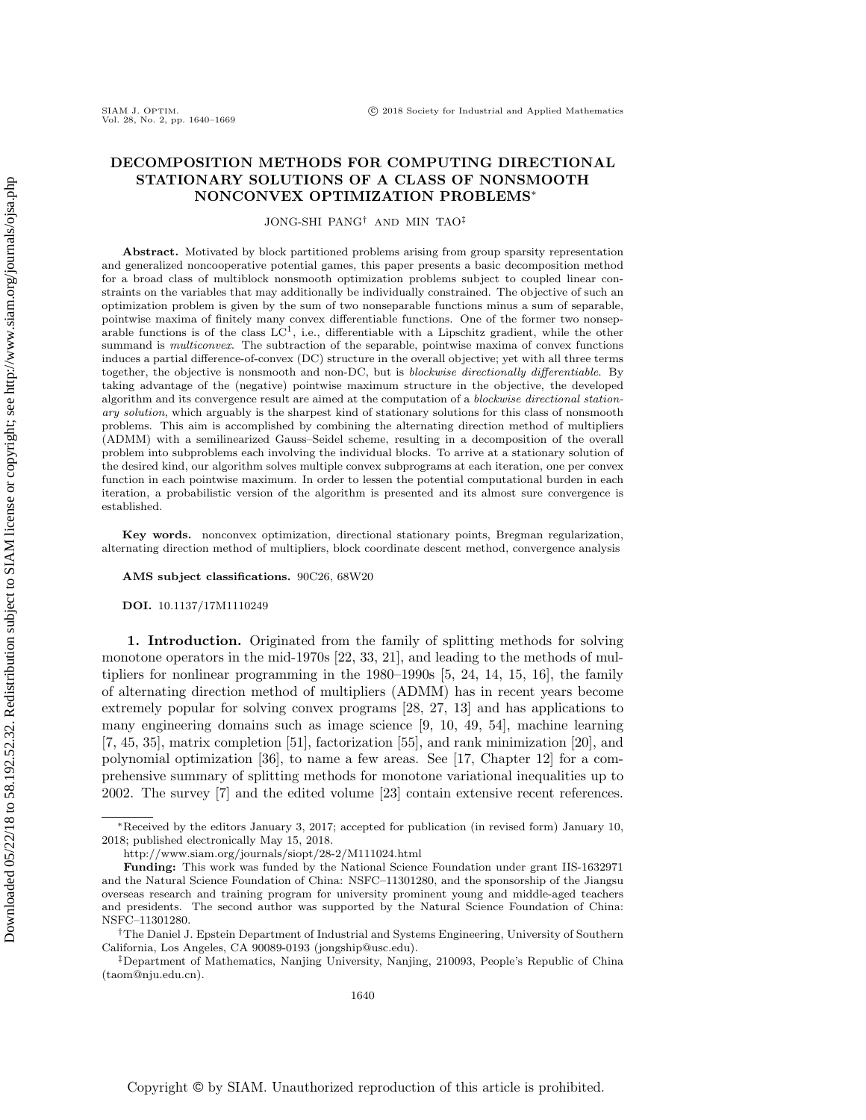## DECOMPOSITION METHODS FOR COMPUTING DIRECTIONAL STATIONARY SOLUTIONS OF A CLASS OF NONSMOOTH NONCONVEX OPTIMIZATION PROBLEMS<sup>∗</sup>

JONG-SHI PANG† AND MIN TAO‡

Abstract. Motivated by block partitioned problems arising from group sparsity representation and generalized noncooperative potential games, this paper presents a basic decomposition method for a broad class of multiblock nonsmooth optimization problems subject to coupled linear constraints on the variables that may additionally be individually constrained. The objective of such an optimization problem is given by the sum of two nonseparable functions minus a sum of separable, pointwise maxima of finitely many convex differentiable functions. One of the former two nonseparable functions is of the class  $LC^1$ , i.e., differentiable with a Lipschitz gradient, while the other summand is *multiconvex*. The subtraction of the separable, pointwise maxima of convex functions induces a partial difference-of-convex (DC) structure in the overall objective; yet with all three terms together, the objective is nonsmooth and non-DC, but is blockwise directionally differentiable. By taking advantage of the (negative) pointwise maximum structure in the objective, the developed algorithm and its convergence result are aimed at the computation of a blockwise directional stationary solution, which arguably is the sharpest kind of stationary solutions for this class of nonsmooth problems. This aim is accomplished by combining the alternating direction method of multipliers (ADMM) with a semilinearized Gauss–Seidel scheme, resulting in a decomposition of the overall problem into subproblems each involving the individual blocks. To arrive at a stationary solution of the desired kind, our algorithm solves multiple convex subprograms at each iteration, one per convex function in each pointwise maximum. In order to lessen the potential computational burden in each iteration, a probabilistic version of the algorithm is presented and its almost sure convergence is established.

Key words. nonconvex optimization, directional stationary points, Bregman regularization, alternating direction method of multipliers, block coordinate descent method, convergence analysis

AMS subject classifications. 90C26, 68W20

DOI. 10.1137/17M1110249

1. Introduction. Originated from the family of splitting methods for solving monotone operators in the mid-1970s [\[22,](#page-28-0) [33,](#page-28-1) [21\]](#page-28-2), and leading to the methods of multipliers for nonlinear programming in the 1980–1990s [\[5,](#page-27-0) [24,](#page-28-3) [14,](#page-27-1) [15,](#page-27-2) [16\]](#page-27-3), the family of alternating direction method of multipliers (ADMM) has in recent years become extremely popular for solving convex programs [\[28,](#page-28-4) [27,](#page-28-5) [13\]](#page-27-4) and has applications to many engineering domains such as image science [\[9,](#page-27-5) [10,](#page-27-6) [49,](#page-29-0) [54\]](#page-29-1), machine learning [\[7,](#page-27-7) [45,](#page-28-6) [35\]](#page-28-7), matrix completion [\[51\]](#page-29-2), factorization [\[55\]](#page-29-3), and rank minimization [\[20\]](#page-27-8), and polynomial optimization [\[36\]](#page-28-8), to name a few areas. See [\[17,](#page-27-9) Chapter 12] for a comprehensive summary of splitting methods for monotone variational inequalities up to 2002. The survey [\[7\]](#page-27-7) and the edited volume [\[23\]](#page-28-9) contain extensive recent references.

<sup>∗</sup>Received by the editors January 3, 2017; accepted for publication (in revised form) January 10, 2018; published electronically May 15, 2018.

<http://www.siam.org/journals/siopt/28-2/M111024.html>

Funding: This work was funded by the National Science Foundation under grant IIS-1632971 and the Natural Science Foundation of China: NSFC–11301280, and the sponsorship of the Jiangsu overseas research and training program for university prominent young and middle-aged teachers and presidents. The second author was supported by the Natural Science Foundation of China: NSFC–11301280.

<sup>†</sup>The Daniel J. Epstein Department of Industrial and Systems Engineering, University of Southern California, Los Angeles, CA 90089-0193 [\(jongship@usc.edu\)](mailto:jongship@usc.edu).

<sup>‡</sup>Department of Mathematics, Nanjing University, Nanjing, 210093, People's Republic of China [\(taom@nju.edu.cn\)](mailto:taom@nju.edu.cn).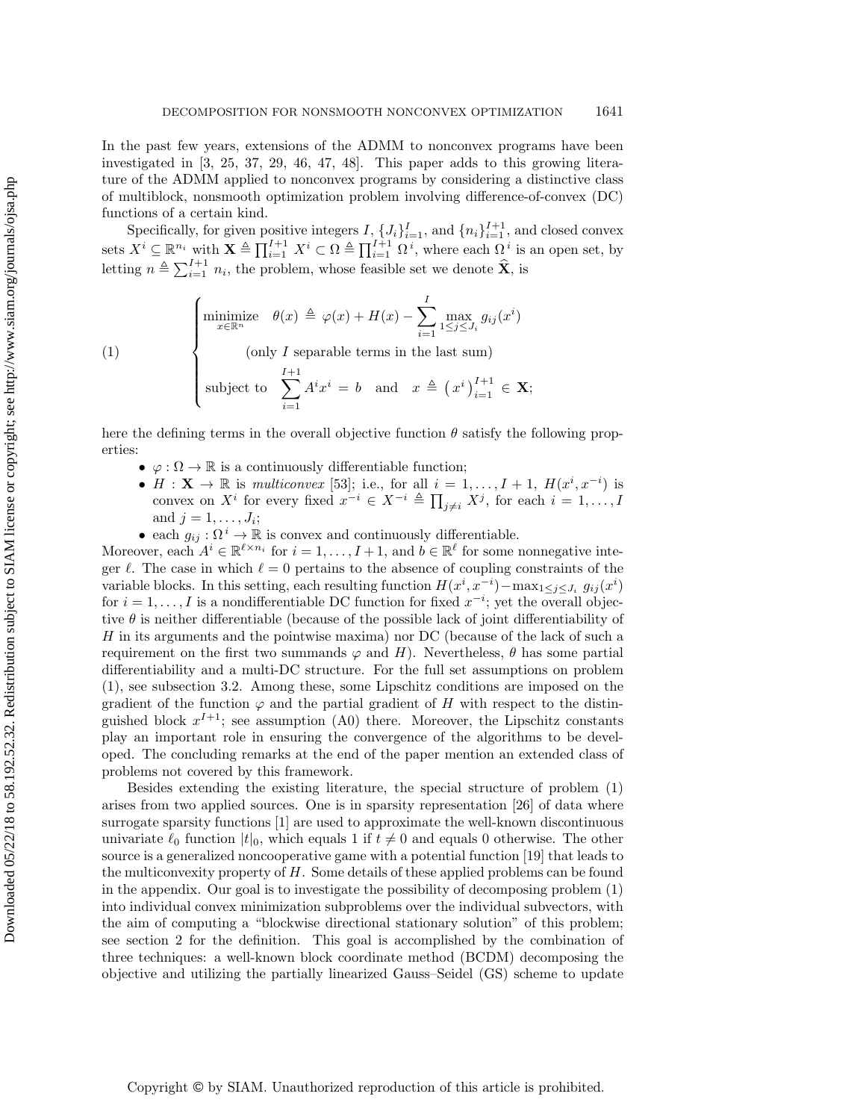In the past few years, extensions of the ADMM to nonconvex programs have been investigated in [\[3,](#page-27-10) [25,](#page-28-10) [37,](#page-28-11) [29,](#page-28-12) [46,](#page-28-13) [47,](#page-29-4) [48\]](#page-29-5). This paper adds to this growing literature of the ADMM applied to nonconvex programs by considering a distinctive class of multiblock, nonsmooth optimization problem involving difference-of-convex (DC) functions of a certain kind.

Specifically, for given positive integers  $I$ ,  $\{J_i\}_{i=1}^I$ , and  $\{n_i\}_{i=1}^{I+1}$ , and closed convex sets  $X^i \subseteq \mathbb{R}^{n_i}$  with  $\mathbf{X} \triangleq \prod_{i=1}^{I+1} X^i \subset \Omega \triangleq \prod_{i=1}^{I+1} \Omega^i$ , where each  $\Omega^i$  is an open set, by letting  $n \triangleq \sum_{i=1}^{I+1} n_i$ , the problem, whose feasible set we denote  $\hat{\mathbf{X}}$ , is

$$
\begin{cases}\n\text{minimize} & \theta(x) \triangleq \varphi(x) + H(x) - \sum_{i=1}^{I} \max_{1 \leq j \leq J_i} g_{ij}(x^i) \\
\text{ (only } I \text{ separately terms in the last sum)}\n\end{cases}
$$

(1)

<span id="page-1-0"></span> $\overline{\mathcal{L}}$ 

(only 
$$
I
$$
 separable terms in the last sum)

subject to 
$$
\sum_{i=1}^{I+1} A^i x^i = b \text{ and } x \triangleq (x^i)_{i=1}^{I+1} \in \mathbf{X};
$$

here the defining terms in the overall objective function  $\theta$  satisfy the following properties:

- $\bullet\ \varphi:\Omega\to\mathbb{R}$  is a continuously differentiable function;
- $H: \mathbf{X} \to \mathbb{R}$  is multiconvex [\[53\]](#page-29-6); i.e., for all  $i = 1, ..., I + 1$ ,  $H(x^i, x^{-i})$  is convex on  $X^i$  for every fixed  $x^{-i} \in X^{-i} \triangleq \prod_{j \neq i} X^j$ , for each  $i = 1, ..., I$ and  $j = 1, \ldots, J_i;$
- each  $g_{ij}: \Omega^i \to \mathbb{R}$  is convex and continuously differentiable.

Moreover, each  $A^i \in \mathbb{R}^{\ell \times n_i}$  for  $i = 1, ..., I+1$ , and  $b \in \mathbb{R}^{\ell}$  for some nonnegative integer  $\ell$ . The case in which  $\ell = 0$  pertains to the absence of coupling constraints of the variable blocks. In this setting, each resulting function  $H(x^i, x^{-i}) - \max_{1 \leq j \leq J_i} g_{ij}(x^i)$ for  $i = 1, \ldots, I$  is a nondifferentiable DC function for fixed  $x^{-i}$ ; yet the overall objective  $\theta$  is neither differentiable (because of the possible lack of joint differentiability of H in its arguments and the pointwise maxima) nor DC (because of the lack of such a requirement on the first two summands  $\varphi$  and H). Nevertheless,  $\theta$  has some partial differentiability and a multi-DC structure. For the full set assumptions on problem [\(1\)](#page-1-0), see subsection [3](#page-10-0).2. Among these, some Lipschitz conditions are imposed on the gradient of the function  $\varphi$  and the partial gradient of H with respect to the distinguished block  $x^{I+1}$ ; see assumption (A0) there. Moreover, the Lipschitz constants play an important role in ensuring the convergence of the algorithms to be developed. The concluding remarks at the end of the paper mention an extended class of problems not covered by this framework.

Besides extending the existing literature, the special structure of problem [\(1\)](#page-1-0) arises from two applied sources. One is in sparsity representation [\[26\]](#page-28-14) of data where surrogate sparsity functions [\[1\]](#page-27-11) are used to approximate the well-known discontinuous univariate  $\ell_0$  function  $|t|_0$ , which equals 1 if  $t \neq 0$  and equals 0 otherwise. The other source is a generalized noncooperative game with a potential function [\[19\]](#page-27-12) that leads to the multiconvexity property of H. Some details of these applied problems can be found in the appendix. Our goal is to investigate the possibility of decomposing problem [\(1\)](#page-1-0) into individual convex minimization subproblems over the individual subvectors, with the aim of computing a "blockwise directional stationary solution" of this problem; see section [2](#page-2-0) for the definition. This goal is accomplished by the combination of three techniques: a well-known block coordinate method (BCDM) decomposing the objective and utilizing the partially linearized Gauss–Seidel (GS) scheme to update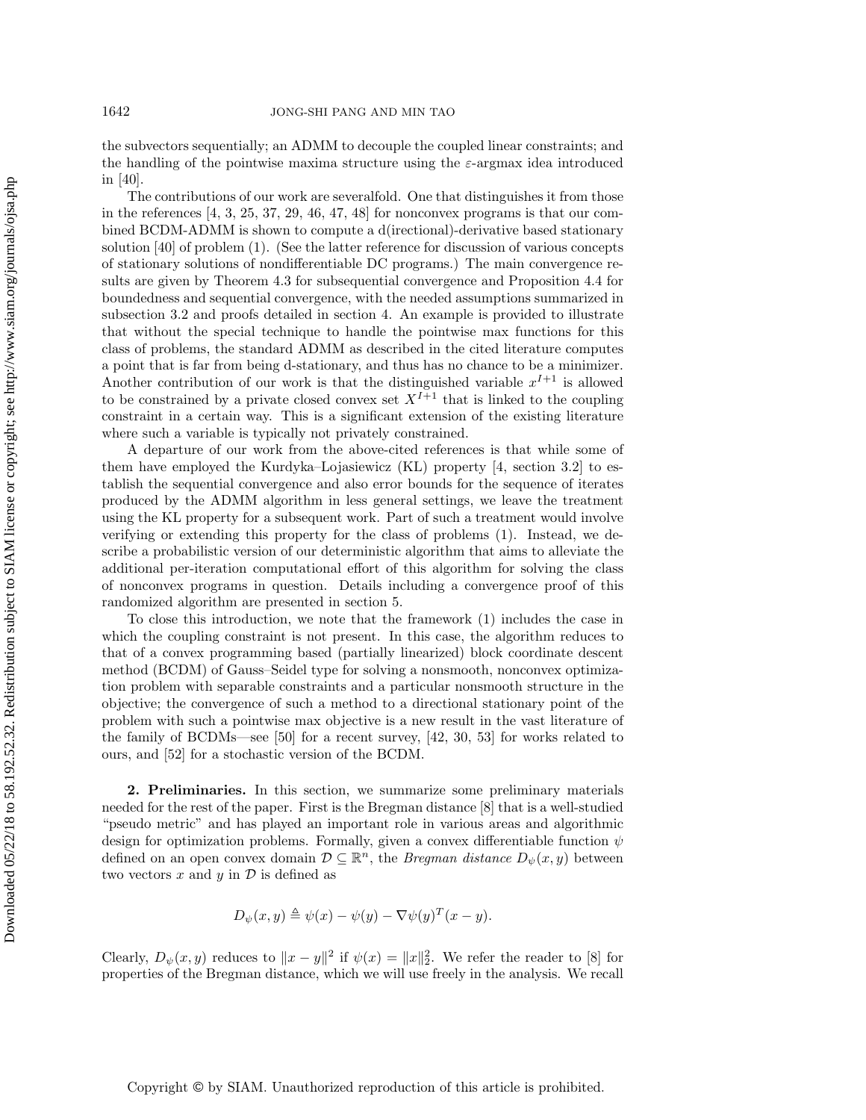the subvectors sequentially; an ADMM to decouple the coupled linear constraints; and the handling of the pointwise maxima structure using the  $\varepsilon$ -argmax idea introduced in [\[40\]](#page-28-15).

The contributions of our work are severalfold. One that distinguishes it from those in the references  $[4, 3, 25, 37, 29, 46, 47, 48]$  $[4, 3, 25, 37, 29, 46, 47, 48]$  $[4, 3, 25, 37, 29, 46, 47, 48]$  $[4, 3, 25, 37, 29, 46, 47, 48]$  $[4, 3, 25, 37, 29, 46, 47, 48]$  $[4, 3, 25, 37, 29, 46, 47, 48]$  $[4, 3, 25, 37, 29, 46, 47, 48]$  $[4, 3, 25, 37, 29, 46, 47, 48]$  for nonconvex programs is that our combined BCDM-ADMM is shown to compute a d(irectional)-derivative based stationary solution [\[40\]](#page-28-15) of problem [\(1\)](#page-1-0). (See the latter reference for discussion of various concepts of stationary solutions of nondifferentiable DC programs.) The main convergence results are given by Theorem 4.[3](#page-16-0) for subsequential convergence and Proposition 4.[4](#page-18-0) for boundedness and sequential convergence, with the needed assumptions summarized in subsection [3](#page-10-0).2 and proofs detailed in section [4.](#page-11-0) An example is provided to illustrate that without the special technique to handle the pointwise max functions for this class of problems, the standard ADMM as described in the cited literature computes a point that is far from being d-stationary, and thus has no chance to be a minimizer. Another contribution of our work is that the distinguished variable  $x^{I+1}$  is allowed to be constrained by a private closed convex set  $X^{I+1}$  that is linked to the coupling constraint in a certain way. This is a significant extension of the existing literature where such a variable is typically not privately constrained.

A departure of our work from the above-cited references is that while some of them have employed the Kurdyka–Lojasiewicz (KL) property [\[4,](#page-27-13) section 3.2] to establish the sequential convergence and also error bounds for the sequence of iterates produced by the ADMM algorithm in less general settings, we leave the treatment using the KL property for a subsequent work. Part of such a treatment would involve verifying or extending this property for the class of problems [\(1\)](#page-1-0). Instead, we describe a probabilistic version of our deterministic algorithm that aims to alleviate the additional per-iteration computational effort of this algorithm for solving the class of nonconvex programs in question. Details including a convergence proof of this randomized algorithm are presented in section [5.](#page-20-0)

To close this introduction, we note that the framework [\(1\)](#page-1-0) includes the case in which the coupling constraint is not present. In this case, the algorithm reduces to that of a convex programming based (partially linearized) block coordinate descent method (BCDM) of Gauss–Seidel type for solving a nonsmooth, nonconvex optimization problem with separable constraints and a particular nonsmooth structure in the objective; the convergence of such a method to a directional stationary point of the problem with such a pointwise max objective is a new result in the vast literature of the family of BCDMs—see [\[50\]](#page-29-7) for a recent survey, [\[42,](#page-28-16) [30,](#page-28-17) [53\]](#page-29-6) for works related to ours, and [\[52\]](#page-29-8) for a stochastic version of the BCDM.

<span id="page-2-0"></span>2. Preliminaries. In this section, we summarize some preliminary materials needed for the rest of the paper. First is the Bregman distance [\[8\]](#page-27-14) that is a well-studied "pseudo metric" and has played an important role in various areas and algorithmic design for optimization problems. Formally, given a convex differentiable function  $\psi$ defined on an open convex domain  $\mathcal{D} \subseteq \mathbb{R}^n$ , the *Bregman distance*  $D_{\psi}(x, y)$  between two vectors  $x$  and  $y$  in  $D$  is defined as

$$
D_{\psi}(x, y) \triangleq \psi(x) - \psi(y) - \nabla \psi(y)^{T}(x - y).
$$

Clearly,  $D_{\psi}(x, y)$  reduces to  $||x - y||^2$  if  $\psi(x) = ||x||_2^2$ . We refer the reader to [\[8\]](#page-27-14) for properties of the Bregman distance, which we will use freely in the analysis. We recall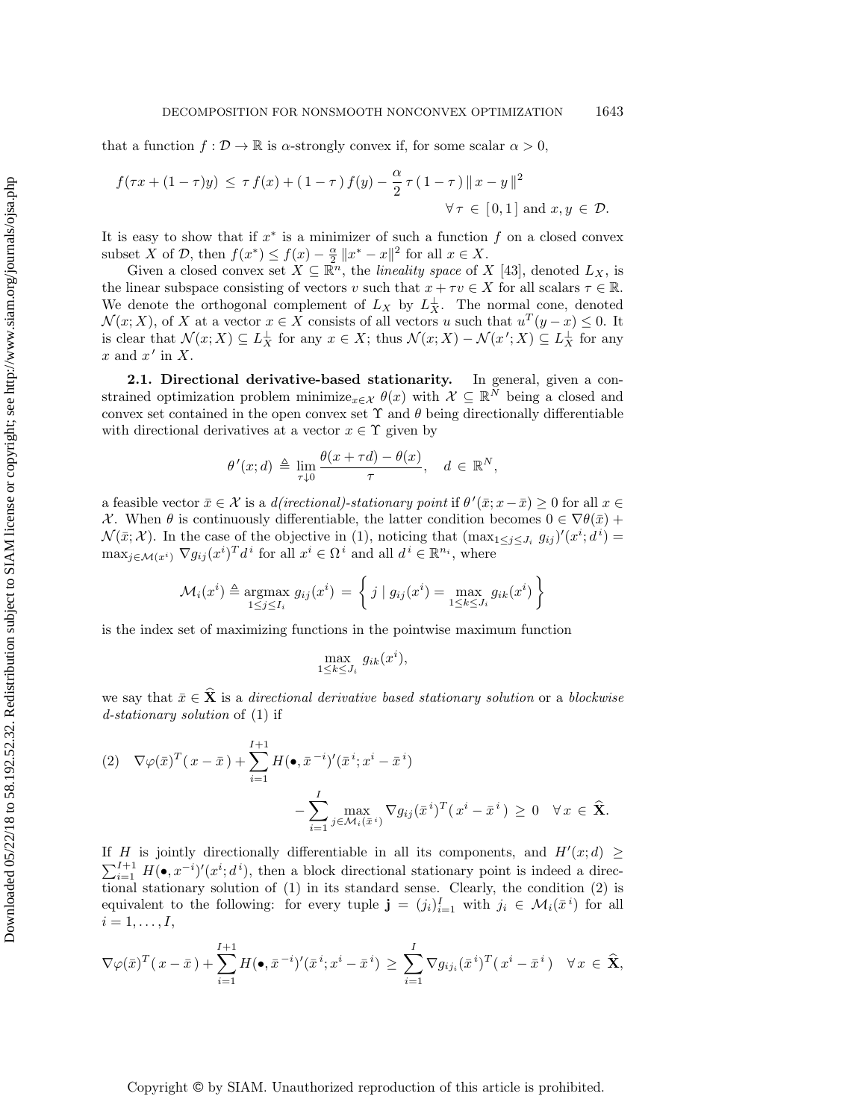that a function  $f : \mathcal{D} \to \mathbb{R}$  is  $\alpha$ -strongly convex if, for some scalar  $\alpha > 0$ ,

$$
f(\tau x + (1 - \tau)y) \leq \tau f(x) + (1 - \tau) f(y) - \frac{\alpha}{2} \tau (1 - \tau) ||x - y||^2
$$
  

$$
\forall \tau \in [0, 1] \text{ and } x, y \in \mathcal{D}.
$$

It is easy to show that if  $x^*$  is a minimizer of such a function f on a closed convex subset X of D, then  $f(x^*) \le f(x) - \frac{\alpha}{2} ||x^* - x||^2$  for all  $x \in X$ .

Given a closed convex set  $X \subseteq \mathbb{R}^n$ , the *lineality space* of X [\[43\]](#page-28-18), denoted  $L_X$ , is the linear subspace consisting of vectors v such that  $x + \tau v \in X$  for all scalars  $\tau \in \mathbb{R}$ . We denote the orthogonal complement of  $L_X$  by  $L_X^{\perp}$ . The normal cone, denoted  $\mathcal{N}(x;X)$ , of X at a vector  $x \in X$  consists of all vectors u such that  $u^T(y-x) \leq 0$ . It is clear that  $\mathcal{N}(x;X) \subseteq L_X^{\perp}$  for any  $x \in X$ ; thus  $\mathcal{N}(x;X) - \mathcal{N}(x';X) \subseteq L_X^{\perp}$  for any  $x$  and  $x'$  in  $X$ .

2.1. Directional derivative-based stationarity. In general, given a constrained optimization problem minimize<sub>x∈X</sub>  $\theta(x)$  with  $\mathcal{X} \subseteq \mathbb{R}^N$  being a closed and convex set contained in the open convex set  $\Upsilon$  and  $\theta$  being directionally differentiable with directional derivatives at a vector  $x \in \Upsilon$  given by

$$
\theta'(x; d) \triangleq \lim_{\tau \downarrow 0} \frac{\theta(x + \tau d) - \theta(x)}{\tau}, \quad d \in \mathbb{R}^N,
$$

a feasible vector  $\bar{x} \in \mathcal{X}$  is a *d*(irectional)-stationary point if  $\theta'(\bar{x}; x - \bar{x}) \geq 0$  for all  $x \in$ X. When  $\theta$  is continuously differentiable, the latter condition becomes  $0 \in \nabla \theta(\bar{x})$  +  $\mathcal{N}(\bar{x}; \mathcal{X})$ . In the case of the objective in [\(1\)](#page-1-0), noticing that  $(\max_{1 \leq j \leq J_i} g_{ij})'(x^i; d^i)$  $\max_{j \in \mathcal{M}(x^i)} \nabla g_{ij}(x^i)^T d^i$  for all  $x^i \in \Omega^i$  and all  $d^i \in \mathbb{R}^{n_i}$ , where

$$
\mathcal{M}_i(x^i) \triangleq \operatorname*{argmax}_{1 \leq j \leq I_i} g_{ij}(x^i) = \left\{ j \mid g_{ij}(x^i) = \max_{1 \leq k \leq J_i} g_{ik}(x^i) \right\}
$$

is the index set of maximizing functions in the pointwise maximum function

$$
\max_{1 \le k \le J_i} g_{ik}(x^i),
$$

we say that  $\bar{x} \in \mathbf{X}$  is a directional derivative based stationary solution or a blockwise d-stationary solution of [\(1\)](#page-1-0) if

<span id="page-3-0"></span>
$$
(2) \nabla \varphi(\bar{x})^T (x - \bar{x}) + \sum_{i=1}^{I+1} H(\bullet, \bar{x}^{-i})' (\bar{x}^i; x^i - \bar{x}^i)
$$

$$
- \sum_{i=1}^I \max_{j \in \mathcal{M}_i(\bar{x}^i)} \nabla g_{ij}(\bar{x}^i)^T (x^i - \bar{x}^i) \ge 0 \quad \forall x \in \hat{\mathbf{X}}.
$$

If H is jointly directionally differentiable in all its components, and  $H'(x; d) \ge$  $\sum_{i=1}^{I+1} H(\bullet, x^{-i})'(x^i; d^i)$ , then a block directional stationary point is indeed a directional stationary solution of [\(1\)](#page-1-0) in its standard sense. Clearly, the condition [\(2\)](#page-3-0) is equivalent to the following: for every tuple  $\mathbf{j} = (j_i)_{i=1}^I$  with  $j_i \in \mathcal{M}_i(\bar{x}^i)$  for all  $i=1,\ldots,I,$ 

$$
\nabla \varphi(\bar{x})^T(x-\bar{x}) + \sum_{i=1}^{I+1} H(\bullet, \bar{x}^{-i})'(\bar{x}^i; x^i - \bar{x}^i) \geq \sum_{i=1}^I \nabla g_{ij_i}(\bar{x}^i)^T(x^i - \bar{x}^i) \quad \forall x \in \widehat{\mathbf{X}},
$$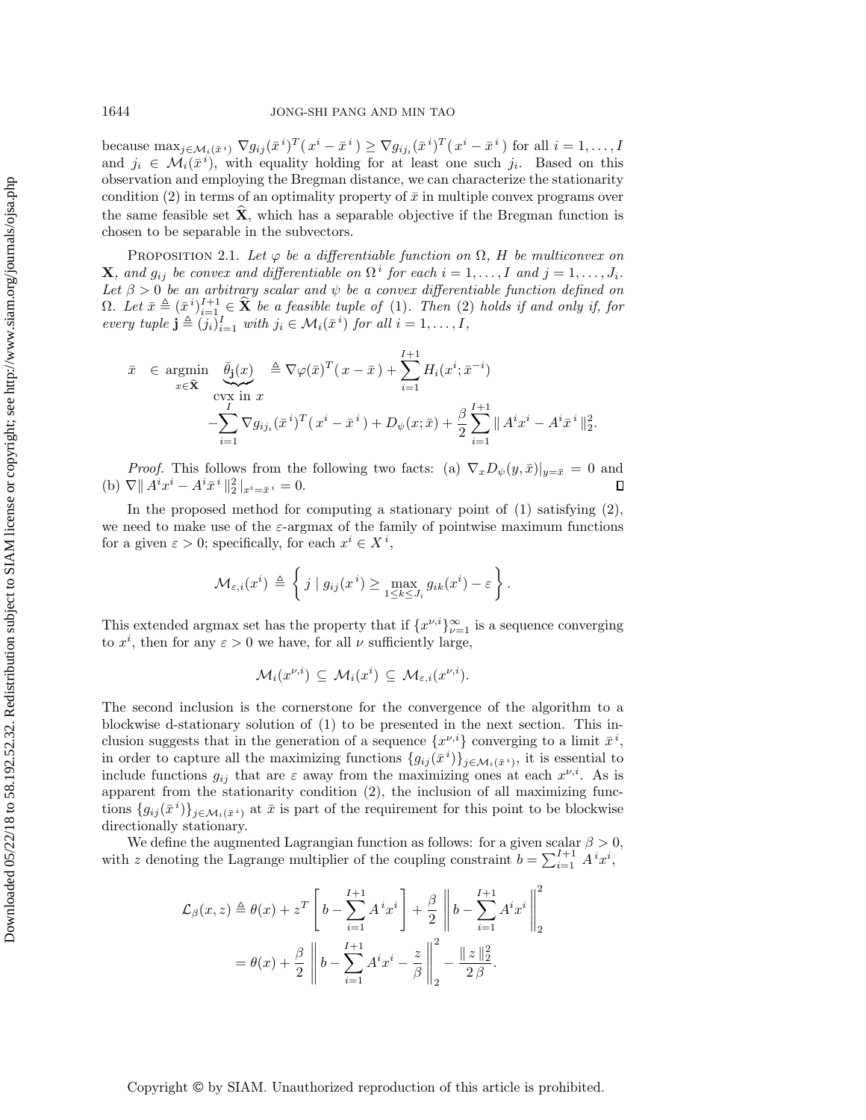because  $\max_{j \in \mathcal{M}_i(\bar{x}^i)} \nabla g_{ij}(\bar{x}^i)^T (x^i - \bar{x}^i) \geq \nabla g_{ij_i}(\bar{x}^i)^T (x^i - \bar{x}^i)$  for all  $i = 1, ..., I$ and  $j_i \in \mathcal{M}_i(\bar{x}^i)$ , with equality holding for at least one such  $j_i$ . Based on this observation and employing the Bregman distance, we can characterize the stationarity condition [\(2\)](#page-3-0) in terms of an optimality property of  $\bar{x}$  in multiple convex programs over the same feasible set  $\hat{\mathbf{X}}$ , which has a separable objective if the Bregman function is chosen to be separable in the subvectors.

<span id="page-4-0"></span>PROPOSITION 2.1. Let  $\varphi$  be a differentiable function on  $\Omega$ , H be multiconvex on **X**, and  $g_{ij}$  be convex and differentiable on  $\Omega^i$  for each  $i = 1, ..., I$  and  $j = 1, ..., J_i$ . Let  $\beta > 0$  be an arbitrary scalar and  $\psi$  be a convex differentiable function defined on  $\Omega$ . Let  $\bar{x} \triangleq (\bar{x}^i)^{I+1}_{i=1} \in \hat{\mathbf{X}}$  be a feasible tuple of [\(1\)](#page-1-0). Then [\(2\)](#page-3-0) holds if and only if, for every tuple  $\mathbf{j} \triangleq (j_i)_{i=1}^I$  with  $j_i \in \mathcal{M}_i(\bar{x}^i)$  for all  $i = 1, \ldots, I$ ,

$$
\bar{x} \in \underset{x \in \hat{\mathbf{X}}}{\text{argmin}} \quad \underbrace{\bar{\theta}_{\mathbf{j}}(x)}_{\text{cvx in } x} \triangleq \nabla \varphi(\bar{x})^{T} (x - \bar{x}) + \sum_{i=1}^{I+1} H_{i}(x^{i}; \bar{x}^{-i})
$$
\n
$$
-\sum_{i=1}^{I} \nabla g_{ij_{i}}(\bar{x}^{i})^{T} (x^{i} - \bar{x}^{i}) + D_{\psi}(x; \bar{x}) + \frac{\beta}{2} \sum_{i=1}^{I+1} ||A^{i}x^{i} - A^{i}\bar{x}^{i}||_{2}^{2}.
$$

*Proof.* This follows from the following two facts: (a)  $\nabla_x D_\psi(y, \bar{x})|_{y=\bar{x}} = 0$  and (b)  $\nabla || A^i x^i - A^i \bar{x}^i ||_2^2 |_{x^i = \bar{x}^i} = 0.$  $\Box$ 

In the proposed method for computing a stationary point of [\(1\)](#page-1-0) satisfying [\(2\)](#page-3-0), we need to make use of the  $\varepsilon$ -argmax of the family of pointwise maximum functions for a given  $\varepsilon > 0$ ; specifically, for each  $x^i \in X^i$ ,

$$
\mathcal{M}_{\varepsilon,i}(x^i) \triangleq \left\{ j \mid g_{ij}(x^i) \geq \max_{1 \leq k \leq J_i} g_{ik}(x^i) - \varepsilon \right\}.
$$

This extended argmax set has the property that if  $\{x^{\nu,i}\}_{\nu=1}^{\infty}$  is a sequence converging to  $x^i$ , then for any  $\varepsilon > 0$  we have, for all  $\nu$  sufficiently large,

$$
\mathcal{M}_i(x^{\nu,i}) \subseteq \mathcal{M}_i(x^i) \subseteq \mathcal{M}_{\varepsilon,i}(x^{\nu,i}).
$$

The second inclusion is the cornerstone for the convergence of the algorithm to a blockwise d-stationary solution of [\(1\)](#page-1-0) to be presented in the next section. This inclusion suggests that in the generation of a sequence  $\{x^{\nu,i}\}$  converging to a limit  $\bar{x}^i$ , in order to capture all the maximizing functions  $\{g_{ij}(\bar{x}^i)\}_{j\in\mathcal{M}_i(\bar{x}^i)}$ , it is essential to include functions  $g_{ij}$  that are  $\varepsilon$  away from the maximizing ones at each  $x^{\nu,i}$ . As is apparent from the stationarity condition [\(2\)](#page-3-0), the inclusion of all maximizing functions  $\{g_{ij}(\bar{x}^i)\}_{j\in\mathcal{M}_i(\bar{x}^i)}$  at  $\bar{x}$  is part of the requirement for this point to be blockwise directionally stationary.

We define the augmented Lagrangian function as follows: for a given scalar  $\beta > 0$ , with z denoting the Lagrange multiplier of the coupling constraint  $b = \sum_{i=1}^{I+1} A^i x^i$ ,

$$
\mathcal{L}_{\beta}(x, z) \triangleq \theta(x) + z^T \left[ b - \sum_{i=1}^{I+1} A^i x^i \right] + \frac{\beta}{2} \left\| b - \sum_{i=1}^{I+1} A^i x^i \right\|_2^2
$$

$$
= \theta(x) + \frac{\beta}{2} \left\| b - \sum_{i=1}^{I+1} A^i x^i - \frac{z}{\beta} \right\|_2^2 - \frac{\| z \|^2}{2\beta}.
$$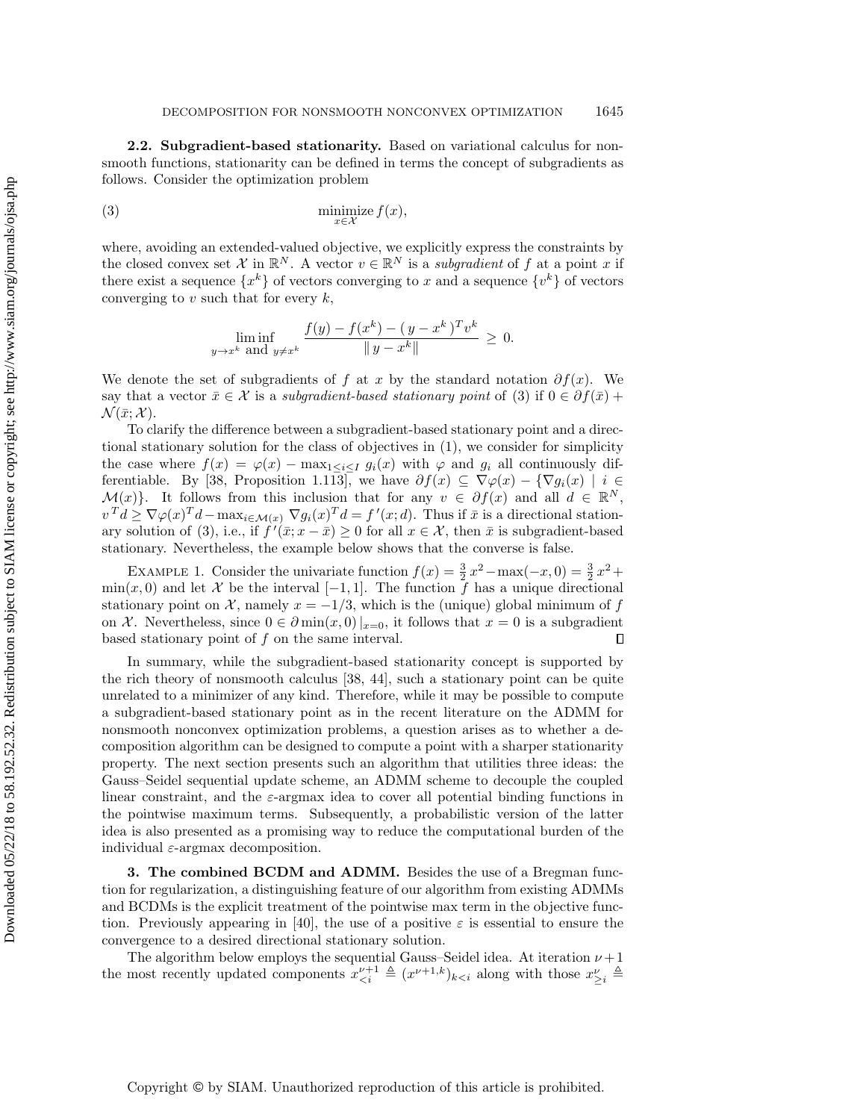2.2. Subgradient-based stationarity. Based on variational calculus for nonsmooth functions, stationarity can be defined in terms the concept of subgradients as follows. Consider the optimization problem

(3) 
$$
\min_{x \in \mathcal{X}} \text{minimize } f(x),
$$

where, avoiding an extended-valued objective, we explicitly express the constraints by the closed convex set X in  $\mathbb{R}^N$ . A vector  $v \in \mathbb{R}^N$  is a subgradient of f at a point x if there exist a sequence  $\{x^k\}$  of vectors converging to x and a sequence  $\{v^k\}$  of vectors converging to  $v$  such that for every  $k$ ,

<span id="page-5-0"></span>
$$
\liminf_{y \to x^k} \frac{f(y) - f(x^k) - (y - x^k)^T v^k}{\|y - x^k\|} \ge 0.
$$

We denote the set of subgradients of f at x by the standard notation  $\partial f(x)$ . We say that a vector  $\bar{x} \in \mathcal{X}$  is a subgradient-based stationary point of [\(3\)](#page-5-0) if  $0 \in \partial f(\bar{x})$  +  $\mathcal{N}(\bar{x}; \mathcal{X})$ .

To clarify the difference between a subgradient-based stationary point and a directional stationary solution for the class of objectives in [\(1\)](#page-1-0), we consider for simplicity the case where  $f(x) = \varphi(x) - \max_{1 \leq i \leq I} g_i(x)$  with  $\varphi$  and  $g_i$  all continuously dif-ferentiable. By [\[38,](#page-28-19) Proposition 1.113], we have  $\partial f(x) \subseteq \nabla \varphi(x) - {\nabla g_i(x) \mid i \in \mathbb{R}^n}$  $\mathcal{M}(x)$ . It follows from this inclusion that for any  $v \in \partial f(x)$  and all  $d \in \mathbb{R}^N$ ,  $v^T d \geq \nabla \varphi(x)^T d - \max_{i \in \mathcal{M}(x)} \nabla g_i(x)^T d = f'(x; d)$ . Thus if  $\bar{x}$  is a directional station-ary solution of [\(3\)](#page-5-0), i.e., if  $f'(\bar{x}; x - \bar{x}) \geq 0$  for all  $x \in \mathcal{X}$ , then  $\bar{x}$  is subgradient-based stationary. Nevertheless, the example below shows that the converse is false.

<span id="page-5-1"></span>EXAMPLE 1. Consider the univariate function  $f(x) = \frac{3}{2}x^2 - \max(-x, 0) = \frac{3}{2}x^2 +$  $min(x, 0)$  and let X be the interval [−1, 1]. The function f has a unique directional stationary point on X, namely  $x = -1/3$ , which is the (unique) global minimum of f on X. Nevertheless, since  $0 \in \partial \min(x, 0)|_{x=0}$ , it follows that  $x = 0$  is a subgradient based stationary point of  $f$  on the same interval.  $\Box$ 

In summary, while the subgradient-based stationarity concept is supported by the rich theory of nonsmooth calculus [\[38,](#page-28-19) [44\]](#page-28-20), such a stationary point can be quite unrelated to a minimizer of any kind. Therefore, while it may be possible to compute a subgradient-based stationary point as in the recent literature on the ADMM for nonsmooth nonconvex optimization problems, a question arises as to whether a decomposition algorithm can be designed to compute a point with a sharper stationarity property. The next section presents such an algorithm that utilities three ideas: the Gauss–Seidel sequential update scheme, an ADMM scheme to decouple the coupled linear constraint, and the  $\varepsilon$ -argmax idea to cover all potential binding functions in the pointwise maximum terms. Subsequently, a probabilistic version of the latter idea is also presented as a promising way to reduce the computational burden of the individual  $\varepsilon$ -argmax decomposition.

3. The combined BCDM and ADMM. Besides the use of a Bregman function for regularization, a distinguishing feature of our algorithm from existing ADMMs and BCDMs is the explicit treatment of the pointwise max term in the objective func-tion. Previously appearing in [\[40\]](#page-28-15), the use of a positive  $\varepsilon$  is essential to ensure the convergence to a desired directional stationary solution.

The algorithm below employs the sequential Gauss–Seidel idea. At iteration  $\nu+1$ the most recently updated components  $x_{\leq i}^{\nu+1} \triangleq (x^{\nu+1,k})_{k along with those  $x_{\geq i}^{\nu} \triangleq$$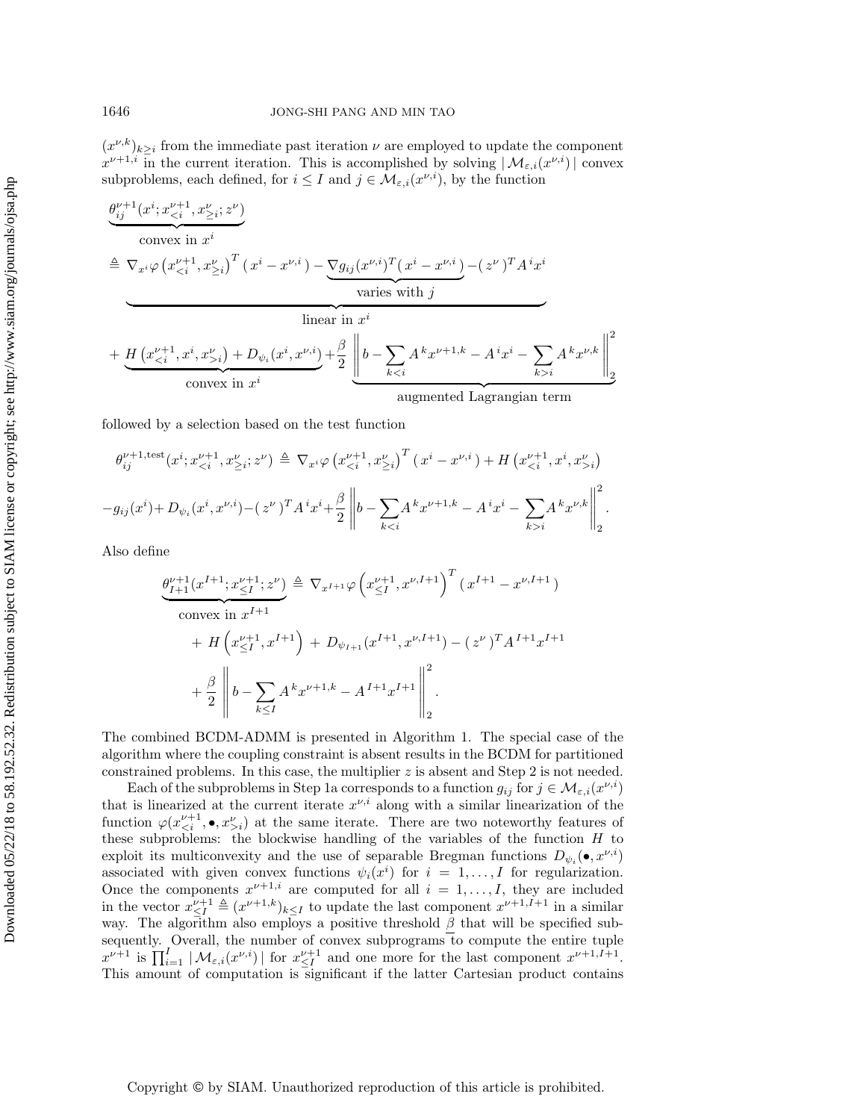$(x^{\nu,k})_{k\geq i}$  from the immediate past iteration  $\nu$  are employed to update the component  $x^{\nu+1,i}$  in the current iteration. This is accomplished by solving  $|\mathcal{M}_{\varepsilon,i}(x^{\nu,i})|$  convex subproblems, each defined, for  $i \leq I$  and  $j \in \mathcal{M}_{\varepsilon,i}(x^{\nu,i})$ , by the function

$$
\frac{\theta_{ij}^{\nu+1}(x^i; x_{\n
$$
\stackrel{\triangle}{=} \nabla_{x^i} \varphi \left( x_{\n
$$
\text{varies with } j
$$
\n
$$
+ \underbrace{H \left( x_{i}^{\nu} \right) + D_{\psi_i} (x^i, x^{\nu,i})}_{\text{convex in } x^i} + \underbrace{\frac{\beta}{2} \left\| b - \sum_{k < i} A^k x^{\nu+1,k} - A^i x^i - \sum_{k > i} A^k x^{\nu,k} \right\|_2^2}{\text{augmented Lagrangian term}}
$$
$$
$$

followed by a selection based on the test function

$$
\theta_{ij}^{\nu+1, \text{test}}(x^i; x_{\leq i}^{\nu+1}, x_{\geq i}^{\nu}; z^{\nu}) \triangleq \nabla_{x^i} \varphi \left( x_{\leq i}^{\nu+1}, x_{\geq i}^{\nu} \right)^T (x^i - x^{\nu, i}) + H \left( x_{\leq i}^{\nu+1}, x^i, x_{\geq i}^{\nu} \right)
$$

$$
-g_{ij}(x^i) + D_{\psi_i}(x^i, x^{\nu, i}) - (z^{\nu})^T A^i x^i + \frac{\beta}{2} \left\| b - \sum_{k < i} A^k x^{\nu+1, k} - A^i x^i - \sum_{k > i} A^k x^{\nu, k} \right\|_2^2.
$$

Also define

$$
\frac{\theta_{I+1}^{\nu+1}(x^{I+1}; x_{\leq I}^{\nu+1}; z^{\nu})}{\text{convex in } x^{I+1}} \stackrel{\triangle}{=} \nabla_{x^{I+1}} \varphi \left( x_{\leq I}^{\nu+1}, x^{\nu, I+1} \right)^{T} \left( x^{I+1} - x^{\nu, I+1} \right) + H \left( x_{\leq I}^{\nu+1}, x^{I+1} \right) + D_{\psi_{I+1}} (x^{I+1}, x^{\nu, I+1}) - (z^{\nu})^{T} A^{I+1} x^{I+1} + \frac{\beta}{2} \left\| b - \sum_{k \leq I} A^{k} x^{\nu+1, k} - A^{I+1} x^{I+1} \right\|_{2}^{2}.
$$

The combined BCDM-ADMM is presented in Algorithm 1. The special case of the algorithm where the coupling constraint is absent results in the BCDM for partitioned constrained problems. In this case, the multiplier  $z$  is absent and Step 2 is not needed.

Each of the subproblems in Step 1a corresponds to a function  $g_{ij}$  for  $j \in \mathcal{M}_{\varepsilon,i}(x^{\nu,i})$ that is linearized at the current iterate  $x^{\nu,i}$  along with a similar linearization of the function  $\varphi(x_{\leq i}^{\nu+1}, \bullet, x_{>i}^{\nu})$  at the same iterate. There are two noteworthy features of these subproblems: the blockwise handling of the variables of the function  $H$  to exploit its multiconvexity and the use of separable Bregman functions  $D_{\psi_i}(\bullet, x^{\nu,i})$ associated with given convex functions  $\psi_i(x^i)$  for  $i = 1, ..., I$  for regularization. Once the components  $x^{\nu+1,i}$  are computed for all  $i = 1, \ldots, I$ , they are included in the vector  $x_{\leq I}^{\nu+1} \triangleq (x^{\nu+1,k})_{k\leq I}$  to update the last component  $x^{\nu+1,I+1}$  in a similar way. The algorithm also employs a positive threshold  $\beta$  that will be specified subsequently. Overall, the number of convex subprograms to compute the entire tuple  $x^{\nu+1}$  is  $\prod_{i=1}^{I} |\mathcal{M}_{\varepsilon,i}(x^{\nu,i})|$  for  $x_{\leq I}^{\nu+1}$  and one more for the last component  $x^{\nu+1,I+1}$ . This amount of computation is significant if the latter Cartesian product contains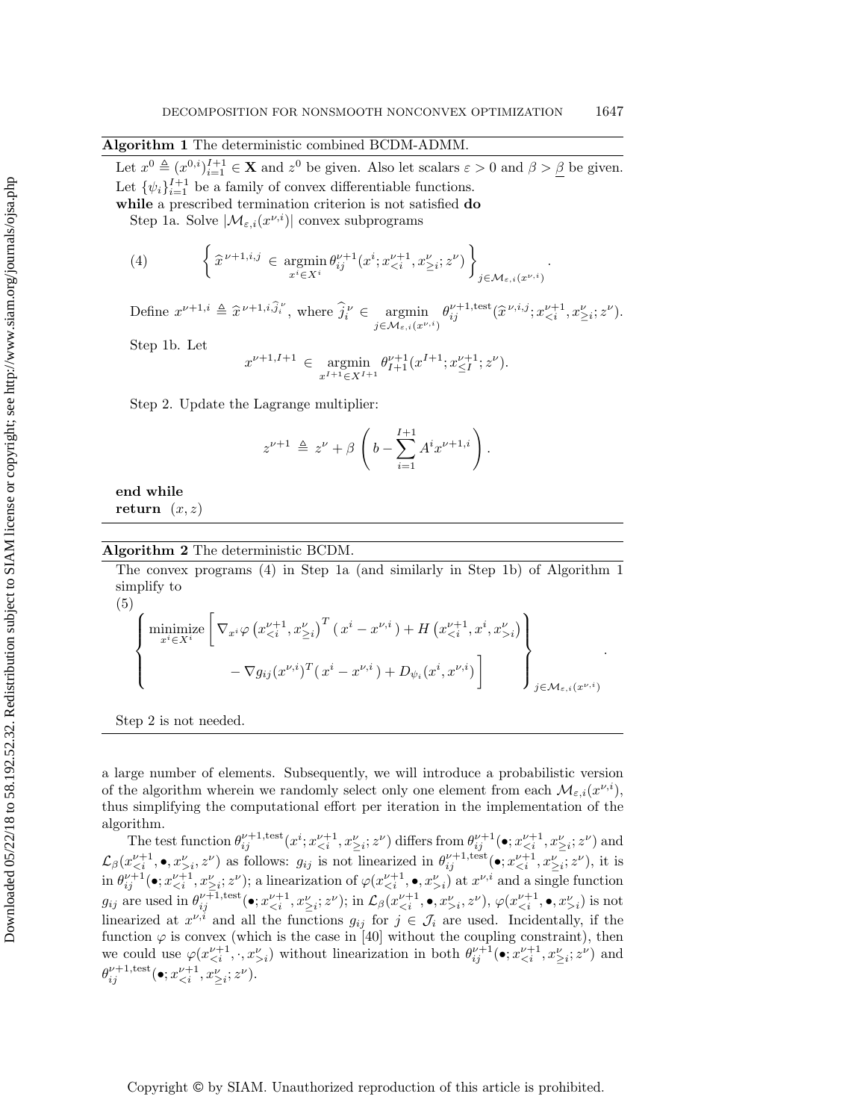Algorithm 1 The deterministic combined BCDM-ADMM.

<span id="page-7-1"></span>Let  $x^0 \triangleq (x^{0,i})_{i=1}^{I+1} \in \mathbf{X}$  and  $z^0$  be given. Also let scalars  $\varepsilon > 0$  and  $\beta > \underline{\beta}$  be given. Let  $\{\psi_i\}_{i=1}^{I+1}$  be a family of convex differentiable functions.

while a prescribed termination criterion is not satisfied do

Step 1a. Solve  $|\mathcal{M}_{\varepsilon,i}(x^{\nu,i})|$  convex subprograms

<span id="page-7-0"></span>(4) 
$$
\left\{\hat{x}^{\nu+1,i,j} \in \underset{x^i \in X^i}{\text{argmin}} \,\theta_{ij}^{\nu+1}(x^i; x_{
$$

Define  $x^{\nu+1,i} \triangleq \hat{x}^{\nu+1,i,\hat{j}^{\nu}}$ , where  $\hat{j}^{\nu}_{i} \in \operatorname*{argmin}_{j \in \mathcal{M}_{\varepsilon,i}(x^{\nu,i})}$  $\theta_{ij}^{\nu+1,\text{test}}(\hat{x}^{\nu,i,j}; x_{$ 

Step 1b. Let

$$
x^{\nu+1,I+1} \in \operatorname*{argmin}_{x^{I+1} \in X^{I+1}} \theta_{I+1}^{\nu+1}(x^{I+1}; x_{\leq I}^{\nu+1}; z^{\nu}).
$$

Step 2. Update the Lagrange multiplier:

$$
z^{\nu+1} \triangleq z^{\nu} + \beta \left( b - \sum_{i=1}^{I+1} A^i x^{\nu+1,i} \right).
$$

end while return  $(x, z)$ 

Algorithm 2 The deterministic BCDM.

The convex programs [\(4\)](#page-7-0) in Step 1a (and similarly in Step 1b) of Algorithm [1](#page-7-1) simplify to

(5)  
\n
$$
\left\{\n\begin{array}{c}\n\min_{x^i \in X^i} \left[ \nabla_{x^i} \varphi \left( x_{\leq i}^{\nu+1}, x_{\geq i}^{\nu} \right)^T (x^i - x^{\nu, i}) + H \left( x_{\leq i}^{\nu+1}, x^i, x_{>i}^{\nu} \right) \\
-\nabla g_{ij} (x^{\nu, i})^T (x^i - x^{\nu, i}) + D_{\psi_i} (x^i, x^{\nu, i})\n\end{array}\n\right\}_{{j \in \mathcal{M}_{\varepsilon, i}(x^{\nu, i})}}
$$

.

Step 2 is not needed.

a large number of elements. Subsequently, we will introduce a probabilistic version of the algorithm wherein we randomly select only one element from each  $\mathcal{M}_{\varepsilon,i}(x^{\nu,i}),$ thus simplifying the computational effort per iteration in the implementation of the algorithm.

The test function  $\theta_{ij}^{\nu+1,\text{test}}(x^i;x_{\leq i}^{\nu+1},x_{\geq i}^{\nu};z^{\nu})$  differs from  $\theta_{ij}^{\nu+1}(\bullet;x_{\leq i}^{\nu+1},x_{\geq i}^{\nu};z^{\nu})$  and  $\mathcal{L}_{\beta}(x_{\leq i}^{\nu+1}, \bullet, x_{\geq i}^{\nu}, z^{\nu})$  as follows:  $g_{ij}$  is not linearized in  $\theta_{ij}^{\nu+1, \text{test}}(\bullet; x_{\leq i}^{\nu+1}, x_{\geq i}^{\nu}; z^{\nu})$ , it is in  $\theta_{ij}^{\nu+1}(\bullet; x_{\leq i}^{\nu+1}, x_{\geq i}^{\nu}; z^{\nu})$ ; a linearization of  $\varphi(x_{\leq i}^{\nu+1}, \bullet, x_{\geq i}^{\nu})$  at  $x^{\nu,i}$  and a single function  $g_{ij}$  are used in  $\theta_{ij}^{\nu+1,\text{test}}(\bullet;x_{\leq i}^{\nu+1},x_{\geq i}^{\nu};z^{\nu});$  in  $\mathcal{L}_{\beta}(x_{\leq i}^{\nu+1},\bullet,x_{>i}^{\nu},z^{\nu}), \varphi(x_{\leq i}^{\nu+1},\bullet,x_{>i}^{\nu})$  is not linearized at  $x^{\nu,i}$  and all the functions  $g_{ij}$  for  $j \in \mathcal{J}_i$  are used. Incidentally, if the function  $\varphi$  is convex (which is the case in [\[40\]](#page-28-15) without the coupling constraint), then we could use  $\varphi(x\frac{\nu+1}{\langle i, \cdot, x_{>i}^{\nu}\rangle})$  without linearization in both  $\theta_{ij}^{\nu+1}(\bullet; x_{ and$  $\theta_{ij}^{\nu+1,\text{test}}(\bullet;x_{$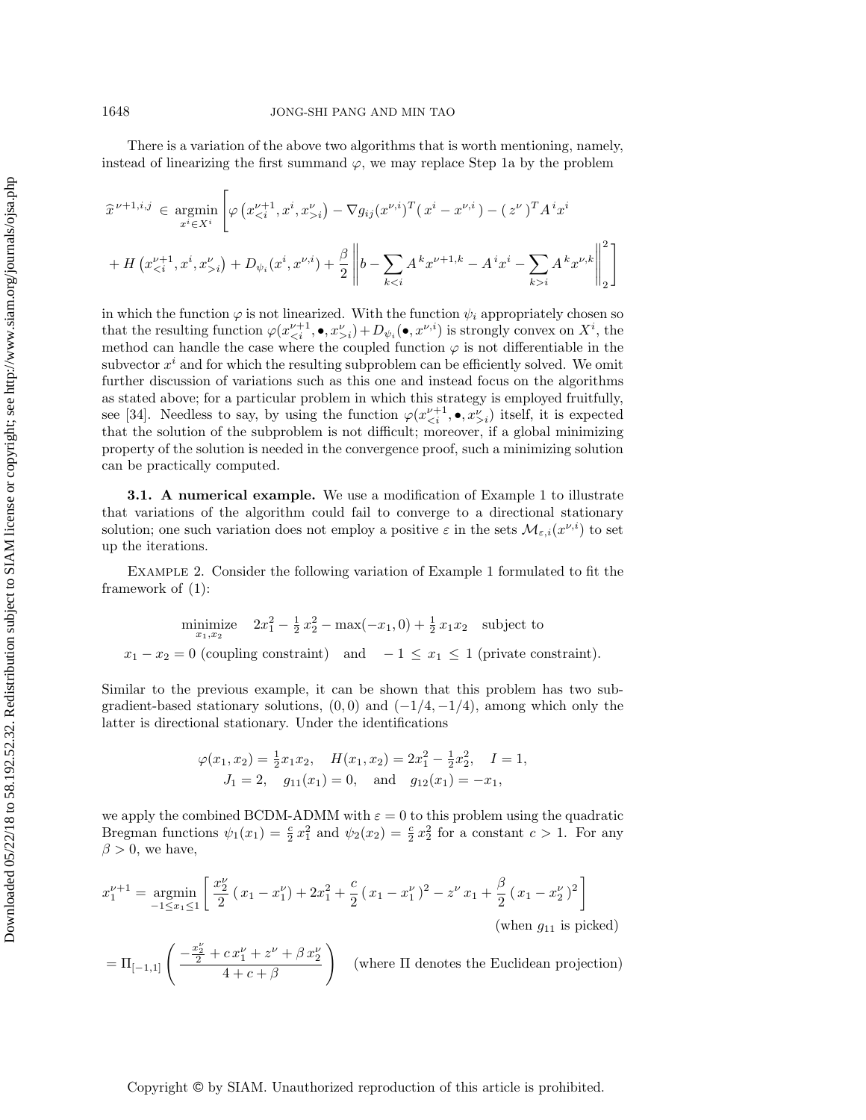There is a variation of the above two algorithms that is worth mentioning, namely, instead of linearizing the first summand  $\varphi$ , we may replace Step 1a by the problem

$$
\hat{x}^{\nu+1,i,j} \in \underset{x^i \in X^i}{\text{argmin}} \left[ \varphi \left( x_{\leq i}^{\nu+1}, x^i, x_{>i}^{\nu} \right) - \nabla g_{ij} (x^{\nu,i})^T (x^i - x^{\nu,i}) - (z^{\nu})^T A^i x^i \right]
$$

$$
+ H \left( x_{\leq i}^{\nu+1}, x^i, x_{>i}^{\nu} \right) + D_{\psi_i} (x^i, x^{\nu,i}) + \frac{\beta}{2} \left\| b - \sum_{k \leq i} A^k x^{\nu+1,k} - A^i x^i - \sum_{k > i} A^k x^{\nu,k} \right\|_2^2 \right]
$$

in which the function  $\varphi$  is not linearized. With the function  $\psi_i$  appropriately chosen so that the resulting function  $\varphi(x_{\leq i}^{\nu+1}, \bullet, x_{\geq i}^{\nu}) + D_{\psi_i}(\bullet, x^{\nu,i})$  is strongly convex on  $X^i$ , the method can handle the case where the coupled function  $\varphi$  is not differentiable in the subvector  $x^i$  and for which the resulting subproblem can be efficiently solved. We omit further discussion of variations such as this one and instead focus on the algorithms as stated above; for a particular problem in which this strategy is employed fruitfully, see [\[34\]](#page-28-21). Needless to say, by using the function  $\varphi(x_{\leq i}^{\nu+1}, \bullet, x_{>i}^{\nu})$  itself, it is expected that the solution of the subproblem is not difficult; moreover, if a global minimizing property of the solution is needed in the convergence proof, such a minimizing solution can be practically computed.

3.1. A numerical example. We use a modification of Example [1](#page-5-1) to illustrate that variations of the algorithm could fail to converge to a directional stationary solution; one such variation does not employ a positive  $\varepsilon$  in the sets  $\mathcal{M}_{\varepsilon,i}(x^{\nu,i})$  to set up the iterations.

<span id="page-8-0"></span>Example 2. Consider the following variation of Example [1](#page-5-1) formulated to fit the framework of [\(1\)](#page-1-0):

$$
\begin{array}{ll}\text{minimize} & 2x_1^2 - \frac{1}{2}x_2^2 - \max(-x_1, 0) + \frac{1}{2}x_1x_2 \quad \text{subject to} \\ x_1 - x_2 = 0 \text{ (coupling constraint)} \quad \text{and} \quad -1 \le x_1 \le 1 \text{ (private constraint)}.\end{array}
$$

Similar to the previous example, it can be shown that this problem has two subgradient-based stationary solutions,  $(0, 0)$  and  $(-1/4, -1/4)$ , among which only the latter is directional stationary. Under the identifications

$$
\varphi(x_1, x_2) = \frac{1}{2}x_1x_2, \quad H(x_1, x_2) = 2x_1^2 - \frac{1}{2}x_2^2, \quad I = 1,
$$
  
\n
$$
J_1 = 2, \quad g_{11}(x_1) = 0, \quad \text{and} \quad g_{12}(x_1) = -x_1,
$$

we apply the combined BCDM-ADMM with  $\varepsilon = 0$  to this problem using the quadratic Bregman functions  $\psi_1(x_1) = \frac{c}{2}x_1^2$  and  $\psi_2(x_2) = \frac{c}{2}x_2^2$  for a constant  $c > 1$ . For any  $\beta > 0$ , we have,

$$
x_1^{\nu+1} = \underset{-1 \le x_1 \le 1}{\text{argmin}} \left[ \frac{x_2^{\nu}}{2} (x_1 - x_1^{\nu}) + 2x_1^2 + \frac{c}{2} (x_1 - x_1^{\nu})^2 - z^{\nu} x_1 + \frac{\beta}{2} (x_1 - x_2^{\nu})^2 \right]
$$
  
(when  $g_{11}$  is picked)

$$
= \Pi_{[-1,1]} \left( \frac{-\frac{x_2^{\nu}}{2} + c x_1^{\nu} + z^{\nu} + \beta x_2^{\nu}}{4 + c + \beta} \right) \quad \text{(where } \Pi \text{ denotes the Euclidean projection)}
$$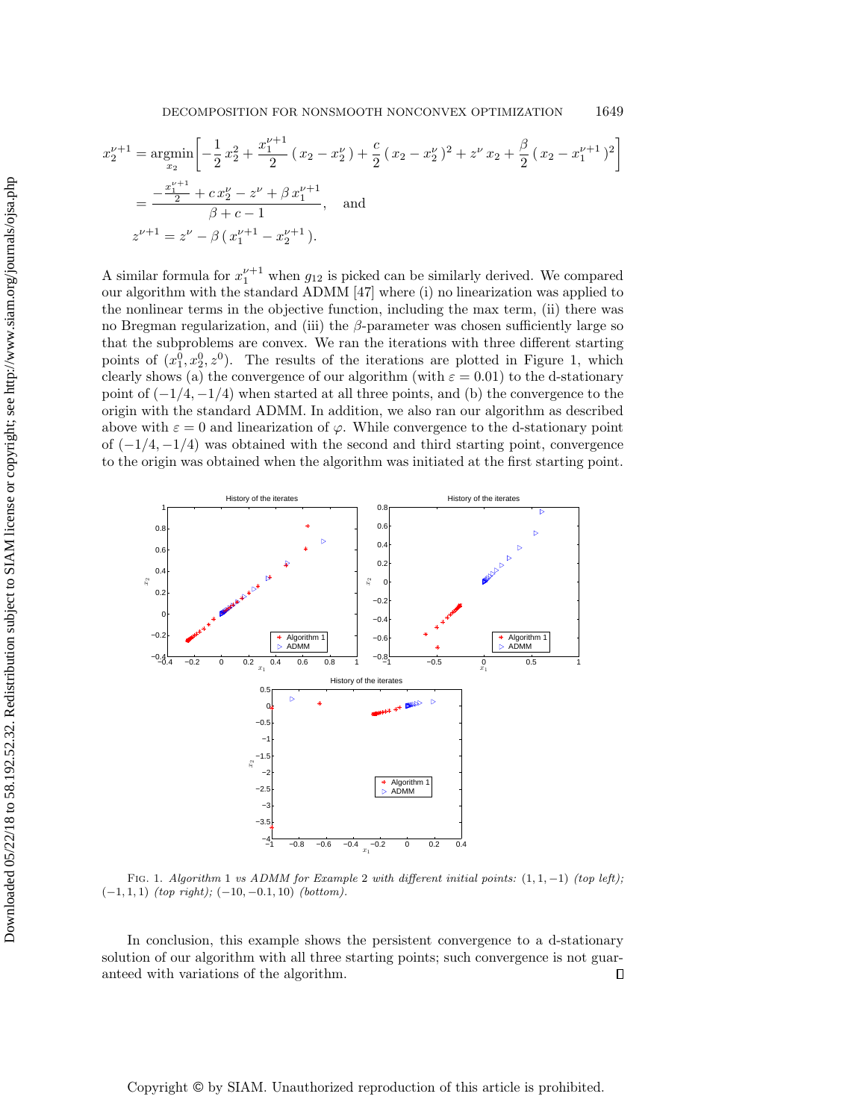$$
x_2^{\nu+1} = \underset{x_2}{\text{argmin}} \left[ -\frac{1}{2} x_2^2 + \frac{x_1^{\nu+1}}{2} (x_2 - x_2^{\nu}) + \frac{c}{2} (x_2 - x_2^{\nu})^2 + z^{\nu} x_2 + \frac{\beta}{2} (x_2 - x_1^{\nu+1})^2 \right]
$$
  
= 
$$
\frac{-\frac{x_1^{\nu+1}}{2} + cx_2^{\nu} - z^{\nu} + \beta x_1^{\nu+1}}{\beta + c - 1}, \text{ and}
$$
  

$$
z^{\nu+1} = z^{\nu} - \beta (x_1^{\nu+1} - x_2^{\nu+1}).
$$

A similar formula for  $x_1^{\nu+1}$  when  $g_{12}$  is picked can be similarly derived. We compared our algorithm with the standard ADMM [\[47\]](#page-29-4) where (i) no linearization was applied to the nonlinear terms in the objective function, including the max term, (ii) there was no Bregman regularization, and (iii) the  $\beta$ -parameter was chosen sufficiently large so that the subproblems are convex. We ran the iterations with three different starting points of  $(x_1^0, x_2^0, z^0)$ . The results of the iterations are plotted in Figure [1,](#page-9-0) which clearly shows (a) the convergence of our algorithm (with  $\varepsilon = 0.01$ ) to the d-stationary point of  $(-1/4, -1/4)$  when started at all three points, and (b) the convergence to the origin with the standard ADMM. In addition, we also ran our algorithm as described above with  $\varepsilon = 0$  and linearization of  $\varphi$ . While convergence to the d-stationary point of  $(-1/4, -1/4)$  was obtained with the second and third starting point, convergence to the origin was obtained when the algorithm was initiated at the first starting point.

<span id="page-9-0"></span>

FIG. 1. Algorithm 1 vs ADMM for Example 2 with different initial points:  $(1, 1, -1)$  (top left);  $(-1, 1, 1)$  (top right);  $(-10, -0.1, 10)$  (bottom).

In conclusion, this example shows the persistent convergence to a d-stationary solution of our algorithm with all three starting points; such convergence is not guaranteed with variations of the algorithm.  $\Box$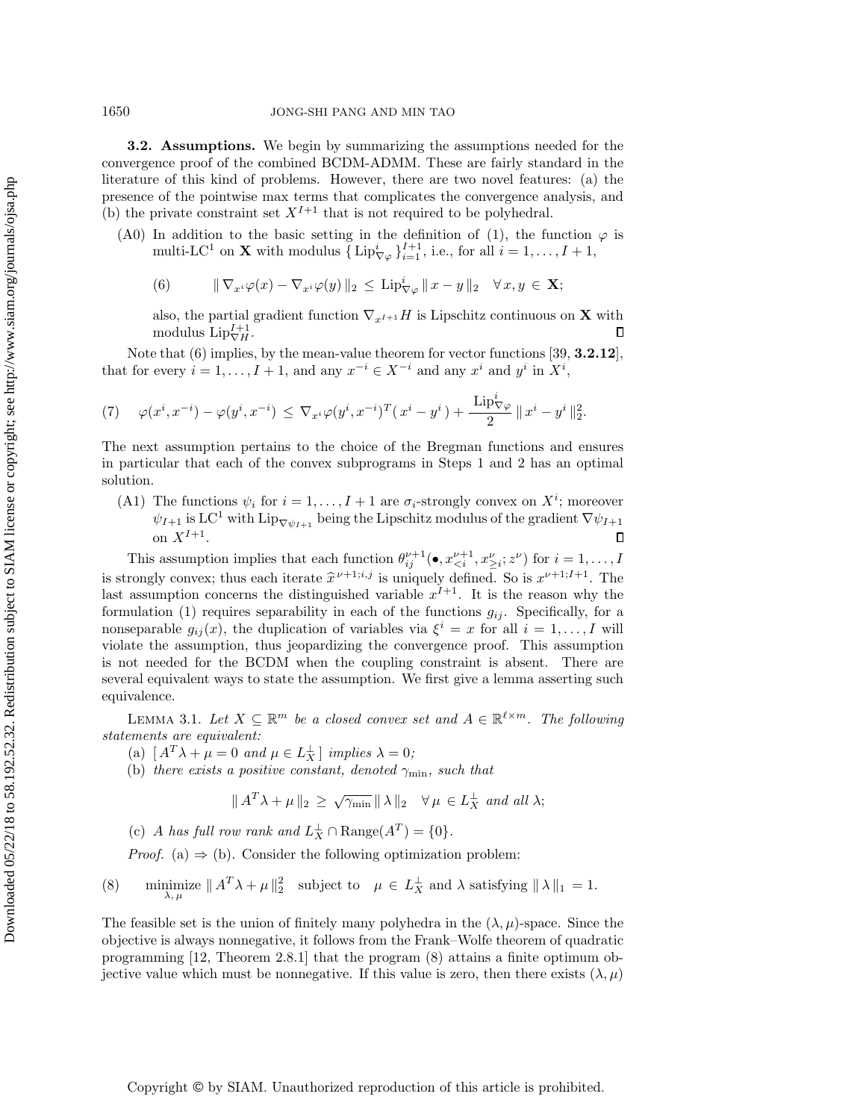<span id="page-10-0"></span>3.2. Assumptions. We begin by summarizing the assumptions needed for the convergence proof of the combined BCDM-ADMM. These are fairly standard in the literature of this kind of problems. However, there are two novel features: (a) the presence of the pointwise max terms that complicates the convergence analysis, and (b) the private constraint set  $X^{I+1}$  that is not required to be polyhedral.

(A0) In addition to the basic setting in the definition of [\(1\)](#page-1-0), the function  $\varphi$  is multi-LC<sup>1</sup> on **X** with modulus  $\{\text{Lip}_{\nabla\varphi}^{i}\}_{i=1}^{I+1}$ , i.e., for all  $i = 1, ..., I+1$ ,

<span id="page-10-1"></span>(6) 
$$
\|\nabla_{x^i}\varphi(x)-\nabla_{x^i}\varphi(y)\|_2\leq \mathrm{Lip}_{\nabla\varphi}^i\,||\,x-y\,||_2\quad\forall\,x,y\,\in\,\mathbf{X};
$$

also, the partial gradient function  $\nabla_{x^{I+1}}H$  is Lipschitz continuous on **X** with modulus  $\text{Lip}^{I+1}_{\nabla H}$ .  $\Box$ 

Note that  $(6)$  implies, by the mean-value theorem for vector functions  $[39, 3.2.12]$  $[39, 3.2.12]$ , that for every  $i = 1, ..., I + 1$ , and any  $x^{-i} \in X^{-i}$  and any  $x^{i}$  and  $y^{i}$  in  $X^{i}$ ,

<span id="page-10-4"></span>(7) 
$$
\varphi(x^i, x^{-i}) - \varphi(y^i, x^{-i}) \leq \nabla_{x^i} \varphi(y^i, x^{-i})^T (x^i - y^i) + \frac{\text{Lip}_{\nabla \varphi}^i}{2} ||x^i - y^i||_2^2.
$$

The next assumption pertains to the choice of the Bregman functions and ensures in particular that each of the convex subprograms in Steps 1 and 2 has an optimal solution.

(A1) The functions  $\psi_i$  for  $i = 1, ..., I + 1$  are  $\sigma_i$ -strongly convex on  $X^i$ ; moreover  $\psi_{I+1}$  is LC<sup>1</sup> with  $\mathrm{Lip}_{\nabla \psi_{I+1}}$  being the Lipschitz modulus of the gradient  $\nabla \psi_{I+1}$ on  $X^{I+1}$ .  $\Box$ 

This assumption implies that each function  $\theta_{ij}^{\nu+1}(\bullet, x_{\leq i}^{\nu+1}, x_{\geq i}^{\nu}; z^{\nu})$  for  $i = 1, ..., I$ is strongly convex; thus each iterate  $\hat{x}^{\nu+1;i,j}$  is uniquely defined. So is  $x^{\nu+1;I+1}$ . The last assumption concerns the distinguished variable  $x^{I+1}$ . It is the reason why the formulation [\(1\)](#page-1-0) requires separability in each of the functions  $g_{ij}$ . Specifically, for a nonseparable  $g_{ij}(x)$ , the duplication of variables via  $\xi^i = x$  for all  $i = 1, ..., I$  will violate the assumption, thus jeopardizing the convergence proof. This assumption is not needed for the BCDM when the coupling constraint is absent. There are several equivalent ways to state the assumption. We first give a lemma asserting such equivalence.

<span id="page-10-3"></span>LEMMA 3.1. Let  $X \subseteq \mathbb{R}^m$  be a closed convex set and  $A \in \mathbb{R}^{\ell \times m}$ . The following statements are equivalent:

- (a)  $[A^T \lambda + \mu = 0 \text{ and } \mu \in L_X^{\perp}]$  implies  $\lambda = 0$ ;
- (b) there exists a positive constant, denoted  $\gamma_{\min}$ , such that

$$
|| A^T \lambda + \mu ||_2 \ge \sqrt{\gamma_{\min}} || \lambda ||_2 \quad \forall \mu \in L_X^{\perp} \text{ and all } \lambda;
$$

(c) A has full row rank and  $L_X^{\perp} \cap \text{Range}(A^T) = \{0\}.$ 

<span id="page-10-2"></span>*Proof.* (a)  $\Rightarrow$  (b). Consider the following optimization problem:

(8) minimize  $|| A^T \lambda + \mu ||_2^2$  subject to  $\mu \in L_X^{\perp}$  and  $\lambda$  satisfying  $|| \lambda ||_1 = 1$ .

The feasible set is the union of finitely many polyhedra in the  $(\lambda, \mu)$ -space. Since the objective is always nonnegative, it follows from the Frank–Wolfe theorem of quadratic programming [\[12,](#page-27-15) Theorem 2.8.1] that the program [\(8\)](#page-10-2) attains a finite optimum objective value which must be nonnegative. If this value is zero, then there exists  $(\lambda, \mu)$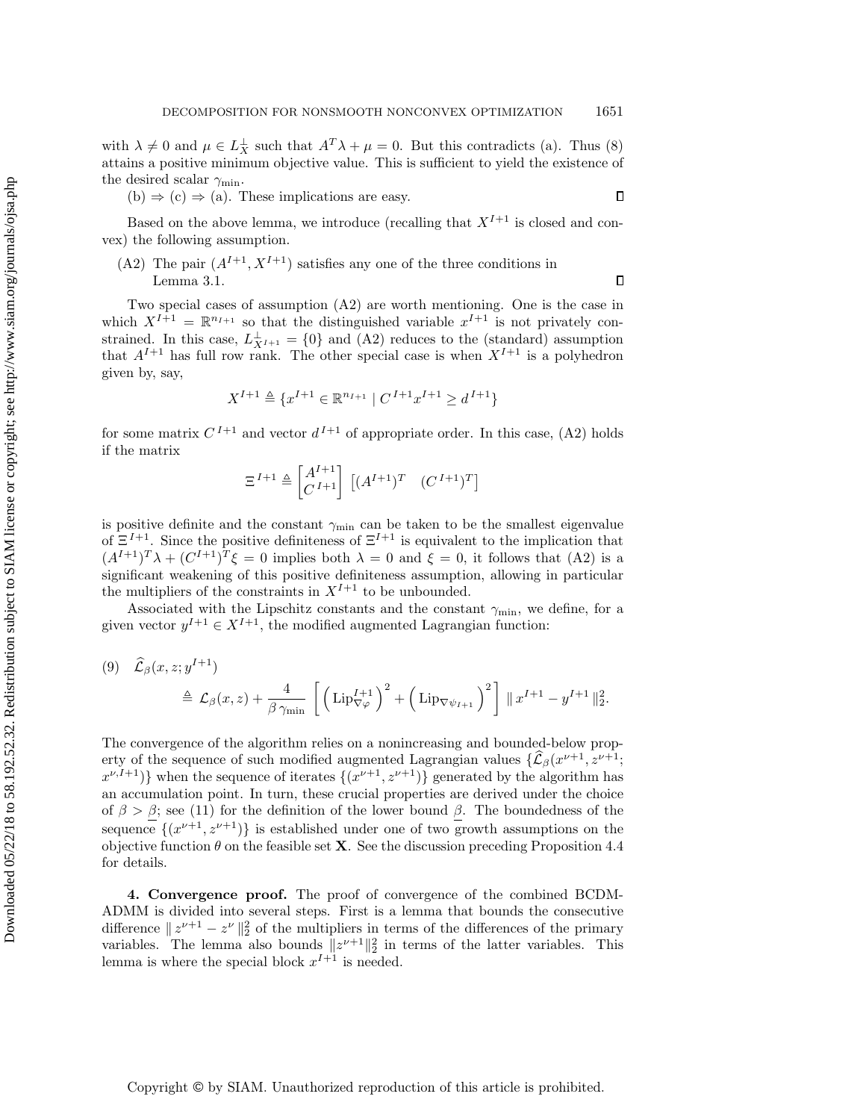$\Box$ 

 $\Box$ 

with  $\lambda \neq 0$  and  $\mu \in L_X^{\perp}$  such that  $A^T \lambda + \mu = 0$ . But this contradicts (a). Thus [\(8\)](#page-10-2) attains a positive minimum objective value. This is sufficient to yield the existence of the desired scalar  $\gamma_{\rm min}$ .

 $(b) \Rightarrow (c) \Rightarrow (a)$ . These implications are easy.

Based on the above lemma, we introduce (recalling that  $X^{I+1}$  is closed and convex) the following assumption.

(A2) The pair  $(A^{I+1}, X^{I+1})$  satisfies any one of the three conditions in Lemma 3.[1.](#page-10-3)

Two special cases of assumption (A2) are worth mentioning. One is the case in which  $X^{I+1} = \mathbb{R}^{n_{I+1}}$  so that the distinguished variable  $x^{I+1}$  is not privately constrained. In this case,  $L^{\perp}_{X^{I+1}} = \{0\}$  and  $(A2)$  reduces to the (standard) assumption that  $A^{I+1}$  has full row rank. The other special case is when  $X^{I+1}$  is a polyhedron given by, say,

$$
X^{I+1} \triangleq \{x^{I+1} \in \mathbb{R}^{n_{I+1}} \mid C^{I+1}x^{I+1} \ge d^{I+1}\}
$$

for some matrix  $C^{I+1}$  and vector  $d^{I+1}$  of appropriate order. In this case, (A2) holds if the matrix

$$
\Xi^{I+1} \triangleq \begin{bmatrix} A^{I+1} \\ C^{I+1} \end{bmatrix} \begin{bmatrix} (A^{I+1})^T & (C^{I+1})^T \end{bmatrix}
$$

is positive definite and the constant  $\gamma_{\rm min}$  can be taken to be the smallest eigenvalue of  $\Xi^{I+1}$ . Since the positive definiteness of  $\Xi^{I+1}$  is equivalent to the implication that  $(A^{I+1})^T \lambda + (C^{I+1})^T \xi = 0$  implies both  $\lambda = 0$  and  $\xi = 0$ , it follows that  $(A2)$  is a significant weakening of this positive definiteness assumption, allowing in particular the multipliers of the constraints in  $X^{I+1}$  to be unbounded.

Associated with the Lipschitz constants and the constant  $\gamma_{\min}$ , we define, for a given vector  $y^{I+1} \in X^{I+1}$ , the modified augmented Lagrangian function:

<span id="page-11-2"></span>
$$
(9) \quad \widehat{\mathcal{L}}_{\beta}(x,z;y^{I+1}) \le \hat{\mathcal{L}}_{\beta}(x,z) + \frac{4}{\beta \gamma_{\min}} \left[ \left( \mathrm{Lip}_{\nabla \varphi}^{I+1} \right)^2 + \left( \mathrm{Lip}_{\nabla \psi_{I+1}} \right)^2 \right] \|x^{I+1} - y^{I+1}\|_2^2.
$$

The convergence of the algorithm relies on a nonincreasing and bounded-below property of the sequence of such modified augmented Lagrangian values  $\{\widehat{\mathcal{L}}_{\beta}(x^{\nu+1}, z^{\nu+1};$  $\{x^{\nu,I+1}\}\$  when the sequence of iterates  $\{(x^{\nu+1}, z^{\nu+1})\}$  generated by the algorithm has an accumulation point. In turn, these crucial properties are derived under the choice of  $\beta > \beta$ ; see [\(11\)](#page-16-1) for the definition of the lower bound  $\beta$ . The boundedness of the sequence  $\{(x^{\nu+1}, z^{\nu+1})\}$  is established under one of two growth assumptions on the objective function  $\theta$  on the feasible set **X**. See the discussion preceding Proposition [4](#page-18-0).4 for details.

<span id="page-11-1"></span><span id="page-11-0"></span>4. Convergence proof. The proof of convergence of the combined BCDM-ADMM is divided into several steps. First is a lemma that bounds the consecutive difference  $||z^{\nu+1} - z^{\nu}||_2^2$  of the multipliers in terms of the differences of the primary variables. The lemma also bounds  $||z^{\nu+1}||_2^2$  in terms of the latter variables. This lemma is where the special block  $x^{I+1}$  is needed.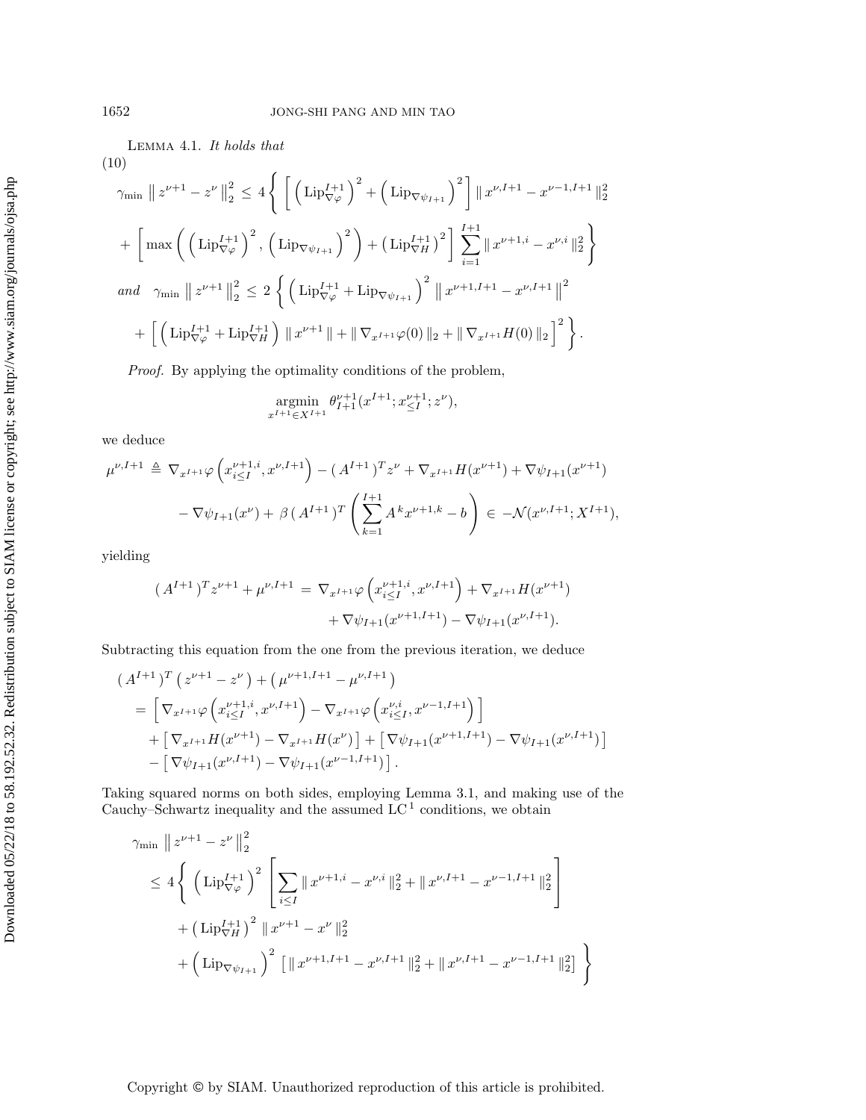Lemma 4.1. It holds that

<span id="page-12-0"></span>(10)  
\n
$$
\gamma_{\min} \left\| z^{\nu+1} - z^{\nu} \right\|_{2}^{2} \leq 4 \left\{ \left[ \left( \text{Lip}_{\nabla \varphi}^{I+1} \right)^{2} + \left( \text{Lip}_{\nabla \psi_{I+1}} \right)^{2} \right] \left\| x^{\nu,I+1} - x^{\nu-1,I+1} \right\|_{2}^{2} + \left[ \max \left( \left( \text{Lip}_{\nabla \varphi}^{I+1} \right)^{2}, \left( \text{Lip}_{\nabla \psi_{I+1}} \right)^{2} \right) + \left( \text{Lip}_{\nabla H}^{I+1} \right)^{2} \right] \sum_{i=1}^{I+1} \left\| x^{\nu+1,i} - x^{\nu,i} \right\|_{2}^{2} \right\}
$$
  
\nand 
$$
\gamma_{\min} \left\| z^{\nu+1} \right\|_{2}^{2} \leq 2 \left\{ \left( \text{Lip}_{\nabla \varphi}^{I+1} + \text{Lip}_{\nabla \psi_{I+1}} \right)^{2} \left\| x^{\nu+1,I+1} - x^{\nu,I+1} \right\|^{2} + \left[ \left( \text{Lip}_{\nabla \varphi}^{I+1} + \text{Lip}_{\nabla H}^{I+1} \right) \left\| x^{\nu+1} \right\| + \left\| \nabla_{x^{I+1}} \varphi(0) \right\|_{2} + \left\| \nabla_{x^{I+1}} H(0) \right\|_{2} \right]^{2} \right\}.
$$

Proof. By applying the optimality conditions of the problem,

$$
\underset{x^{I+1} \in X^{I+1}}{\operatorname{argmin}} \ \theta_{I+1}^{\nu+1}(x^{I+1}; x_{\leq I}^{\nu+1}; z^{\nu}),
$$

we deduce

$$
\mu^{\nu,I+1} \triangleq \nabla_{x^{I+1}} \varphi \left( x_{i \leq I}^{\nu+1,i}, x^{\nu,I+1} \right) - (A^{I+1})^T z^{\nu} + \nabla_{x^{I+1}} H(x^{\nu+1}) + \nabla \psi_{I+1}(x^{\nu+1})
$$

$$
- \nabla \psi_{I+1}(x^{\nu}) + \beta (A^{I+1})^T \left( \sum_{k=1}^{I+1} A^k x^{\nu+1,k} - b \right) \in -\mathcal{N}(x^{\nu,I+1}; X^{I+1}),
$$

yielding

$$
(A^{I+1})^T z^{\nu+1} + \mu^{\nu,I+1} = \nabla_{x^{I+1}} \varphi \left( x_{i \leq I}^{\nu+1,i}, x^{\nu,I+1} \right) + \nabla_{x^{I+1}} H(x^{\nu+1}) + \nabla \psi_{I+1}(x^{\nu+1,I+1}) - \nabla \psi_{I+1}(x^{\nu,I+1}).
$$

Subtracting this equation from the one from the previous iteration, we deduce

$$
(A^{I+1})^T (z^{\nu+1} - z^{\nu}) + (\mu^{\nu+1,I+1} - \mu^{\nu,I+1})
$$
  
= 
$$
\left[ \nabla_{x^{I+1}} \varphi \left( x_{i \leq I}^{\nu+1,i}, x^{\nu,I+1} \right) - \nabla_{x^{I+1}} \varphi \left( x_{i \leq I}^{\nu,i}, x^{\nu-1,I+1} \right) \right]
$$
  
+ 
$$
\left[ \nabla_{x^{I+1}} H(x^{\nu+1}) - \nabla_{x^{I+1}} H(x^{\nu}) \right] + \left[ \nabla \psi_{I+1}(x^{\nu+1,I+1}) - \nabla \psi_{I+1}(x^{\nu,I+1}) \right]
$$
  
- 
$$
\left[ \nabla \psi_{I+1}(x^{\nu,I+1}) - \nabla \psi_{I+1}(x^{\nu-1,I+1}) \right].
$$

Taking squared norms on both sides, employing Lemma [3.1,](#page-10-3) and making use of the Cauchy–Schwartz inequality and the assumed  $LC<sup>1</sup>$  conditions, we obtain

2

$$
\gamma_{\min} \| z^{\nu+1} - z^{\nu} \|_{2}^{2}
$$
\n
$$
\leq 4 \left\{ \left( \mathrm{Lip}_{\nabla \varphi}^{I+1} \right)^{2} \left[ \sum_{i \leq I} \| x^{\nu+1,i} - x^{\nu,i} \|_{2}^{2} + \| x^{\nu,I+1} - x^{\nu-1,I+1} \|_{2}^{2} \right] + \left( \mathrm{Lip}_{\nabla H}^{I+1} \right)^{2} \| x^{\nu+1} - x^{\nu} \|_{2}^{2}
$$
\n
$$
+ \left( \mathrm{Lip}_{\nabla \psi_{I+1}} \right)^{2} \left[ \| x^{\nu+1,I+1} - x^{\nu,I+1} \|_{2}^{2} + \| x^{\nu,I+1} - x^{\nu-1,I+1} \|_{2}^{2} \right] \right\}
$$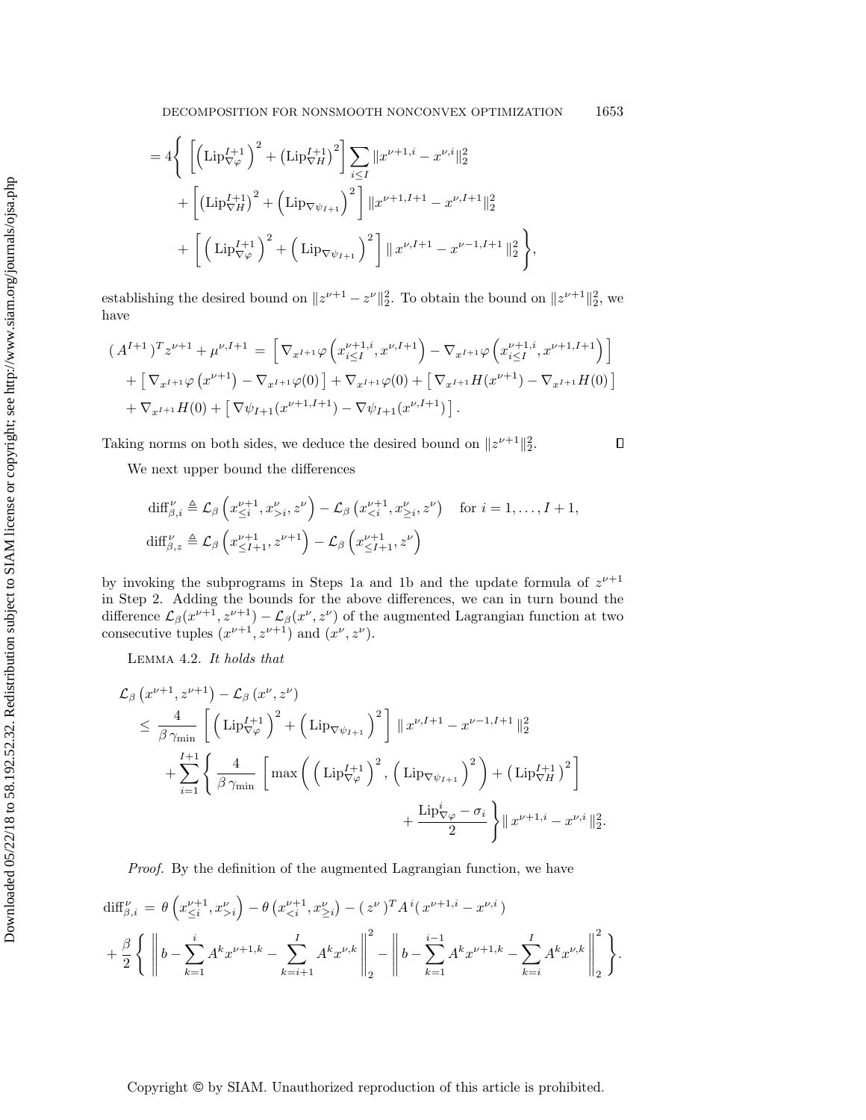$$
=4\Bigg\{\left[\left(\text{Lip}_{\nabla\varphi}^{I+1}\right)^2+\left(\text{Lip}_{\nabla H}^{I+1}\right)^2\right]\sum_{i\leq I}||x^{\nu+1,i}-x^{\nu,i}||_2^2
$$
  
+
$$
\left[\left(\text{Lip}_{\nabla H}^{I+1}\right)^2+\left(\text{Lip}_{\nabla\psi_{I+1}}\right)^2\right]||x^{\nu+1,I+1}-x^{\nu,I+1}||_2^2
$$
  
+
$$
\left[\left(\text{Lip}_{\nabla\varphi}^{I+1}\right)^2+\left(\text{Lip}_{\nabla\psi_{I+1}}\right)^2\right]||x^{\nu,I+1}-x^{\nu-1,I+1}||_2^2\Bigg\},\end{aligned}
$$

establishing the desired bound on  $||z^{\nu+1} - z^{\nu}||_2^2$ . To obtain the bound on  $||z^{\nu+1}||_2^2$ , we have

$$
(A^{I+1})^{T} z^{\nu+1} + \mu^{\nu,I+1} = \left[ \nabla_{x^{I+1}} \varphi \left( x_{i \leq I}^{\nu+1,i}, x^{\nu,I+1} \right) - \nabla_{x^{I+1}} \varphi \left( x_{i \leq I}^{\nu+1,i}, x^{\nu+1,I+1} \right) \right] + \left[ \nabla_{x^{I+1}} \varphi \left( x^{\nu+1} \right) - \nabla_{x^{I+1}} \varphi(0) \right] + \nabla_{x^{I+1}} \varphi(0) + \left[ \nabla_{x^{I+1}} H(x^{\nu+1}) - \nabla_{x^{I+1}} H(0) \right] + \nabla_{x^{I+1}} H(0) + \left[ \nabla \psi_{I+1}(x^{\nu+1,I+1}) - \nabla \psi_{I+1}(x^{\nu,I+1}) \right].
$$

Taking norms on both sides, we deduce the desired bound on  $||z^{\nu+1}||_2^2$ .

 $\Box$ 

We next upper bound the differences

$$
\mathrm{diff}_{\beta,i}^{\nu} \triangleq \mathcal{L}_{\beta}\left(x_{\leq i}^{\nu+1}, x_{>i}^{\nu}, z^{\nu}\right) - \mathcal{L}_{\beta}\left(x_{  

$$
\mathrm{diff}_{\beta,z}^{\nu} \triangleq \mathcal{L}_{\beta}\left(x_{\leq I+1}^{\nu+1}, z^{\nu+1}\right) - \mathcal{L}_{\beta}\left(x_{\leq I+1}^{\nu+1}, z^{\nu}\right)
$$
$$

by invoking the subprograms in Steps 1a and 1b and the update formula of  $z^{\nu+1}$ in Step 2. Adding the bounds for the above differences, we can in turn bound the difference  $\mathcal{L}_{\beta}(x^{\nu+1}, z^{\nu+1}) - \mathcal{L}_{\beta}(x^{\nu}, z^{\nu})$  of the augmented Lagrangian function at two consecutive tuples  $(x^{\nu+1}, z^{\nu+1})$  and  $(x^{\nu}, z^{\nu})$ .

<span id="page-13-0"></span>Lemma 4.2. It holds that

$$
\mathcal{L}_{\beta} (x^{\nu+1}, z^{\nu+1}) - \mathcal{L}_{\beta} (x^{\nu}, z^{\nu}) \n\leq \frac{4}{\beta \gamma_{\min}} \left[ \left( \text{Lip}_{\nabla \varphi}^{I+1} \right)^2 + \left( \text{Lip}_{\nabla \psi_{I+1}} \right)^2 \right] \| x^{\nu, I+1} - x^{\nu-1, I+1} \|_2^2 \n+ \sum_{i=1}^{I+1} \left\{ \frac{4}{\beta \gamma_{\min}} \left[ \max \left( \left( \text{Lip}_{\nabla \varphi}^{I+1} \right)^2, \left( \text{Lip}_{\nabla \psi_{I+1}} \right)^2 \right) + \left( \text{Lip}_{\nabla H}^{I+1} \right)^2 \right] \n+ \frac{\text{Lip}_{\nabla \varphi}^i - \sigma_i}{2} \right\} \| x^{\nu+1,i} - x^{\nu,i} \|_2^2.
$$

Proof. By the definition of the augmented Lagrangian function, we have

$$
\mathrm{diff}_{\beta,i}^{\nu} = \theta \left( x_{\leq i}^{\nu+1}, x_{>i}^{\nu} \right) - \theta \left( x_{+ \frac{\beta}{2} \left\{ \left\| b - \sum_{k=1}^{i} A^{k} x^{\nu+1,k} - \sum_{k=i+1}^{I} A^{k} x^{\nu,k} \right\|_{2}^{2} - \left\| b - \sum_{k=1}^{i-1} A^{k} x^{\nu+1,k} - \sum_{k=i}^{I} A^{k} x^{\nu,k} \right\|_{2}^{2} \right\}.
$$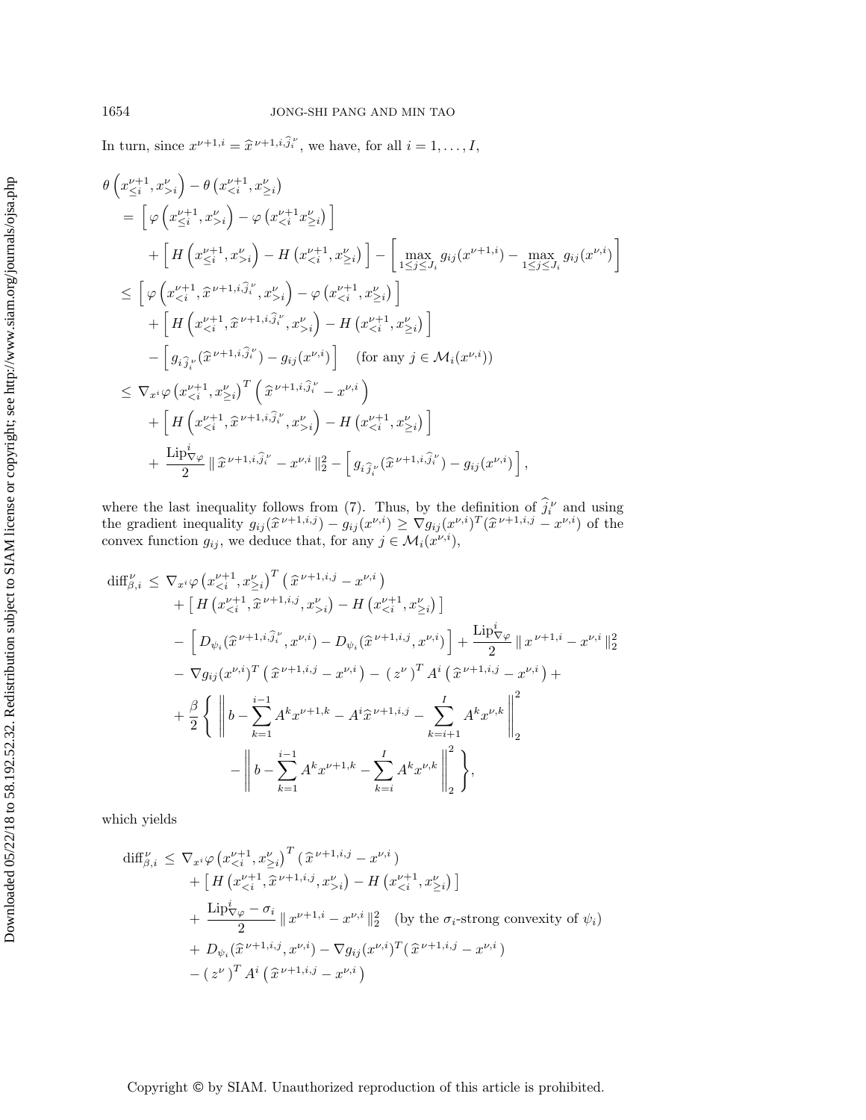In turn, since  $x^{\nu+1,i} = \hat{x}^{\nu+1,i,\hat{j}^{\nu}}$ , we have, for all  $i = 1, ..., I$ ,

$$
\theta\left(x_{\leq i}^{\nu+1}, x_{>i}^{\nu}\right) - \theta\left(x_{\n= \left[\varphi\left(x_{\leq i}^{\nu+1}, x_{>i}^{\nu}\right) - \varphi\left(x_{\n+ \left[H\left(x_{\leq i}^{\nu+1}, x_{>i}^{\nu}\right) - H\left(x_{\n\leq \left[\varphi\left(x_{i}^{\nu}\right) - \varphi\left(x_{\n+ \left[H\left(x_{i}^{\nu}\right) - H\left(x_{\n- \left[g_{i\hat{j}^{\nu}}(\hat{x}^{\nu+1,i,\hat{j}^{\nu}}_i) - g_{ij}(x^{\nu,i})\right] \quad \text{(for any } j \in \mathcal{M}_i(x^{\nu,i})) \n\leq \nabla_{x^{i}}\varphi\left(x_{\n+ \left[H\left(x_{i}^{\nu}\right) - H\left(x_{\n+ \frac{\text{Lip}_{\nabla\varphi}^{i}}{2} \|\hat{x}^{\nu+1,i,\hat{j}^{\nu}}_i - x^{\nu,i}\|_{2}^{2} - \left[g_{i\hat{j}^{\nu}}(\hat{x}^{\nu+1,i,\hat{j}^{\nu}}_i) - g_{ij}(
$$

where the last inequality follows from [\(7\)](#page-10-4). Thus, by the definition of  $\hat{j}_i^{\nu}$  and using the gradient inequality  $g_{ij}(\hat{x}^{\nu+1,i,j}) - g_{ij}(x^{\nu,i}) \geq \nabla g_{ij}(x^{\nu,i})^T(\hat{x}^{\nu+1,i,j} - x^{\nu,i})$  of the convox function  $g_{\mu\nu}$  we deduce that for any  $i \in M_1(x^{\nu,i})$ convex function  $g_{ij}$ , we deduce that, for any  $j \in \mathcal{M}_i(x^{\nu,i}),$ 

$$
\begin{split}\n\text{diff}_{\beta,i}^{\nu} &\leq \nabla_{x^{i}} \varphi \left( x_{\leq i}^{\nu+1}, x_{\geq i}^{\nu} \right)^{T} \left( \hat{x}^{\nu+1,i,j} - x^{\nu,i} \right) \\
&+ \left[ H \left( x_{\leq i}^{\nu+1}, \hat{x}^{\nu+1,i,j}, x_{\geq i}^{\nu} \right) - H \left( x_{\leq i}^{\nu+1}, x_{\geq i}^{\nu} \right) \right] \\
&- \left[ D_{\psi_{i}} (\hat{x}^{\nu+1,i,\hat{j}^{\nu}} , x^{\nu,i}) - D_{\psi_{i}} (\hat{x}^{\nu+1,i,j}, x^{\nu,i}) \right] + \frac{\text{Lip}_{\nabla\varphi}^{i}}{2} \left\| x^{\nu+1,i} - x^{\nu,i} \right\|_{2}^{2} \\
&- \nabla g_{ij} (x^{\nu,i})^{T} \left( \hat{x}^{\nu+1,i,j} - x^{\nu,i} \right) - \left( z^{\nu} \right)^{T} A^{i} \left( \hat{x}^{\nu+1,i,j} - x^{\nu,i} \right) + \\
&+ \frac{\beta}{2} \left\{ \left\| b - \sum_{k=1}^{i-1} A^{k} x^{\nu+1,k} - A^{i} \hat{x}^{\nu+1,i,j} - \sum_{k=i+1}^{I} A^{k} x^{\nu,k} \right\|_{2}^{2} \right. \\
&- \left\| b - \sum_{k=1}^{i-1} A^{k} x^{\nu+1,k} - \sum_{k=i}^{I} A^{k} x^{\nu,k} \right\|_{2}^{2} \left. \right\},\n\end{split}
$$

which yields

$$
\begin{split} \n\text{diff}^{\nu}_{\beta,i} &\leq \nabla_{x^i} \varphi \left( x^{\nu+1}_{\leq i}, x^{\nu}_{\geq i} \right)^T \left( \hat{x}^{\nu+1,i,j} - x^{\nu,i} \right) \\ \n&+ \left[ H \left( x^{\nu+1}_{\leq i}, \hat{x}^{\nu+1,i,j}, x^{\nu}_{\geq i} \right) - H \left( x^{\nu+1}_{\leq i}, x^{\nu}_{\geq i} \right) \right] \\ \n&+ \frac{\text{Lip}_{\nabla \varphi}^i - \sigma_i}{2} \left\| x^{\nu+1,i} - x^{\nu,i} \right\|_2^2 \quad \text{(by the } \sigma_i\text{-strong convexity of } \psi_i) \\ \n&+ D_{\psi_i}(\hat{x}^{\nu+1,i,j}, x^{\nu,i}) - \nabla g_{ij}(x^{\nu,i})^T (\hat{x}^{\nu+1,i,j} - x^{\nu,i}) \\ \n&- \left( z^{\nu} \right)^T A^i \left( \hat{x}^{\nu+1,i,j} - x^{\nu,i} \right) \n\end{split}
$$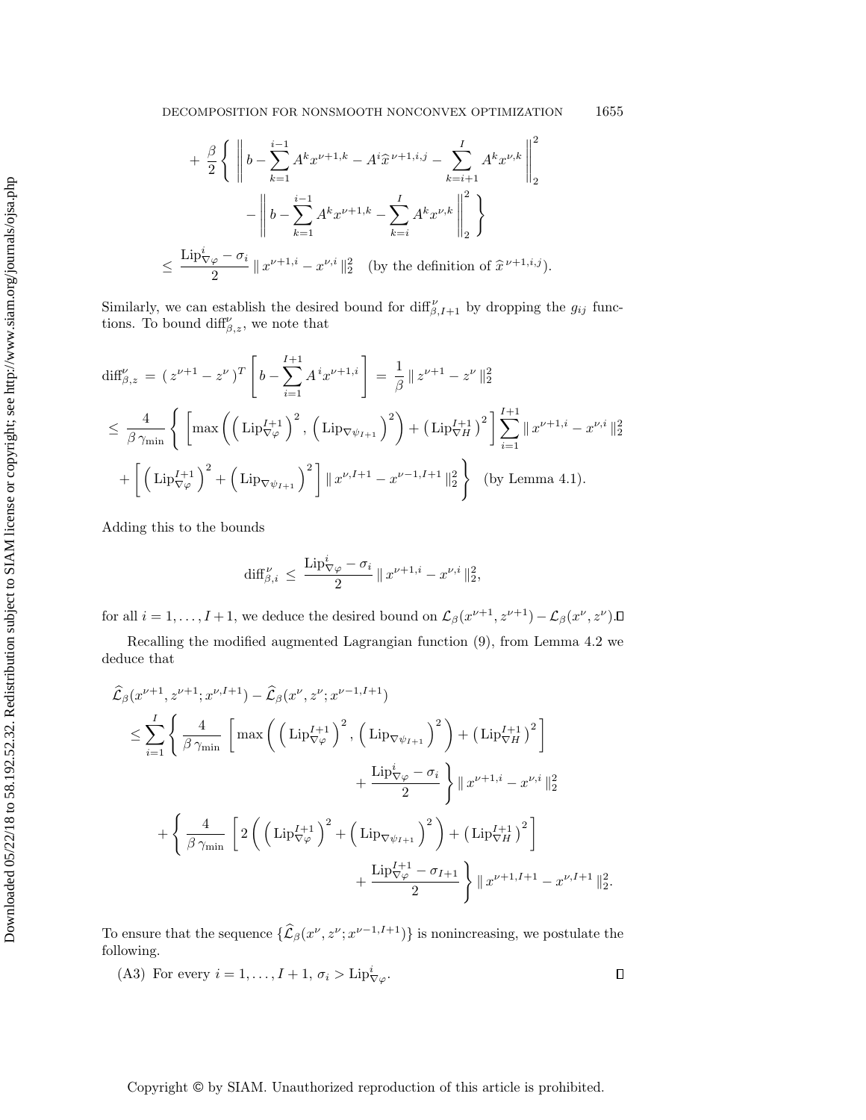$$
+ \frac{\beta}{2} \Bigg\{ \left\| b - \sum_{k=1}^{i-1} A^k x^{\nu+1,k} - A^i \hat{x}^{\nu+1,i,j} - \sum_{k=i+1}^I A^k x^{\nu,k} \right\|_2^2
$$
  

$$
- \left\| b - \sum_{k=1}^{i-1} A^k x^{\nu+1,k} - \sum_{k=i}^I A^k x^{\nu,k} \right\|_2^2 \Bigg\}
$$
  

$$
\leq \frac{\text{Lip}_{\nabla \varphi}^i - \sigma_i}{2} \| x^{\nu+1,i} - x^{\nu,i} \|_2^2 \quad \text{(by the definition of } \hat{x}^{\nu+1,i,j}).
$$

Similarly, we can establish the desired bound for  $\text{diff}_{\beta,I+1}^{\nu}$  by dropping the  $g_{ij}$  functions. To bound  $\text{diff}_{\beta,z}^{\nu}$ , we note that

$$
\begin{split} \n\text{diff}_{\beta,z}^{\nu} &= \left(z^{\nu+1} - z^{\nu}\right)^{T} \left[b - \sum_{i=1}^{I+1} A^{i} x^{\nu+1,i}\right] = \frac{1}{\beta} \left\|z^{\nu+1} - z^{\nu}\right\|_{2}^{2} \\ \n&\leq \frac{4}{\beta \gamma_{\min}} \left\{ \left[\max \left(\left(\text{Lip}_{\nabla\varphi}^{I+1}\right)^{2}, \left(\text{Lip}_{\nabla\psi_{I+1}}\right)^{2}\right) + \left(\text{Lip}_{\nabla H}^{I+1}\right)^{2}\right] \sum_{i=1}^{I+1} \left\|x^{\nu+1,i} - x^{\nu,i}\right\|_{2}^{2} \\ \n&\quad + \left[\left(\text{Lip}_{\nabla\varphi}^{I+1}\right)^{2} + \left(\text{Lip}_{\nabla\psi_{I+1}}\right)^{2}\right] \left\|x^{\nu,I+1} - x^{\nu-1,I+1}\right\|_{2}^{2} \right\} \quad \text{(by Lemma 4.1)}. \n\end{split}
$$

Adding this to the bounds

$$
\mathrm{diff}_{\beta,i}^{\nu}\,\leq\,\frac{\mathrm{Lip}_{\nabla\varphi}^{i}-\sigma_{i}}{2}\,\|\,x^{\nu+1,i}-x^{\nu,i}\,\|_{2}^{2},
$$

for all  $i = 1, ..., I+1$ , we deduce the desired bound on  $\mathcal{L}_{\beta}(x^{\nu+1}, z^{\nu+1}) - \mathcal{L}_{\beta}(x^{\nu}, z^{\nu})$ .

Recalling the modified augmented Lagrangian function [\(9\)](#page-11-2), from Lemma [4](#page-13-0).2 we deduce that

$$
\hat{\mathcal{L}}_{\beta}(x^{\nu+1}, z^{\nu+1}; x^{\nu,I+1}) - \hat{\mathcal{L}}_{\beta}(x^{\nu}, z^{\nu}; x^{\nu-1,I+1})
$$
\n
$$
\leq \sum_{i=1}^{I} \left\{ \frac{4}{\beta \gamma_{\min}} \left[ \max \left( \left( \text{Lip}_{\nabla \varphi}^{I+1} \right)^{2}, \left( \text{Lip}_{\nabla \psi_{I+1}} \right)^{2} \right) + \left( \text{Lip}_{\nabla H}^{I+1} \right)^{2} \right] + \frac{\text{Lip}_{\nabla \varphi}^{i} - \sigma_{i}}{2} \right\} \| x^{\nu+1,i} - x^{\nu,i} \|_{2}^{2}
$$
\n
$$
+ \left\{ \frac{4}{\beta \gamma_{\min}} \left[ 2 \left( \left( \text{Lip}_{\nabla \varphi}^{I+1} \right)^{2} + \left( \text{Lip}_{\nabla \psi_{I+1}} \right)^{2} \right) + \left( \text{Lip}_{\nabla H}^{I+1} \right)^{2} \right] + \frac{\text{Lip}_{\nabla \varphi}^{I+1} - \sigma_{I+1}}{2} \right\} \| x^{\nu+1,I+1} - x^{\nu,I+1} \|_{2}^{2}.
$$

To ensure that the sequence  $\{\widehat{\mathcal{L}}_{\beta}(x^{\nu}, z^{\nu}; x^{\nu-1,I+1})\}$  is nonincreasing, we postulate the following.

(A3) For every 
$$
i = 1, ..., I + 1
$$
,  $\sigma_i > \text{Lip}_{\nabla \varphi}^i$ .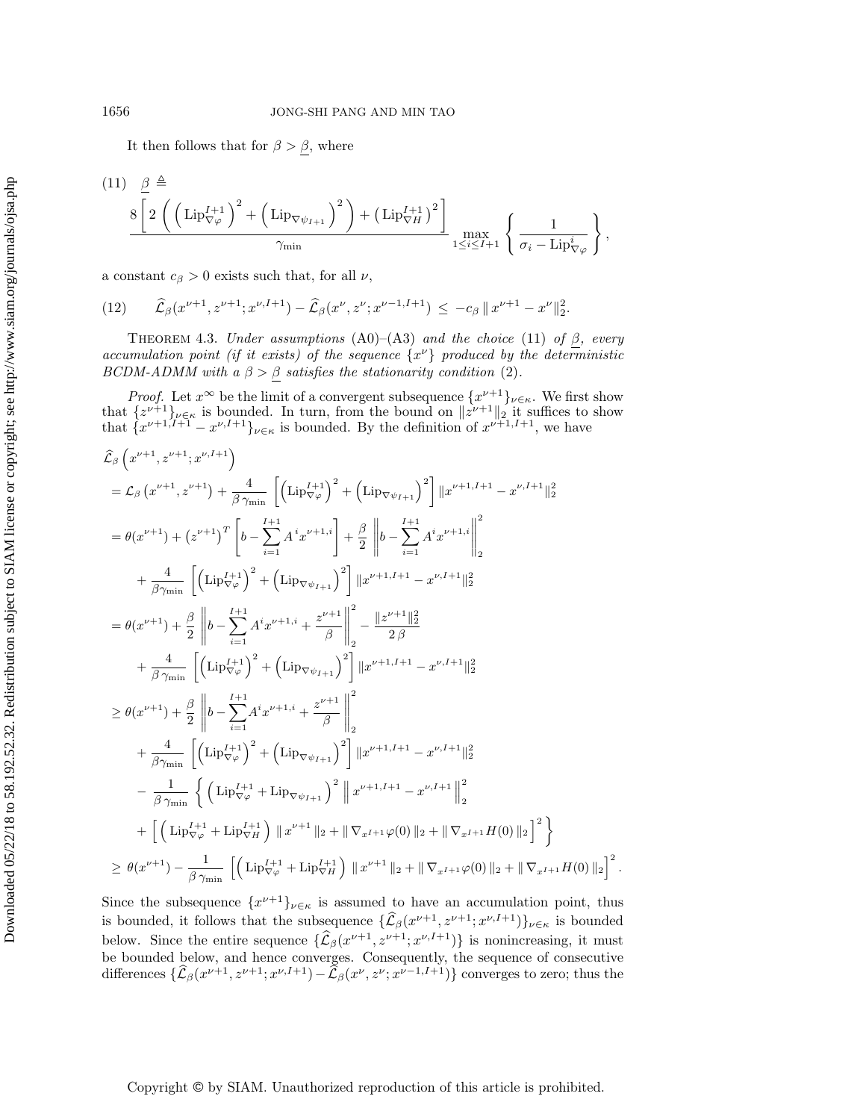It then follows that for  $\beta > \beta$ , where

<span id="page-16-1"></span>(11) 
$$
\frac{\beta}{\gamma} \stackrel{\triangle}{=} \frac{8 \left[ 2 \left( \left( \text{Lip}_{\nabla \varphi}^{I+1} \right)^2 + \left( \text{Lip}_{\nabla \psi_{I+1}} \right)^2 \right) + \left( \text{Lip}_{\nabla H}^{I+1} \right)^2 \right]}{\gamma_{\min}} \max_{1 \leq i \leq I+1} \left\{ \frac{1}{\sigma_i - \text{Lip}_{\nabla \varphi}^i} \right\},
$$

a constant  $c_{\beta} > 0$  exists such that, for all  $\nu$ ,

<span id="page-16-2"></span>(12) 
$$
\widehat{\mathcal{L}}_{\beta}(x^{\nu+1}, z^{\nu+1}; x^{\nu,I+1}) - \widehat{\mathcal{L}}_{\beta}(x^{\nu}, z^{\nu}; x^{\nu-1,I+1}) \leq -c_{\beta} \|x^{\nu+1} - x^{\nu}\|_{2}^{2}.
$$

<span id="page-16-0"></span>THEOREM 4.3. Under assumptions (A0)–(A3) and the choice [\(11\)](#page-16-1) of  $\beta$ , every accumulation point (if it exists) of the sequence  $\{x^{\nu}\}\$  produced by the deterministic BCDM-ADMM with  $a \beta > \beta$  satisfies the stationarity condition [\(2\)](#page-3-0).

*Proof.* Let  $x^{\infty}$  be the limit of a convergent subsequence  $\{x^{\nu+1}\}_{\nu \in \kappa}$ . We first show that  $\{z^{\nu+1}\}_{\nu\in\kappa}$  is bounded. In turn, from the bound on  $||z^{\nu+1}||_2$  it suffices to show that  $\{x^{\nu+1},x^{1}+1}-x^{\nu,1+1}\}_{\nu\in\kappa}$  is bounded. By the definition of  $x^{\nu+1},x^{1}+1}$ , we have

$$
\hat{\mathcal{L}}_{\beta}\left(x^{\nu+1}, z^{\nu+1}; x^{\nu,I+1}\right)
$$
\n
$$
= \mathcal{L}_{\beta}\left(x^{\nu+1}, z^{\nu+1}\right) + \frac{4}{\beta \gamma_{\min}} \left[ \left(\text{Lip}_{\nabla\varphi}^{I+1}\right)^{2} + \left(\text{Lip}_{\nabla\psi_{I+1}}\right)^{2} \right] \|x^{\nu+1,I+1} - x^{\nu,I+1}\|_{2}^{2}
$$
\n
$$
= \theta(x^{\nu+1}) + \left(z^{\nu+1}\right)^{T} \left[ b - \sum_{i=1}^{I+1} A^{i}x^{\nu+1,i} \right] + \frac{\beta}{2} \left\| b - \sum_{i=1}^{I+1} A^{i}x^{\nu+1,i} \right\|_{2}^{2}
$$
\n
$$
+ \frac{4}{\beta \gamma_{\min}} \left[ \left(\text{Lip}_{\nabla\varphi}^{I+1}\right)^{2} + \left(\text{Lip}_{\nabla\psi_{I+1}}\right)^{2} \right] \|x^{\nu+1,I+1} - x^{\nu,I+1}\|_{2}^{2}
$$
\n
$$
= \theta(x^{\nu+1}) + \frac{\beta}{2} \left\| b - \sum_{i=1}^{I+1} A^{i}x^{\nu+1,i} + \frac{z^{\nu+1}}{\beta} \right\|_{2}^{2} - \frac{\|z^{\nu+1}\|_{2}^{2}}{2\beta}
$$
\n
$$
+ \frac{4}{\beta \gamma_{\min}} \left[ \left(\text{Lip}_{\nabla\varphi}^{I+1}\right)^{2} + \left(\text{Lip}_{\nabla\psi_{I+1}}\right)^{2} \right] \|x^{\nu+1,I+1} - x^{\nu,I+1}\|_{2}^{2}
$$
\n
$$
\geq \theta(x^{\nu+1}) + \frac{\beta}{2} \left\| b - \sum_{i=1}^{I+1} A^{i}x^{\nu+1,i} + \frac{z^{\nu+1}}{\beta} \right\|_{2}^{2}
$$
\n
$$
+ \frac{4}{\beta \gamma_{\min}} \left[ \left(\text{Lip}_{\nabla\varphi}^{I+1}\right)^{2} + \left(\text{Lip}_{\nabla\psi_{I+1
$$

Since the subsequence  $\{x^{\nu+1}\}_{\nu \in \kappa}$  is assumed to have an accumulation point, thus is bounded, it follows that the subsequence  $\{\widehat{\mathcal{L}}_{\beta}(x^{\nu+1}, z^{\nu+1}; x^{\nu,I+1})\}_{\nu \in \kappa}$  is bounded below. Since the entire sequence  $\{\widehat{\mathcal{L}}_{\beta}(x^{\nu+1}, z^{\nu+1}; x^{\nu,I+1})\}$  is nonincreasing, it must be bounded below, and hence converges. Consequently, the sequence of consecutive differences  $\{\widehat{\mathcal{L}}_{\beta}(x^{\nu+1}, z^{\nu+1}; x^{\nu,I+1}) - \widehat{\mathcal{L}}_{\beta}(x^{\nu}, z^{\nu}; x^{\nu-1,I+1})\}$  converges to zero; thus the

 $\big]^{2}$  .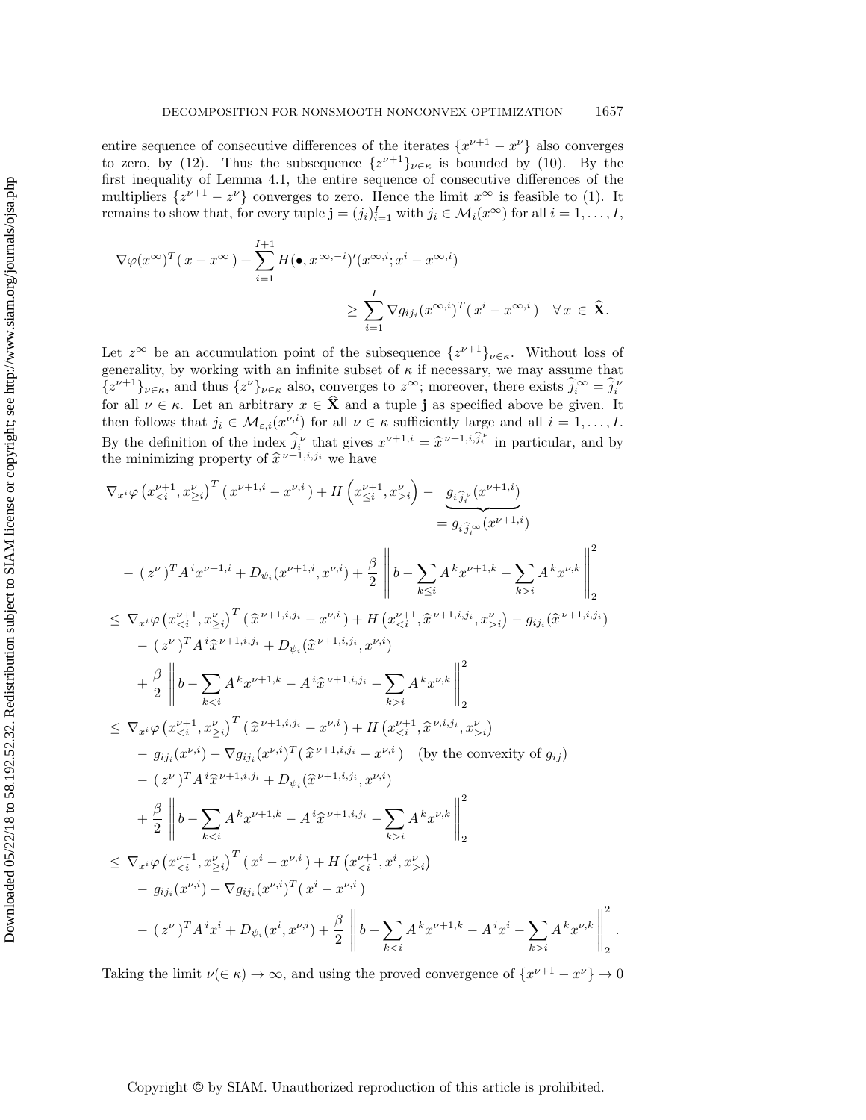entire sequence of consecutive differences of the iterates  $\{x^{\nu+1} - x^{\nu}\}\$ also converges to zero, by [\(12\)](#page-16-2). Thus the subsequence  $\{z^{\nu+1}\}_{\nu \in \kappa}$  is bounded by [\(10\)](#page-12-0). By the first inequality of Lemma [4](#page-11-1).1, the entire sequence of consecutive differences of the multipliers  $\{z^{\nu+1} - z^{\nu}\}\)$  converges to zero. Hence the limit  $x^{\infty}$  is feasible to [\(1\)](#page-1-0). It remains to show that, for every tuple  $\mathbf{j} = (j_i)_{i=1}^I$  with  $j_i \in \mathcal{M}_i(x^{\infty})$  for all  $i = 1, ..., I$ ,

$$
\nabla \varphi(x^{\infty})^T (x - x^{\infty}) + \sum_{i=1}^{I+1} H(\bullet, x^{\infty, -i})^{\prime} (x^{\infty, i}; x^{i} - x^{\infty, i})
$$
  

$$
\geq \sum_{i=1}^{I} \nabla g_{ij_{i}} (x^{\infty, i})^T (x^{i} - x^{\infty, i}) \quad \forall x \in \hat{\mathbf{X}}.
$$

Let  $z^{\infty}$  be an accumulation point of the subsequence  $\{z^{\nu+1}\}_{\nu \in \kappa}$ . Without loss of generality, by working with an infinite subset of  $\kappa$  if necessary, we may assume that  $\{z^{\nu+1}\}_{\nu \in \kappa}$ , and thus  $\{z^{\nu}\}_{\nu \in \kappa}$  also, converges to  $z^{\infty}$ ; moreover, there exists  $\hat{j}_i^{\infty} = \hat{j}_i^{\nu}$ for all  $\nu \in \kappa$ . Let an arbitrary  $x \in \hat{\mathbf{X}}$  and a tuple j as specified above be given. It then follows that  $j_i \in \mathcal{M}_{\varepsilon,i}(x^{\nu,i})$  for all  $\nu \in \kappa$  sufficiently large and all  $i = 1, \ldots, I$ . By the definition of the index  $\hat{j}_i^{\nu}$  that gives  $x^{\nu+1,i} = \hat{x}^{\nu+1,i}\hat{j}_i^{\nu}$  in particular, and by the minimizing property of  $\hat{x}^{\nu+1,i,j_i}$  we have the minimizing property of  $\hat{x}^{\nu+1,i,j_i}$  we have

$$
\nabla_{x^{i}}\varphi\left(x_{i}^{\nu}\right) - \underbrace{g_{i\hat{j}_{i}^{\nu}}(x^{\nu+1,i})}_{= g_{i\hat{j}_{i}^{\infty}}(x^{\nu+1,i})}
$$
\n
$$
- (z^{\nu})^{T} A^{i} x^{\nu+1,i} + D_{\psi_{i}}(x^{\nu+1,i}, x^{\nu,i}) + \frac{\beta}{2} \left\| b - \sum_{k \leq i} A^{k} x^{\nu+1,k} - \sum_{k > i} A^{k} x^{\nu,k} \right\|_{2}^{2}
$$
\n
$$
\leq \nabla_{x^{i}}\varphi\left(x_{i}^{\nu}\right) - g_{ij_{i}}(\hat{x}^{\nu+1,i,j_{i}})
$$
\n
$$
- (z^{\nu})^{T} A^{i} \hat{x}^{\nu+1,i,j_{i}} + D_{\psi_{i}}(\hat{x}^{\nu+1,i,j_{i}}, x^{\nu,i})
$$
\n
$$
+ \frac{\beta}{2} \left\| b - \sum_{k < i} A^{k} x^{\nu+1,k} - A^{i} \hat{x}^{\nu+1,i,j_{i}} - \sum_{k > i} A^{k} x^{\nu,k} \right\|_{2}^{2}
$$
\n
$$
\leq \nabla_{x^{i}}\varphi\left(x_{i}^{\nu}\right)
$$
\n
$$
- g_{ij_{i}}(x^{\nu,i}) - \nabla g_{ij_{i}}(x^{\nu,i})^{T}\left(\hat{x}^{\nu+1,i,j_{i}} - x^{\nu,i}\right) \quad \text{(by the convexity of } g_{ij})
$$
\n
$$
- (z
$$

Taking the limit  $\nu(\in \kappa) \to \infty$ , and using the proved convergence of  $\{x^{\nu+1} - x^{\nu}\} \to 0$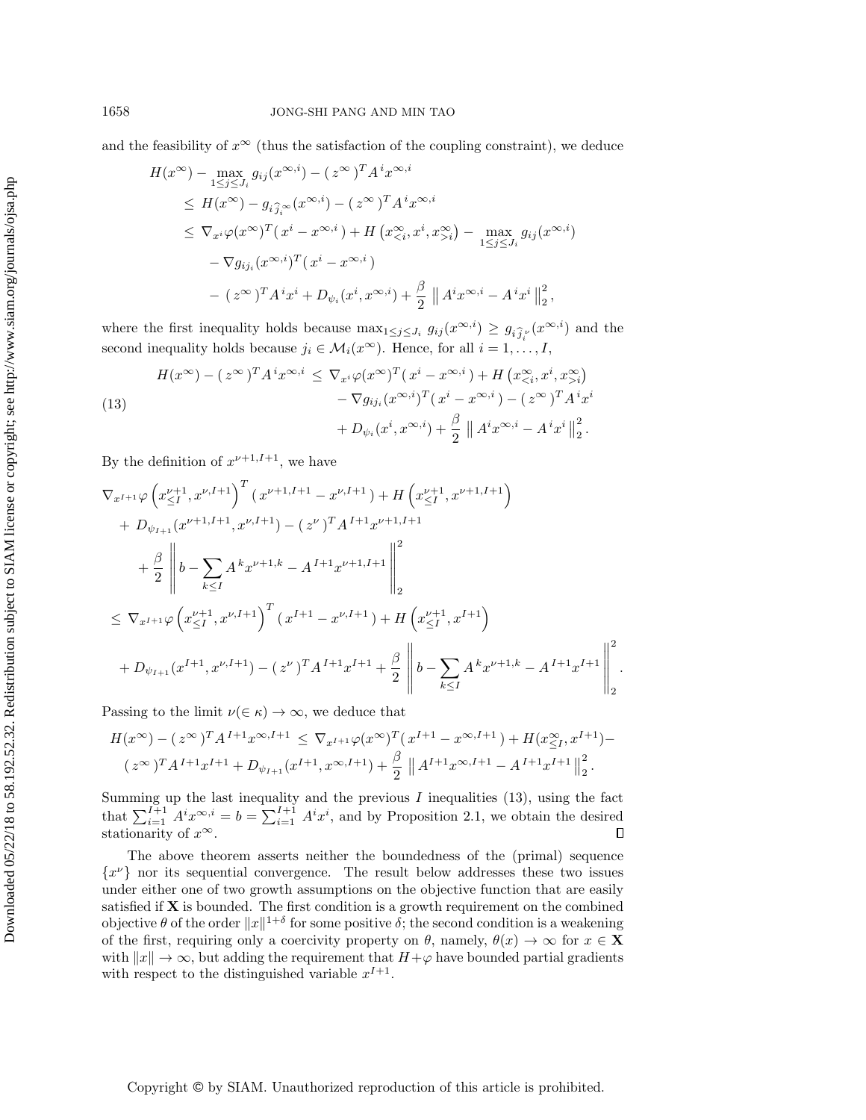and the feasibility of  $x^{\infty}$  (thus the satisfaction of the coupling constraint), we deduce

$$
H(x^{\infty}) - \max_{1 \leq j \leq J_i} g_{ij}(x^{\infty, i}) - (z^{\infty})^T A^i x^{\infty, i}
$$
  
\n
$$
\leq H(x^{\infty}) - g_{i \widehat{j}_i^{\infty}}(x^{\infty, i}) - (z^{\infty})^T A^i x^{\infty, i}
$$
  
\n
$$
\leq \nabla_{x^i} \varphi(x^{\infty})^T (x^i - x^{\infty, i}) + H(x^{\infty}_{\leq i}, x^i, x^{\infty}_{>i}) - \max_{1 \leq j \leq J_i} g_{ij}(x^{\infty, i})
$$
  
\n
$$
- \nabla g_{ij_i}(x^{\infty, i})^T (x^i - x^{\infty, i})
$$
  
\n
$$
- (z^{\infty})^T A^i x^i + D_{\psi_i}(x^i, x^{\infty, i}) + \frac{\beta}{2} \|A^i x^{\infty, i} - A^i x^i\|_2^2,
$$

where the first inequality holds because  $\max_{1 \leq j \leq J_i} g_{ij}(x^{\infty,i}) \geq g_{i\hat{j}_i} (x^{\infty,i})$  and the second inequality holds because  $j_i \in \mathcal{M}_i(x^\infty)$ . Hence, for all  $i = 1, \ldots, I$ ,

<span id="page-18-1"></span>(13)  
\n
$$
H(x^{\infty}) - (z^{\infty})^T A^i x^{\infty, i} \leq \nabla_{x^i} \varphi(x^{\infty})^T (x^i - x^{\infty, i}) + H (x^{\infty}_{\leq i}, x^i, x^{\infty}_{>i}) - \nabla g_{ij_i} (x^{\infty, i})^T (x^i - x^{\infty, i}) - (z^{\infty})^T A^i x^i + D_{\psi_i} (x^i, x^{\infty, i}) + \frac{\beta}{2} \| A^i x^{\infty, i} - A^i x^i \|_2^2.
$$

By the definition of  $x^{\nu+1,I+1}$ , we have

$$
\nabla_{x^{I+1}} \varphi \left( x_{\leq I}^{\nu+1}, x^{\nu, I+1} \right)^{T} \left( x^{\nu+1, I+1} - x^{\nu, I+1} \right) + H \left( x_{\leq I}^{\nu+1}, x^{\nu+1, I+1} \right) \n+ D_{\psi_{I+1}} (x^{\nu+1, I+1}, x^{\nu, I+1}) - (z^{\nu})^{T} A^{I+1} x^{\nu+1, I+1} \n+ \frac{\beta}{2} \left\| b - \sum_{k \leq I} A^{k} x^{\nu+1, k} - A^{I+1} x^{\nu+1, I+1} \right\|_{2}^{2} \n\leq \nabla_{x^{I+1}} \varphi \left( x_{\leq I}^{\nu+1}, x^{\nu, I+1} \right)^{T} \left( x^{I+1} - x^{\nu, I+1} \right) + H \left( x_{\leq I}^{\nu+1}, x^{I+1} \right) \n+ D_{\psi_{I+1}} (x^{I+1}, x^{\nu, I+1}) - (z^{\nu})^{T} A^{I+1} x^{I+1} + \frac{\beta}{2} \left\| b - \sum_{k \leq I} A^{k} x^{\nu+1, k} - A^{I+1} x^{I+1} \right\|_{2}^{2}.
$$

Passing to the limit  $\nu(\in \kappa) \to \infty$ , we deduce that

$$
H(x^{\infty}) - (z^{\infty})^T A^{I+1} x^{\infty, I+1} \leq \nabla_{x^{I+1}} \varphi(x^{\infty})^T (x^{I+1} - x^{\infty, I+1}) + H(x^{\infty}_{\leq I}, x^{I+1}) - (z^{\infty})^T A^{I+1} x^{I+1} + D_{\psi_{I+1}} (x^{I+1}, x^{\infty, I+1}) + \frac{\beta}{2} \| A^{I+1} x^{\infty, I+1} - A^{I+1} x^{I+1} \|_2^2.
$$

Summing up the last inequality and the previous  $I$  inequalities  $(13)$ , using the fact that  $\sum_{i=1}^{I+1} A^i x^{\infty,i} = b = \sum_{i=1}^{I+1} A^i x^i$ , and by Proposition 2.[1,](#page-4-0) we obtain the desired stationarity of  $x^{\infty}$ .  $\Box$ 

<span id="page-18-0"></span>The above theorem asserts neither the boundedness of the (primal) sequence  ${x^{\nu}}$  nor its sequential convergence. The result below addresses these two issues under either one of two growth assumptions on the objective function that are easily satisfied if X is bounded. The first condition is a growth requirement on the combined objective  $\theta$  of the order  $||x||^{1+\delta}$  for some positive  $\delta$ ; the second condition is a weakening of the first, requiring only a coercivity property on  $\theta$ , namely,  $\theta(x) \to \infty$  for  $x \in \mathbf{X}$ with  $||x|| \to \infty$ , but adding the requirement that  $H+\varphi$  have bounded partial gradients with respect to the distinguished variable  $x^{I+1}$ .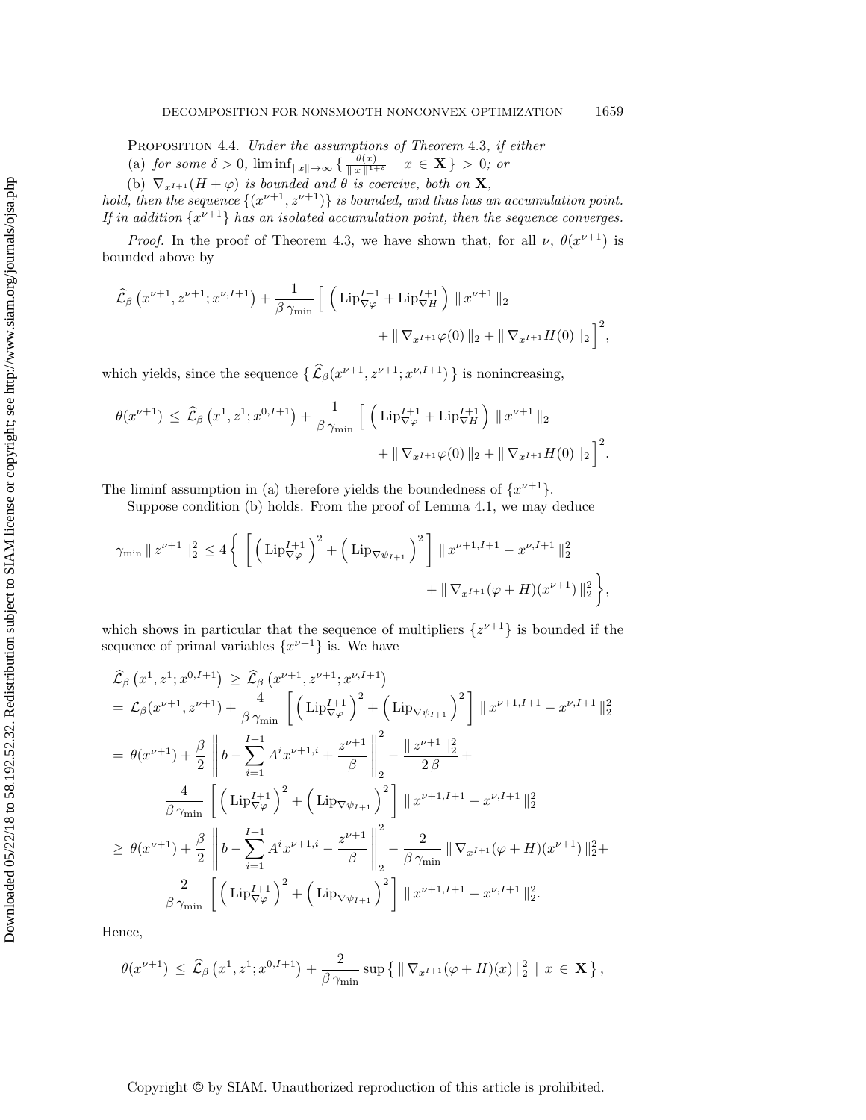PROPOSITION [4](#page-16-0).4. Under the assumptions of Theorem 4.3, if either

(a) for some  $\delta > 0$ ,  $\liminf_{\|x\| \to \infty} {\frac{\theta(x)}{\|x\|^{1+\delta}}} \mid x \in \mathbf{X} > 0$ ; or

(b)  $\nabla_{x^{I+1}}(H + \varphi)$  is bounded and  $\theta$  is coercive, both on **X**,

hold, then the sequence  $\{(x^{\nu+1}, z^{\nu+1})\}$  is bounded, and thus has an accumulation point. If in addition  $\{x^{\nu+1}\}\$  has an isolated accumulation point, then the sequence converges.

*Proof.* In the proof of Theorem 4.[3,](#page-16-0) we have shown that, for all  $\nu$ ,  $\theta(x^{\nu+1})$  is bounded above by

$$
\hat{\mathcal{L}}_{\beta}\left(x^{\nu+1}, z^{\nu+1}; x^{\nu,I+1}\right) + \frac{1}{\beta \gamma_{\min}} \left[ \left( \mathrm{Lip}_{\nabla \varphi}^{I+1} + \mathrm{Lip}_{\nabla H}^{I+1} \right) \| x^{\nu+1} \|_{2} \right. \\ \left. + \|\nabla_{x^{I+1}} \varphi(0)\|_{2} + \|\nabla_{x^{I+1}} H(0)\|_{2} \right]^{2},
$$

which yields, since the sequence  $\{\hat{\mathcal{L}}_{\beta}(x^{\nu+1}, z^{\nu+1}; x^{\nu,I+1})\}$  is nonincreasing,

$$
\theta(x^{\nu+1}) \leq \widehat{\mathcal{L}}_{\beta}\left(x^{1}, z^{1}; x^{0, I+1}\right) + \frac{1}{\beta \gamma_{\min}} \left[ \left(\text{Lip}_{\nabla \varphi}^{I+1} + \text{Lip}_{\nabla H}^{I+1}\right) \|x^{\nu+1}\|_{2} \right. \\ \left. + \|\nabla_{x^{I+1}}\varphi(0)\|_{2} + \|\nabla_{x^{I+1}}H(0)\|_{2}\right]^{2}.
$$

The liminf assumption in (a) therefore yields the boundedness of  $\{x^{\nu+1}\}.$ 

Suppose condition (b) holds. From the proof of Lemma 4.[1,](#page-11-1) we may deduce

$$
\gamma_{\min} \| z^{\nu+1} \|_2^2 \le 4 \left\{ \left[ \left( \text{Lip}_{\nabla \varphi}^{I+1} \right)^2 + \left( \text{Lip}_{\nabla \psi_{I+1}} \right)^2 \right] \| x^{\nu+1,I+1} - x^{\nu,I+1} \|_2^2 + \| \nabla_{x^{I+1}} (\varphi + H)(x^{\nu+1}) \|_2^2 \right\}
$$

,

which shows in particular that the sequence of multipliers  $\{z^{\nu+1}\}\$ is bounded if the sequence of primal variables  $\{x^{\nu+1}\}\$ is. We have

$$
\hat{\mathcal{L}}_{\beta}\left(x^{1}, z^{1}; x^{0, I+1}\right) \geq \hat{\mathcal{L}}_{\beta}\left(x^{\nu+1}, z^{\nu+1}; x^{\nu, I+1}\right)
$$
\n
$$
= \mathcal{L}_{\beta}(x^{\nu+1}, z^{\nu+1}) + \frac{4}{\beta \gamma_{\min}} \left[ \left(\text{Lip}_{\nabla \varphi}^{I+1}\right)^{2} + \left(\text{Lip}_{\nabla \psi_{I+1}}\right)^{2} \right] \|x^{\nu+1, I+1} - x^{\nu, I+1}\|_{2}^{2}
$$
\n
$$
= \theta(x^{\nu+1}) + \frac{\beta}{2} \left\| b - \sum_{i=1}^{I+1} A^{i}x^{\nu+1, i} + \frac{z^{\nu+1}}{\beta} \right\|_{2}^{2} - \frac{\|z^{\nu+1}\|_{2}^{2}}{2\beta} + \frac{4}{\beta \gamma_{\min}} \left[ \left(\text{Lip}_{\nabla \varphi}^{I+1}\right)^{2} + \left(\text{Lip}_{\nabla \psi_{I+1}}\right)^{2} \right] \|x^{\nu+1, I+1} - x^{\nu, I+1}\|_{2}^{2}
$$
\n
$$
\geq \theta(x^{\nu+1}) + \frac{\beta}{2} \left\| b - \sum_{i=1}^{I+1} A^{i}x^{\nu+1, i} - \frac{z^{\nu+1}}{\beta} \right\|_{2}^{2} - \frac{2}{\beta \gamma_{\min}} \|\nabla_{x^{I+1}}(\varphi + H)(x^{\nu+1})\|_{2}^{2} + \frac{2}{\beta \gamma_{\min}} \left[ \left(\text{Lip}_{\nabla \varphi}^{I+1}\right)^{2} + \left(\text{Lip}_{\nabla \psi_{I+1}}\right)^{2} \right] \|x^{\nu+1, I+1} - x^{\nu, I+1} \|_{2}^{2}.
$$

Hence,

$$
\theta(x^{\nu+1}) \leq \widehat{\mathcal{L}}_{\beta}\left(x^{1}, z^{1}; x^{0,I+1}\right) + \frac{2}{\beta \gamma_{\min}} \sup \left\{ \|\nabla_{x^{I+1}}(\varphi + H)(x)\|_{2}^{2} \, \mid \, x \in \mathbf{X} \right\},\
$$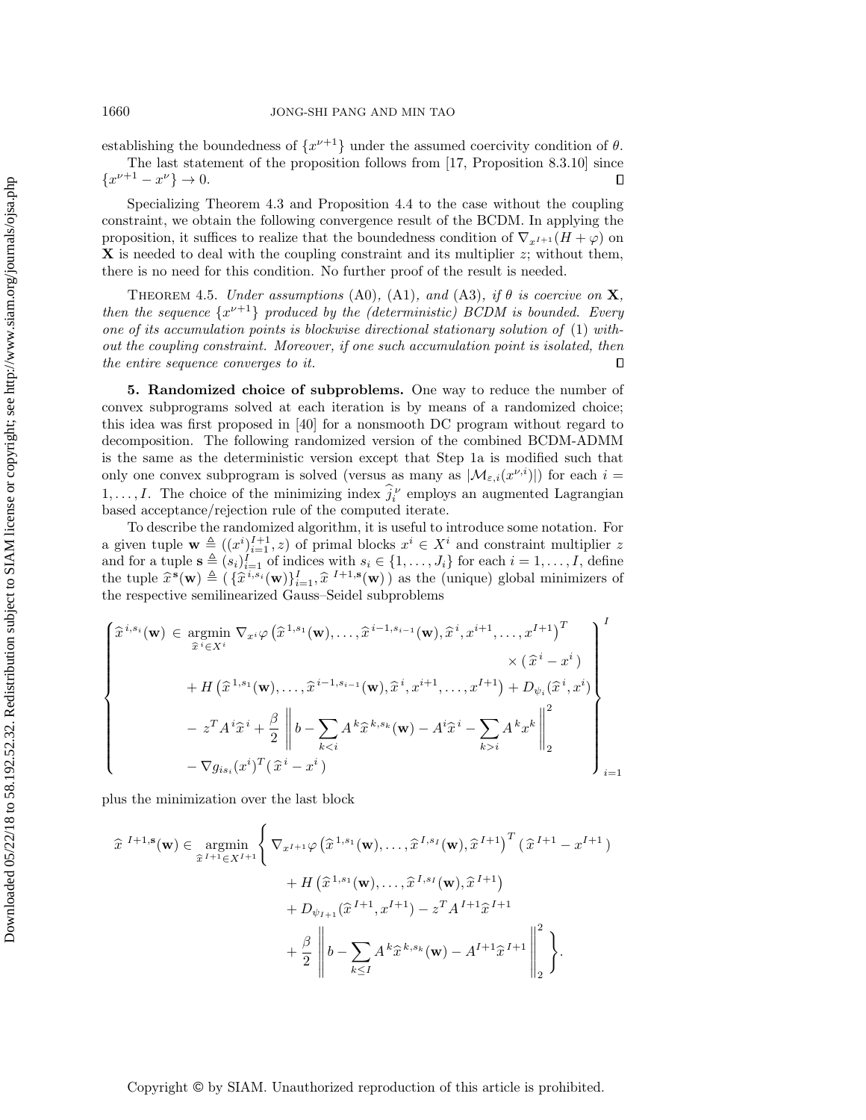establishing the boundedness of  $\{x^{\nu+1}\}\$  under the assumed coercivity condition of  $\theta$ . The last statement of the proposition follows from [\[17,](#page-27-9) Proposition 8.3.10] since  $\{x^{\nu+1} - x^{\nu}\} \to 0.$  $\Box$ 

Specializing Theorem 4.[3](#page-16-0) and Proposition [4](#page-18-0).4 to the case without the coupling constraint, we obtain the following convergence result of the BCDM. In applying the proposition, it suffices to realize that the boundedness condition of  $\nabla_{x^{I+1}}(H + \varphi)$  on  $\bf{X}$  is needed to deal with the coupling constraint and its multiplier  $z$ ; without them, there is no need for this condition. No further proof of the result is needed.

THEOREM 4.5. Under assumptions (A0), (A1), and (A3), if  $\theta$  is coercive on **X**, then the sequence  $\{x^{\nu+1}\}$  produced by the (deterministic) BCDM is bounded. Every one of its accumulation points is blockwise directional stationary solution of  $(1)$  without the coupling constraint. Moreover, if one such accumulation point is isolated, then the entire sequence converges to it.  $\Box$ 

<span id="page-20-0"></span>5. Randomized choice of subproblems. One way to reduce the number of convex subprograms solved at each iteration is by means of a randomized choice; this idea was first proposed in [\[40\]](#page-28-15) for a nonsmooth DC program without regard to decomposition. The following randomized version of the combined BCDM-ADMM is the same as the deterministic version except that Step 1a is modified such that only one convex subprogram is solved (versus as many as  $|\mathcal{M}_{\varepsilon,i}(x^{\nu,i})|$ ) for each  $i =$ 1, ..., I. The choice of the minimizing index  $\hat{j}_i^{\nu}$  employs an augmented Lagrangian based acceptance/rejection rule of the computed iterate.

To describe the randomized algorithm, it is useful to introduce some notation. For a given tuple  $\mathbf{w} \triangleq ((x^i)^{I+1}_{i=1}, z)$  of primal blocks  $x^i \in X^i$  and constraint multiplier z and for a tuple  $\mathbf{s} \triangleq (s_i)_{i=1}^{\tilde{l}}$  of indices with  $s_i \in \{1, \ldots, J_i\}$  for each  $i = 1, \ldots, I$ , define the tuple  $\hat{x}^s(w) \triangleq (\{\hat{x}^{i,s_i}(w)\}_{i=1}^I, \hat{x}^{I+1,s}(w))$  as the (unique) global minimizers of<br>the remeative complinearized Gauge Soidal subproblems the respective semilinearized Gauss–Seidel subproblems

$$
\begin{cases}\n\hat{x}^{i,s_i}(\mathbf{w}) \in \underset{\hat{x}^i \in X^i}{\operatorname{argmin}} \nabla_{x^i} \varphi\left(\hat{x}^{1,s_1}(\mathbf{w}),\ldots,\hat{x}^{i-1,s_{i-1}}(\mathbf{w}),\hat{x}^i,x^{i+1},\ldots,x^{I+1}\right)^T \\
+ H\left(\hat{x}^{1,s_1}(\mathbf{w}),\ldots,\hat{x}^{i-1,s_{i-1}}(\mathbf{w}),\hat{x}^i,x^{i+1},\ldots,x^{I+1}\right) + D_{\psi_i}(\hat{x}^i,x^i) \\
- z^T A^i \hat{x}^i + \frac{\beta}{2} \left\| b - \sum_{k < i} A^k \hat{x}^{k,s_k}(\mathbf{w}) - A^i \hat{x}^i - \sum_{k > i} A^k x^k \right\|_2^2 \\
- \nabla g_{is_i}(x^i)^T (\hat{x}^i - x^i)\n\end{cases}
$$

plus the minimization over the last block

$$
\hat{x}^{I+1,\mathbf{s}}(\mathbf{w}) \in \underset{\hat{x}^{I+1} \in X^{I+1}}{\operatorname{argmin}} \left\{ \nabla_{x^{I+1}} \varphi\left(\hat{x}^{1,s_1}(\mathbf{w}), \dots, \hat{x}^{I,s_I}(\mathbf{w}), \hat{x}^{I+1}\right)^T \left(\hat{x}^{I+1} - x^{I+1}\right) \right. \\
\left. + H\left(\hat{x}^{1,s_1}(\mathbf{w}), \dots, \hat{x}^{I,s_I}(\mathbf{w}), \hat{x}^{I+1}\right) \\
\left. + D_{\psi_{I+1}}(\hat{x}^{I+1}, x^{I+1}) - z^T A^{I+1} \hat{x}^{I+1} \right. \\
\left. + \frac{\beta}{2} \left\| b - \sum_{k \leq I} A^k \hat{x}^{k,s_k}(\mathbf{w}) - A^{I+1} \hat{x}^{I+1} \right\|_2^2 \right\}.
$$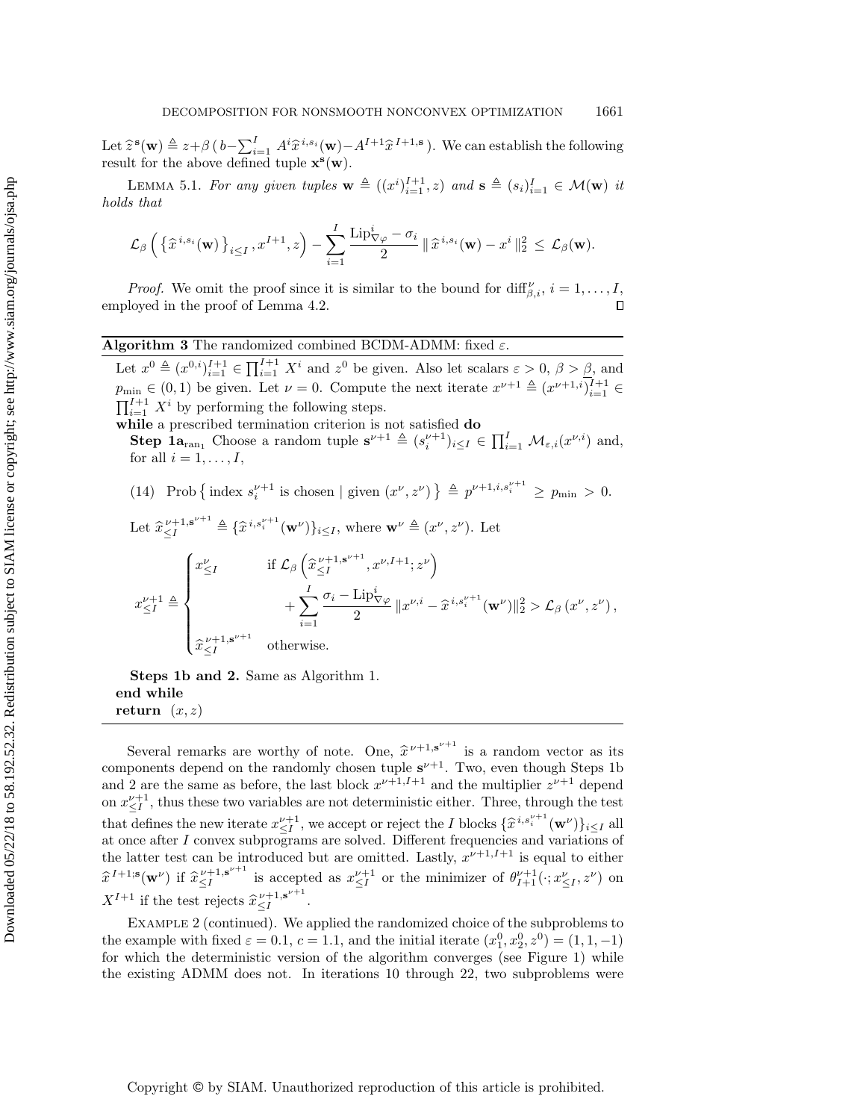Let  $\hat{z}^s(w) \triangleq z + \beta (b - \sum_{i=1}^I A^i \hat{x}^{i,s_i}(w) - A^{I+1} \hat{x}^{I+1,s})$ . We can establish the following result for the above defined tuple  $\mathbf{x}^s(\mathbf{w})$ .

<span id="page-21-1"></span>LEMMA 5.1. For any given tuples  $\mathbf{w} \triangleq ((x^i)_{i=1}^{I+1}, z)$  and  $\mathbf{s} \triangleq (s_i)_{i=1}^I \in \mathcal{M}(\mathbf{w})$  it holds that

$$
\mathcal{L}_{\beta}\left(\left\{\widehat{x}^{i,s_i}(\mathbf{w})\right\}_{i\leq I}, x^{I+1}, z\right) - \sum_{i=1}^I \frac{\text{Lip}_{\nabla \varphi}^i - \sigma_i}{2} \left\|\widehat{x}^{i,s_i}(\mathbf{w}) - x^i\right\|_2^2 \leq \mathcal{L}_{\beta}(\mathbf{w}).
$$

*Proof.* We omit the proof since it is similar to the bound for  $\text{diff}_{\beta,i}^{\nu}$ ,  $i = 1, \ldots, I$ , employed in the proof of Lemma [4](#page-13-0).2.  $\Box$ 

Algorithm 3 The randomized combined BCDM-ADMM: fixed  $\varepsilon$ .

Let  $x^0 \triangleq (x^{0,i})_{i=1}^{I+1} \in \prod_{i=1}^{I+1} X^i$  and  $z^0$  be given. Also let scalars  $\varepsilon > 0$ ,  $\beta > \underline{\beta}$ , and  $p_{\min} \in (0,1)$  be given. Let  $\nu = 0$ . Compute the next iterate  $x^{\nu+1} \triangleq (x^{\nu+1,i})_{i=1}^{I+1} \in$  $\prod_{i=1}^{I+1} X^i$  by performing the following steps.

while a prescribed termination criterion is not satisfied do

**Step 1a**<sub>ran<sub>1</sub></sub> Choose a random tuple  $\mathbf{s}^{\nu+1} \triangleq (s_i^{\nu+1})_{i \leq I} \in \prod_{i=1}^I \mathcal{M}_{\varepsilon,i}(x^{\nu,i})$  and, for all  $i = 1, \ldots, I$ ,

<span id="page-21-0"></span>(14) Prob { index  $s_i^{\nu+1}$  is chosen | given  $(x^{\nu}, z^{\nu})$  }  $\triangleq p^{\nu+1,i,s_i^{\nu+1}} \ge p_{\min} > 0$ .

Let 
$$
\hat{x}_{\leq I}^{\nu+1,s^{\nu+1}} \triangleq {\hat{x}^{i,s_i^{\nu+1}}(\mathbf{w}^{\nu})}_{i \leq I}
$$
, where  $\mathbf{w}^{\nu} \triangleq (x^{\nu}, z^{\nu})$ . Let

$$
x_{\leq I}^{\nu+1} \triangleq \begin{cases} x_{\leq I}^{\nu} & \text{if } \mathcal{L}_{\beta} \left( \hat{x}_{\leq I}^{\nu+1, \mathbf{s}^{\nu+1}}, x^{\nu, I+1}; z^{\nu} \right) \\ & + \sum_{i=1}^{I} \frac{\sigma_{i} - \text{Lip}_{\nabla \varphi}^{i}}{2} \| x^{\nu, i} - \hat{x}^{i, s_{i}^{\nu+1}} (\mathbf{w}^{\nu}) \|_{2}^{2} > \mathcal{L}_{\beta} \left( x^{\nu}, z^{\nu} \right), \\ \hat{x}_{\leq I}^{\nu+1, \mathbf{s}^{\nu+1}} & \text{otherwise.} \end{cases}
$$

Steps 1b and 2. Same as Algorithm [1.](#page-7-1) end while return  $(x, z)$ 

Several remarks are worthy of note. One,  $\hat{x}^{\nu+1,s^{\nu+1}}$  is a random vector as its<br>popents depend on the randomly chosen tuple  $s^{\nu+1}$ . Two, even though Stops 1b components depend on the randomly chosen tuple  $s^{\nu+1}$ . Two, even though Steps 1b and 2 are the same as before, the last block  $x^{\nu+1},$ <sup>1+1</sup> and the multiplier  $z^{\nu+1}$  depend on  $x_{\leq I}^{\nu+1}$ , thus these two variables are not deterministic either. Three, through the test that defines the new iterate  $x_{\leq I}^{\nu+1}$ , we accept or reject the I blocks  $\{\hat{x}^{i,s_i^{\nu+1}}(\mathbf{w}^{\nu})\}_{i\leq I}$  all<br>at once ofter I convex subpregnance are solved. Different frequencies and veriations of at once after I convex subprograms are solved. Different frequencies and variations of the latter test can be introduced but are omitted. Lastly,  $x^{\nu+1,I+1}$  is equal to either  $\widehat{x}^{I+1; \mathbf{s}}(\mathbf{w}^{\nu})$  if  $\widehat{x}_{\leq I}^{\nu+1, \mathbf{s}^{\nu+1}}$  $\sum_{i=1}^{\nu+1,s^{\nu+1}}$  is accepted as  $x_{\leq 1}^{\nu+1}$  or the minimizer of  $\theta_{I+1}^{\nu+1}(\cdot; x_{\leq I}^{\nu}, z^{\nu})$  on  $X^{I+1}$  if the test rejects  $\hat{x}_{\leq I}^{\nu+1,s^{\nu+1}}$  $\leq I$  .

Example [2](#page-8-0) (continued). We applied the randomized choice of the subproblems to the example with fixed  $\varepsilon = 0.1, c = 1.1$ , and the initial iterate  $(x_1^0, x_2^0, z^0) = (1, 1, -1)$ for which the deterministic version of the algorithm converges (see Figure 1) while the existing ADMM does not. In iterations 10 through 22, two subproblems were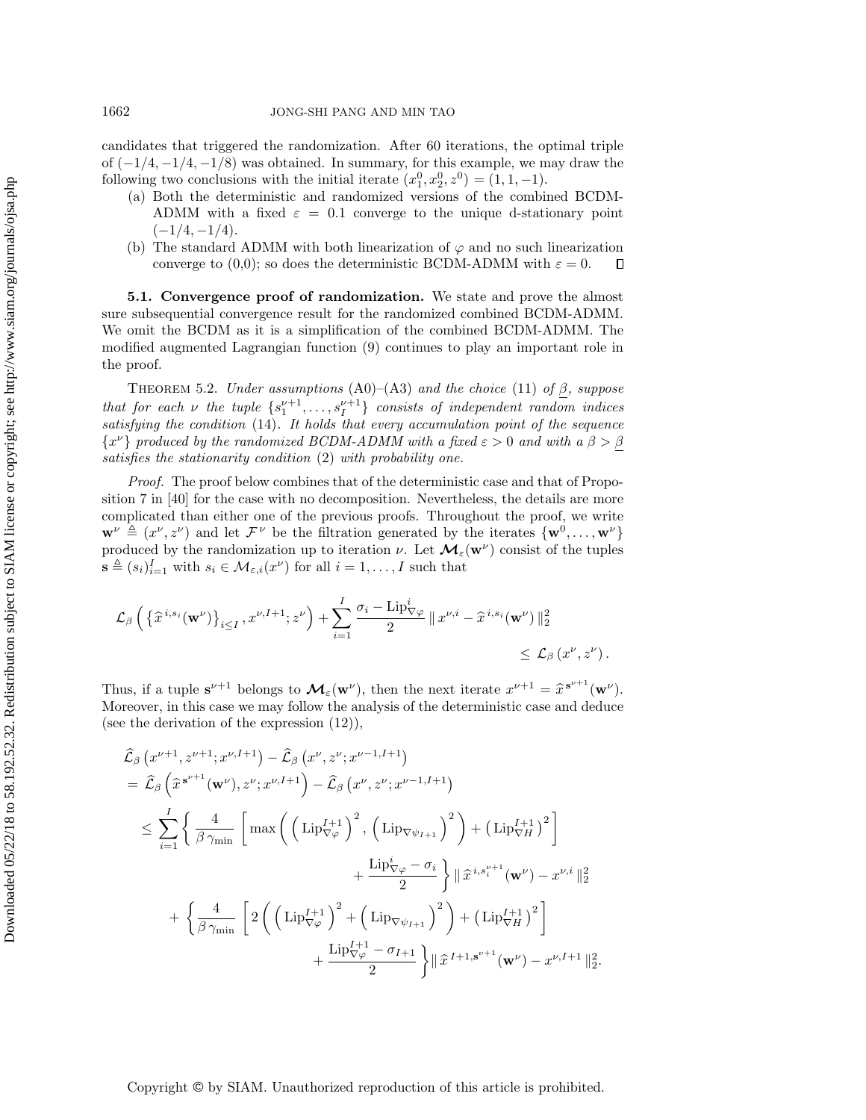candidates that triggered the randomization. After 60 iterations, the optimal triple of  $(-1/4, -1/4, -1/8)$  was obtained. In summary, for this example, we may draw the following two conclusions with the initial iterate  $(x_1^0, x_2^0, z^0) = (1, 1, -1)$ .

- (a) Both the deterministic and randomized versions of the combined BCDM-ADMM with a fixed  $\varepsilon = 0.1$  converge to the unique d-stationary point  $(-1/4, -1/4).$
- (b) The standard ADMM with both linearization of  $\varphi$  and no such linearization converge to (0,0); so does the deterministic BCDM-ADMM with  $\varepsilon = 0$ .  $\Box$

5.1. Convergence proof of randomization. We state and prove the almost sure subsequential convergence result for the randomized combined BCDM-ADMM. We omit the BCDM as it is a simplification of the combined BCDM-ADMM. The modified augmented Lagrangian function [\(9\)](#page-11-2) continues to play an important role in the proof.

THEOREM 5.2. Under assumptions (A0)–(A3) and the choice [\(11\)](#page-16-1) of  $\beta$ , suppose that for each  $\nu$  the tuple  $\{s_1^{\nu+1}, \ldots, s_I^{\nu+1}\}$  consists of independent random indices satisfying the condition [\(14\)](#page-21-0). It holds that every accumulation point of the sequence  ${x^{\nu}}$  produced by the randomized BCDM-ADMM with a fixed  $\varepsilon > 0$  and with a  $\beta > \beta$ satisfies the stationarity condition  $(2)$  with probability one.

Proof. The proof below combines that of the deterministic case and that of Proposition 7 in [\[40\]](#page-28-15) for the case with no decomposition. Nevertheless, the details are more complicated than either one of the previous proofs. Throughout the proof, we write  $\mathbf{w}^{\nu} \triangleq (x^{\nu}, z^{\nu})$  and let  $\mathcal{F}^{\nu}$  be the filtration generated by the iterates  $\{\mathbf{w}^0, \ldots, \mathbf{w}^{\nu}\}\$ produced by the randomization up to iteration  $\nu$ . Let  $\mathcal{M}_{\varepsilon}(\mathbf{w}^{\nu})$  consist of the tuples  $\mathbf{s} \triangleq (s_i)_{i=1}^I$  with  $s_i \in \mathcal{M}_{\varepsilon,i}(x^\nu)$  for all  $i = 1, \dots, I$  such that

$$
\mathcal{L}_{\beta}\left(\left\{\widehat{x}^{i,s_i}(\mathbf{w}^{\nu})\right\}_{i\leq I}, x^{\nu,I+1}; z^{\nu}\right) + \sum_{i=1}^{I} \frac{\sigma_i - \text{Lip}_{\nabla\varphi}^i}{2} \|x^{\nu,i} - \widehat{x}^{i,s_i}(\mathbf{w}^{\nu})\|_2^2
$$
  
\$\leq \mathcal{L}\_{\beta}(x^{\nu}, z^{\nu})\$.

Thus, if a tuple  $s^{\nu+1}$  belongs to  $\mathcal{M}_{\varepsilon}(\mathbf{w}^{\nu})$ , then the next iterate  $x^{\nu+1} = \hat{x}^{s^{\nu+1}}(\mathbf{w}^{\nu})$ .<br>Moreover, in this case we may follow the applying of the deterministic case and deduce Moreover, in this case we may follow the analysis of the deterministic case and deduce (see the derivation of the expression [\(12\)](#page-16-2)),

$$
\hat{\mathcal{L}}_{\beta}\left(x^{\nu+1}, z^{\nu+1}; x^{\nu, I+1}\right) - \hat{\mathcal{L}}_{\beta}\left(x^{\nu}, z^{\nu}; x^{\nu-1, I+1}\right) \n= \hat{\mathcal{L}}_{\beta}\left(\hat{x}^{s^{\nu+1}}(\mathbf{w}^{\nu}), z^{\nu}; x^{\nu, I+1}\right) - \hat{\mathcal{L}}_{\beta}\left(x^{\nu}, z^{\nu}; x^{\nu-1, I+1}\right) \n\leq \sum_{i=1}^{I} \left\{\frac{4}{\beta \gamma_{\min}} \left[\max \left(\left(\text{Lip}_{\nabla\varphi}^{I+1}\right)^{2}, \left(\text{Lip}_{\nabla\psi_{I+1}}\right)^{2}\right) + \left(\text{Lip}_{\nabla H}^{I+1}\right)^{2}\right] \right. \n+ \frac{\text{Lip}_{\nabla\varphi}^{i} - \sigma_{i}}{2}\right\} \|\hat{x}^{i, s_{i}^{\nu+1}}(\mathbf{w}^{\nu}) - x^{\nu, i}\|_{2}^{2} \n+ \left\{\frac{4}{\beta \gamma_{\min}} \left[2\left(\left(\text{Lip}_{\nabla\varphi}^{I+1}\right)^{2} + \left(\text{Lip}_{\nabla\psi_{I+1}}\right)^{2}\right) + \left(\text{Lip}_{\nabla H}^{I+1}\right)^{2}\right] \right. \n+ \frac{\text{Lip}_{\nabla\varphi}^{I+1} - \sigma_{I+1}}{2}\right\} \|\hat{x}^{I+1, s^{\nu+1}}(\mathbf{w}^{\nu}) - x^{\nu, I+1}\|_{2}^{2}.
$$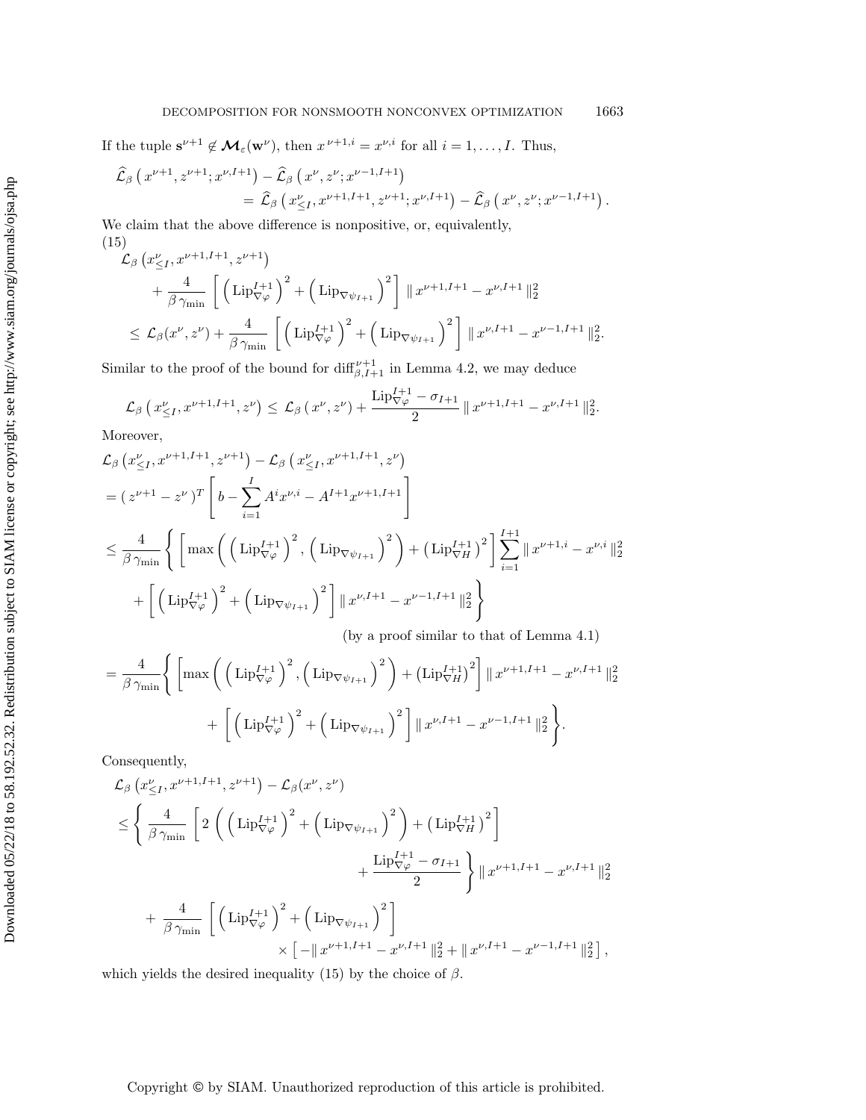If the tuple  $\mathbf{s}^{\nu+1} \notin \mathcal{M}_{\varepsilon}(\mathbf{w}^{\nu})$ , then  $x^{\nu+1,i} = x^{\nu,i}$  for all  $i = 1, \ldots, I$ . Thus,

$$
\hat{\mathcal{L}}_{\beta}\left(x^{\nu+1}, z^{\nu+1}; x^{\nu,I+1}\right) - \hat{\mathcal{L}}_{\beta}\left(x^{\nu}, z^{\nu}; x^{\nu-1,I+1}\right) \n= \hat{\mathcal{L}}_{\beta}\left(x^{\nu}_{\leq I}, x^{\nu+1,I+1}, z^{\nu+1}; x^{\nu,I+1}\right) - \hat{\mathcal{L}}_{\beta}\left(x^{\nu}, z^{\nu}; x^{\nu-1,I+1}\right).
$$

We claim that the above difference is nonpositive, or, equivalently, (15)  $v+1, I+1, v+1$ 

<span id="page-23-0"></span>
$$
\mathcal{L}_{\beta}\left(x_{\leq I}^{\nu}, x^{\nu+1, I+1}, z^{\nu+1}\right) \n+ \frac{4}{\beta \gamma_{\min}} \left[ \left(\text{Lip}_{\nabla \varphi}^{I+1}\right)^{2} + \left(\text{Lip}_{\nabla \psi_{I+1}}\right)^{2} \right] \|x^{\nu+1, I+1} - x^{\nu, I+1}\|_{2}^{2} \n\leq \mathcal{L}_{\beta}(x^{\nu}, z^{\nu}) + \frac{4}{\beta \gamma_{\min}} \left[ \left(\text{Lip}_{\nabla \varphi}^{I+1}\right)^{2} + \left(\text{Lip}_{\nabla \psi_{I+1}}\right)^{2} \right] \|x^{\nu, I+1} - x^{\nu-1, I+1}\|_{2}^{2}.
$$

Similar to the proof of the bound for  $\text{diff}_{\beta,I+1}^{\nu+1}$  in Lemma [4](#page-13-0).2, we may deduce

$$
\mathcal{L}_{\beta}\left(x_{\leq I}^{\nu}, x^{\nu+1,I+1}, z^{\nu}\right) \leq \mathcal{L}_{\beta}\left(x^{\nu}, z^{\nu}\right) + \frac{\text{Lip}_{\nabla \varphi}^{I+1} - \sigma_{I+1}}{2} \|x^{\nu+1,I+1} - x^{\nu,I+1}\|_{2}^{2}.
$$

Moreover,

$$
\mathcal{L}_{\beta}\left(x_{\leq I}^{\nu}, x^{\nu+1, I+1}, z^{\nu+1}\right) - \mathcal{L}_{\beta}\left(x_{\leq I}^{\nu}, x^{\nu+1, I+1}, z^{\nu}\right)
$$
\n
$$
= (z^{\nu+1} - z^{\nu})^{T} \left[b - \sum_{i=1}^{I} A^{i} x^{\nu, i} - A^{I+1} x^{\nu+1, I+1}\right]
$$
\n
$$
\leq \frac{4}{\beta \gamma_{\min}} \left\{ \left[\max \left(\left(\text{Lip}_{\nabla \varphi}^{I+1}\right)^{2}, \left(\text{Lip}_{\nabla \psi_{I+1}}\right)^{2}\right) + \left(\text{Lip}_{\nabla H}^{I+1}\right)^{2}\right] \sum_{i=1}^{I+1} \|x^{\nu+1, i} - x^{\nu, i}\|_{2}^{2} + \left[\left(\text{Lip}_{\nabla \varphi}^{I+1}\right)^{2} + \left(\text{Lip}_{\nabla \psi_{I+1}}\right)^{2}\right] \|x^{\nu, I+1} - x^{\nu-1, I+1}\|_{2}^{2} \right\}
$$
\n(by a proof similar to that of Lemma 4.1)

$$
\frac{4}{\beta \gamma_{\min}} \Bigg\{ \left[ \max \left( \left( \text{Lip}_{\nabla \varphi}^{I+1} \right)^2, \left( \text{Lip}_{\nabla \psi_{I+1}} \right)^2 \right) + \left( \text{Lip}_{\nabla H}^{I+1} \right)^2 \right] \| x^{\nu+1,I+1} - x^{\nu,I+1} \|_2^2
$$

$$
+ \left[ \left( \text{Lip}_{\nabla \varphi}^{I+1} \right)^2 + \left( \text{Lip}_{\nabla \psi_{I+1}} \right)^2 \right] \| x^{\nu,I+1} - x^{\nu-1,I+1} \|_2^2 \Bigg\}.
$$

Consequently,

 $=$ 

$$
\mathcal{L}_{\beta} (x_{\leq I}^{\nu}, x^{\nu+1, I+1}, z^{\nu+1}) - \mathcal{L}_{\beta} (x^{\nu}, z^{\nu})
$$
\n
$$
\leq \left\{ \frac{4}{\beta \gamma_{\min}} \left[ 2 \left( \left( \text{Lip}_{\nabla \varphi}^{I+1} \right)^2 + \left( \text{Lip}_{\nabla \psi_{I+1}} \right)^2 \right) + \left( \text{Lip}_{\nabla H}^{I+1} \right)^2 \right] + \frac{\text{Lip}_{\nabla \varphi}^{I+1} - \sigma_{I+1}}{2} \right\} \| x^{\nu+1, I+1} - x^{\nu, I+1} \|_2^2
$$
\n
$$
+ \frac{4}{\beta \gamma_{\min}} \left[ \left( \text{Lip}_{\nabla \varphi}^{I+1} \right)^2 + \left( \text{Lip}_{\nabla \psi_{I+1}} \right)^2 \right] \times \left[ - \| x^{\nu+1, I+1} - x^{\nu, I+1} \|_2^2 + \| x^{\nu, I+1} - x^{\nu-1, I+1} \|_2^2 \right],
$$

which yields the desired inequality [\(15\)](#page-23-0) by the choice of  $\beta$ .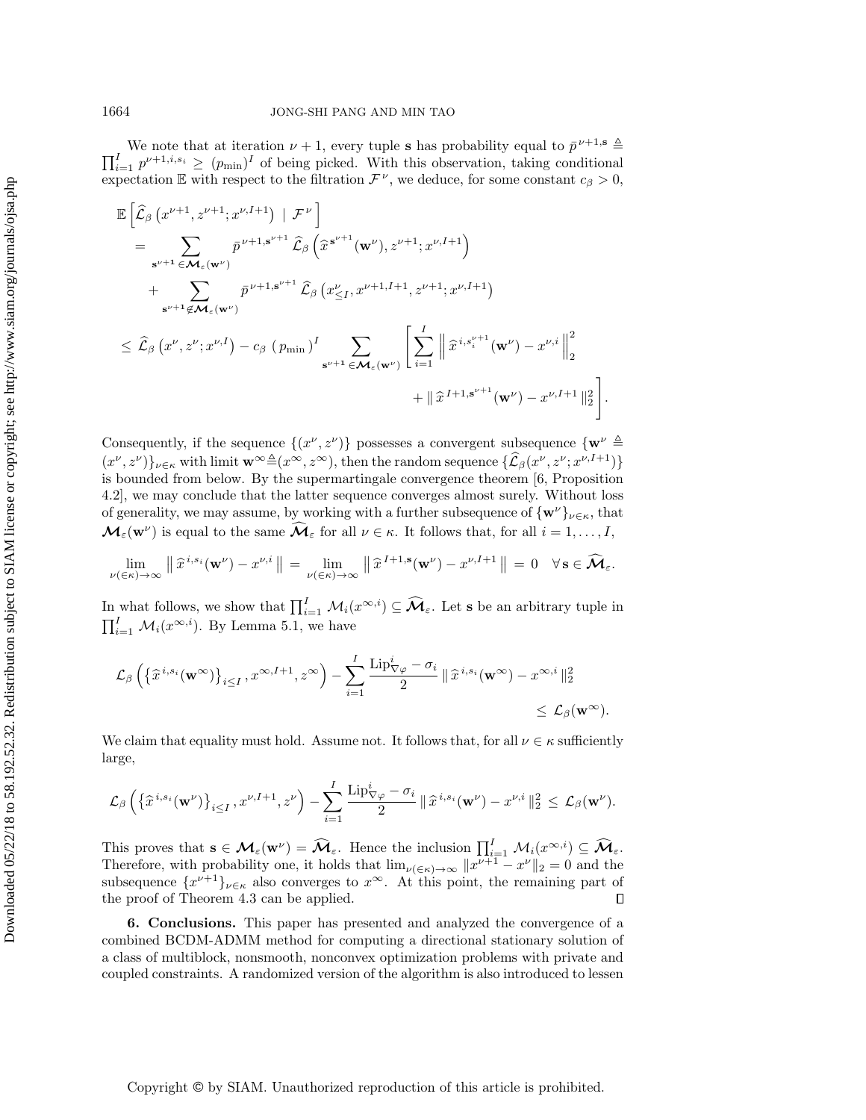We note that at iteration  $\nu + 1$ , every tuple s has probability equal to  $\bar{p}$  $\Pi$  $\nu+1$ ,  $s \triangleq$  $\sum_{i=1}^{I} p^{\nu+1,i,s_i} \geq (p_{\min})^I$  of being picked. With this observation, taking conditional expectation E with respect to the filtration  $\mathcal{F}^{\nu}$ , we deduce, for some constant  $c_{\beta} > 0$ ,

$$
\mathbb{E}\left[\widehat{\mathcal{L}}_{\beta}\left(x^{\nu+1}, z^{\nu+1}; x^{\nu,I+1}\right) \mid \mathcal{F}^{\nu}\right] \n= \sum_{\mathbf{s}^{\nu+1} \in \mathcal{M}_{\varepsilon}(\mathbf{w}^{\nu})} \bar{p}^{\nu+1, \mathbf{s}^{\nu+1}} \widehat{\mathcal{L}}_{\beta}\left(\widehat{x}^{\mathbf{s}^{\nu+1}}(\mathbf{w}^{\nu}), z^{\nu+1}; x^{\nu,I+1}\right) \n+ \sum_{\mathbf{s}^{\nu+1} \notin \mathcal{M}_{\varepsilon}(\mathbf{w}^{\nu})} \bar{p}^{\nu+1, \mathbf{s}^{\nu+1}} \widehat{\mathcal{L}}_{\beta}\left(x_{\leq I}^{\nu}, x^{\nu+1,I+1}, z^{\nu+1}; x^{\nu,I+1}\right) \n\leq \widehat{\mathcal{L}}_{\beta}\left(x^{\nu}, z^{\nu}; x^{\nu,I}\right) - c_{\beta}\left(p_{\min}\right)^{I} \sum_{\mathbf{s}^{\nu+1} \in \mathcal{M}_{\varepsilon}(\mathbf{w}^{\nu})} \left[\sum_{i=1}^{I} \left\|\widehat{x}^{i,s_{i}^{\nu+1}}(\mathbf{w}^{\nu}) - x^{\nu,i}\right\|_{2}^{2} \n+ \left\|\widehat{x}^{I+1,\mathbf{s}^{\nu+1}}(\mathbf{w}^{\nu}) - x^{\nu,I+1}\right\|_{2}^{2}\right].
$$

Consequently, if the sequence  $\{(x^{\nu}, z^{\nu})\}$  possesses a convergent subsequence  $\{w^{\nu} \triangleq$  $(x^{\nu}, z^{\nu})\}_{\nu \in \kappa}$  with limit  $\mathbf{w}^{\infty} \triangleq (x^{\infty}, z^{\infty})$ , then the random sequence  $\{\widehat{\mathcal{L}}_{\beta}(x^{\nu}, z^{\nu}; x^{\nu, I+1})\}$ is bounded from below. By the supermartingale convergence theorem [\[6,](#page-27-16) Proposition 4.2], we may conclude that the latter sequence converges almost surely. Without loss of generality, we may assume, by working with a further subsequence of  $\{w^{\nu}\}_{\nu \in \kappa}$ , that  $\mathcal{M}_{\varepsilon}(\mathbf{w}^{\nu})$  is equal to the same  $\widehat{\mathcal{M}}_{\varepsilon}$  for all  $\nu \in \kappa$ . It follows that, for all  $i = 1, \ldots, I$ ,

$$
\lim_{\nu(\in\kappa)\to\infty}\|\widehat{x}^{i,s_i}(\mathbf{w}^{\nu})-x^{\nu,i}\|=\lim_{\nu(\in\kappa)\to\infty}\|\widehat{x}^{I+1,\mathbf{s}}(\mathbf{w}^{\nu})-x^{\nu,I+1}\|=0\quad\forall\,\mathbf{s}\in\widehat{\mathcal{M}}_{\varepsilon}.
$$

In what follows, we show that  $\prod_{i=1}^{I} M_i(x^{\infty,i}) \subseteq \widehat{M}_{\varepsilon}$ . Let **s** be an arbitrary tuple in  $\prod_{i=1}^{I} M_i(x^{\infty,i})$ . By Lemma 5.[1,](#page-21-1) we have

$$
\mathcal{L}_{\beta}\left(\left\{\widehat{x}^{i,s_i}(\mathbf{w}^{\infty})\right\}_{i\leq I}, x^{\infty, I+1}, z^{\infty}\right) - \sum_{i=1}^{I} \frac{\text{Lip}_{\nabla\varphi}^{i} - \sigma_{i}}{2} \left\|\widehat{x}^{i,s_i}(\mathbf{w}^{\infty}) - x^{\infty,i}\right\|_{2}^{2} \leq \mathcal{L}_{\beta}(\mathbf{w}^{\infty}).
$$

We claim that equality must hold. Assume not. It follows that, for all  $\nu \in \kappa$  sufficiently large,

$$
\mathcal{L}_{\beta}\left(\left\{\widehat{x}^{\,i,s_i}(\mathbf{w}^{\nu})\right\}_{i\leq I}, x^{\nu,I+1}, z^{\nu}\right)-\sum_{i=1}^{I}\frac{\text{Lip}_{\nabla\varphi}^{i}-\sigma_{i}}{2} \left\|\widehat{x}^{\,i,s_i}(\mathbf{w}^{\nu})-x^{\nu,i}\right\|_{2}^{2} \leq \mathcal{L}_{\beta}(\mathbf{w}^{\nu}).
$$

This proves that  $\mathbf{s} \in \mathcal{M}_{\varepsilon}(\mathbf{w}^{\nu}) = \widehat{\mathcal{M}}_{\varepsilon}$ . Hence the inclusion  $\prod_{i=1}^{I} M_i(x^{\infty,i}) \subseteq \widehat{\mathcal{M}}_{\varepsilon}$ . Therefore, with probability one, it holds that  $\lim_{\nu(\in\kappa)\to\infty} ||x^{\nu+1} - x^{\nu}||_2 = 0$  and the subsequence  $\{x^{\nu+1}\}_{\nu \in \kappa}$  also converges to  $x^{\infty}$ . At this point, the remaining part of the proof of Theorem 4.[3](#page-16-0) can be applied.  $\Box$ 

6. Conclusions. This paper has presented and analyzed the convergence of a combined BCDM-ADMM method for computing a directional stationary solution of a class of multiblock, nonsmooth, nonconvex optimization problems with private and coupled constraints. A randomized version of the algorithm is also introduced to lessen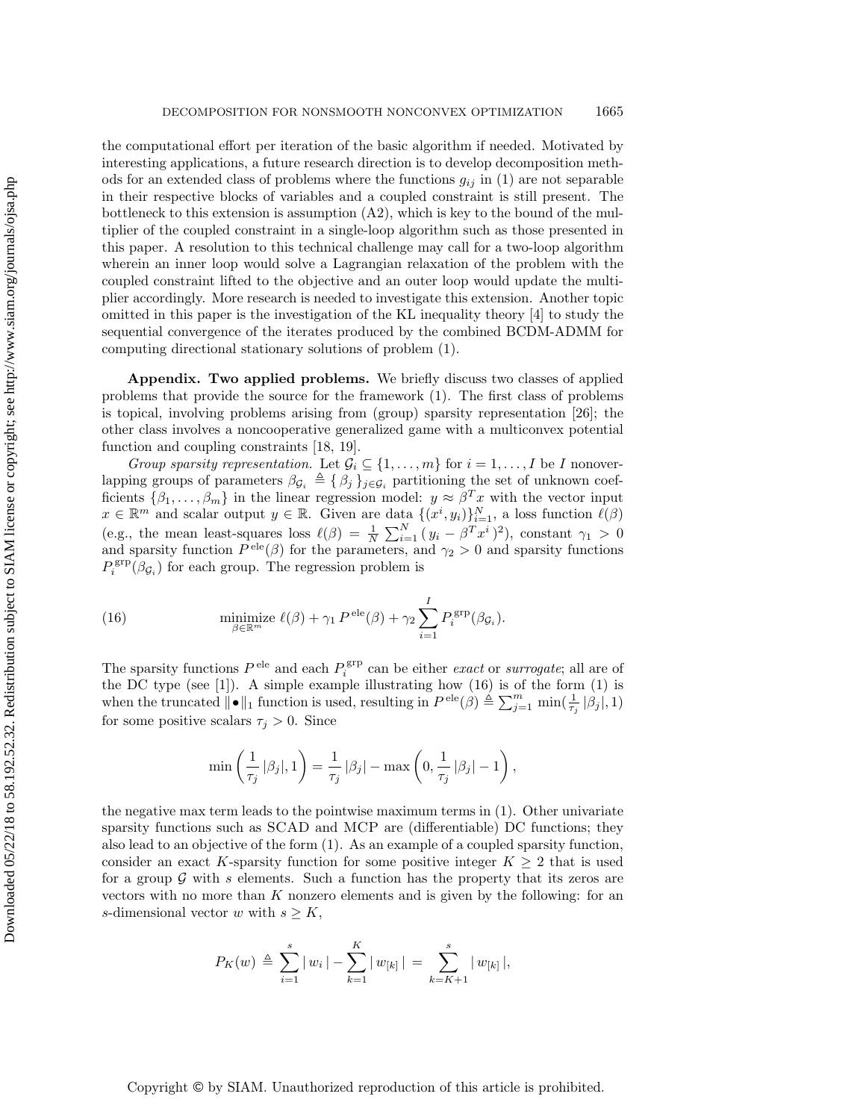the computational effort per iteration of the basic algorithm if needed. Motivated by interesting applications, a future research direction is to develop decomposition methods for an extended class of problems where the functions  $g_{ij}$  in [\(1\)](#page-1-0) are not separable in their respective blocks of variables and a coupled constraint is still present. The bottleneck to this extension is assumption  $(A2)$ , which is key to the bound of the multiplier of the coupled constraint in a single-loop algorithm such as those presented in this paper. A resolution to this technical challenge may call for a two-loop algorithm wherein an inner loop would solve a Lagrangian relaxation of the problem with the coupled constraint lifted to the objective and an outer loop would update the multiplier accordingly. More research is needed to investigate this extension. Another topic omitted in this paper is the investigation of the KL inequality theory [\[4\]](#page-27-13) to study the sequential convergence of the iterates produced by the combined BCDM-ADMM for computing directional stationary solutions of problem [\(1\)](#page-1-0).

Appendix. Two applied problems. We briefly discuss two classes of applied problems that provide the source for the framework [\(1\)](#page-1-0). The first class of problems is topical, involving problems arising from (group) sparsity representation [\[26\]](#page-28-14); the other class involves a noncooperative generalized game with a multiconvex potential function and coupling constraints [\[18,](#page-27-17) [19\]](#page-27-12).

Group sparsity representation. Let  $\mathcal{G}_i \subseteq \{1, \ldots, m\}$  for  $i = 1, \ldots, I$  be I nonoverlapping groups of parameters  $\beta_{\mathcal{G}_i} \triangleq {\beta_j}_{j \in \mathcal{G}_i}$  partitioning the set of unknown coefficients  $\{\beta_1,\ldots,\beta_m\}$  in the linear regression model:  $y \approx \beta^T x$  with the vector input  $x \in \mathbb{R}^m$  and scalar output  $y \in \mathbb{R}$ . Given are data  $\{(x^i, y_i)\}_{i=1}^N$ , a loss function  $\ell(\beta)$ (e.g., the mean least-squares loss  $\ell(\beta) = \frac{1}{N} \sum_{i=1}^{N} (y_i - \beta^T x^i)^2$ ), constant  $\gamma_1 > 0$ and sparsity function  $P^{\text{ele}}(\beta)$  for the parameters, and  $\gamma_2 > 0$  and sparsity functions  $P_i^{\text{grp}}(\beta_{\mathcal{G}_i})$  for each group. The regression problem is

<span id="page-25-0"></span>(16) 
$$
\underset{\beta \in \mathbb{R}^m}{\text{minimize}} \ \ell(\beta) + \gamma_1 \ P^{\text{ele}}(\beta) + \gamma_2 \sum_{i=1}^I P_i^{\text{grp}}(\beta_{\mathcal{G}_i}).
$$

The sparsity functions  $P^{\text{ele}}$  and each  $P_i^{\text{grp}}$  can be either *exact* or *surrogate*; all are of the DC type (see [\[1\]](#page-27-11)). A simple example illustrating how  $(16)$  is of the form  $(1)$  is when the truncated  $\|\bullet\|_1$  function is used, resulting in  $P^{\text{ele}}(\hat{\beta}) \triangleq \sum_{j=1}^m \min(\frac{1}{\tau_j}|\hat{\beta}_j|, 1)$ for some positive scalars  $\tau_j > 0$ . Since

$$
\min\left(\frac{1}{\tau_j}|\beta_j|,1\right) = \frac{1}{\tau_j}|\beta_j| - \max\left(0, \frac{1}{\tau_j}|\beta_j| - 1\right),\,
$$

the negative max term leads to the pointwise maximum terms in [\(1\)](#page-1-0). Other univariate sparsity functions such as SCAD and MCP are (differentiable) DC functions; they also lead to an objective of the form [\(1\)](#page-1-0). As an example of a coupled sparsity function, consider an exact K-sparsity function for some positive integer  $K \geq 2$  that is used for a group  $\mathcal G$  with s elements. Such a function has the property that its zeros are vectors with no more than  $K$  nonzero elements and is given by the following: for an s-dimensional vector w with  $s \geq K$ ,

$$
P_K(w) \triangleq \sum_{i=1}^s |w_i| - \sum_{k=1}^K |w_{[k]}| = \sum_{k=K+1}^s |w_{[k]}|,
$$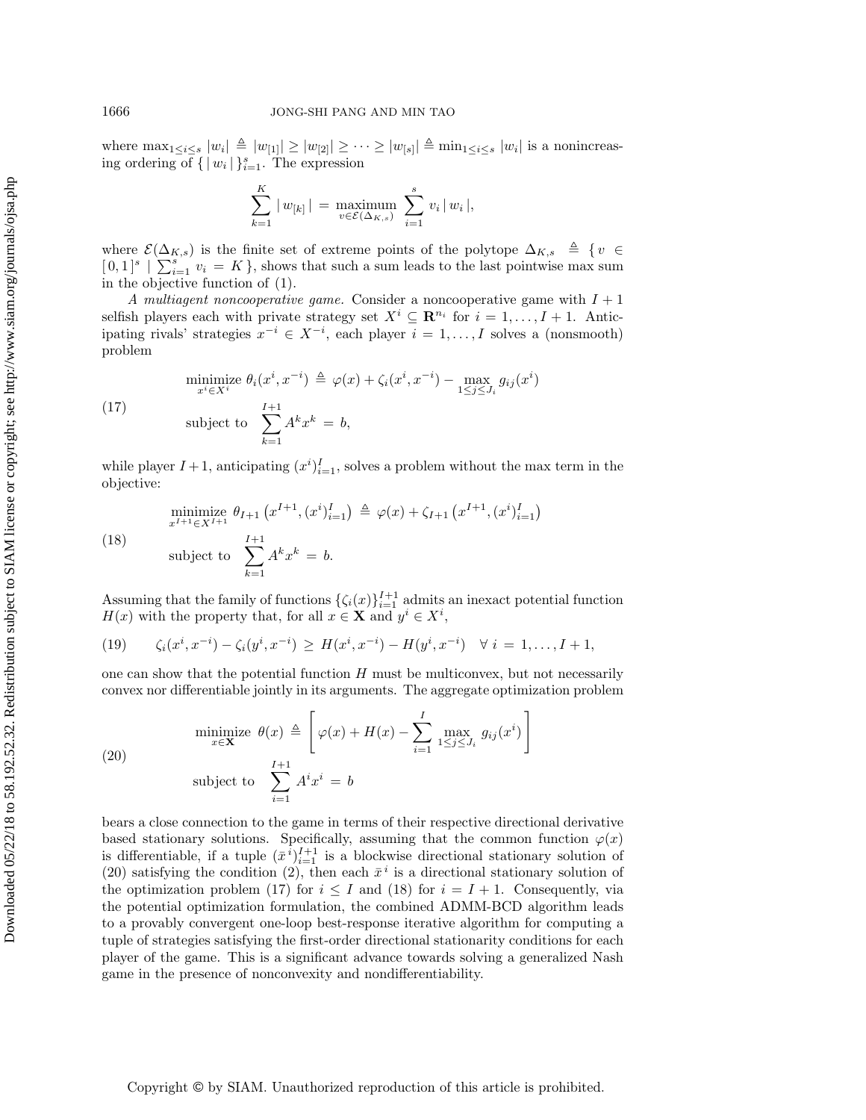where  $\max_{1 \leq i \leq s} |w_i| \triangleq |w_{[1]}| \geq |w_{[2]}| \geq \cdots \geq |w_{[s]}| \triangleq \min_{1 \leq i \leq s} |w_i|$  is a nonincreasing ordering of  $\{ |w_i| \}_{i=1}^s$ . The expression

$$
\sum_{k=1}^{K} |w_{[k]}| = \underset{v \in \mathcal{E}(\Delta_{K,s})}{\text{maximum}} \sum_{i=1}^{s} v_i |w_i|,
$$

where  $\mathcal{E}(\Delta_{K,s})$  is the finite set of extreme points of the polytope  $\Delta_{K,s} \triangleq \{v \in$  $[0,1]^s$   $\sum_{i=1}^s v_i = K$ , shows that such a sum leads to the last pointwise max sum in the objective function of [\(1\)](#page-1-0).

A multiagent noncooperative game. Consider a noncooperative game with  $I + 1$ selfish players each with private strategy set  $X^i \subseteq \mathbb{R}^{n_i}$  for  $i = 1, ..., I + 1$ . Anticipating rivals' strategies  $x^{-i} \in X^{-i}$ , each player  $i = 1, ..., I$  solves a (nonsmooth) problem

<span id="page-26-1"></span>
$$
\begin{aligned}\n\text{minimize } \theta_i(x^i, x^{-i}) &\triangleq \varphi(x) + \zeta_i(x^i, x^{-i}) - \max_{1 \le j \le J_i} g_{ij}(x^i) \\
\text{subject to } \sum_{k=1}^{I+1} A^k x^k = b,\n\end{aligned}
$$

while player  $I+1$ , anticipating  $(x^i)_{i=1}^I$ , solves a problem without the max term in the objective:

<span id="page-26-2"></span>
$$
\begin{aligned}\n\min_{x^{I+1} \in X^{I+1}} \text{minimize } \theta_{I+1} \left( x^{I+1}, (x^i)_{i=1}^I \right) & \triangleq \varphi(x) + \zeta_{I+1} \left( x^{I+1}, (x^i)_{i=1}^I \right) \\
\text{subject to } \sum_{k=1}^{I+1} A^k x^k = b.\n\end{aligned}
$$

(18)

Assuming that the family of functions  $\{\zeta_i(x)\}_{i=1}^{I+1}$  admits an inexact potential function  $H(x)$  with the property that, for all  $x \in \mathbf{X}$  and  $y^i \in X^i$ ,

$$
(19) \qquad \zeta_i(x^i, x^{-i}) - \zeta_i(y^i, x^{-i}) \geq H(x^i, x^{-i}) - H(y^i, x^{-i}) \quad \forall \ i = 1, \dots, I+1,
$$

one can show that the potential function  $H$  must be multiconvex, but not necessarily convex nor differentiable jointly in its arguments. The aggregate optimization problem

<span id="page-26-0"></span>(20)  
\n
$$
\underset{x \in \mathbf{X}}{\text{minimize}} \ \theta(x) \triangleq \left[ \varphi(x) + H(x) - \sum_{i=1}^{I} \max_{1 \leq j \leq J_i} g_{ij}(x^i) \right]
$$
\n
$$
\text{subject to} \quad \sum_{i=1}^{I+1} A^i x^i = b
$$

bears a close connection to the game in terms of their respective directional derivative based stationary solutions. Specifically, assuming that the common function  $\varphi(x)$ is differentiable, if a tuple  $(\bar{x}^i)_{i=1}^{I+1}$  is a blockwise directional stationary solution of [\(20\)](#page-26-0) satisfying the condition [\(2\)](#page-3-0), then each  $\bar{x}^i$  is a directional stationary solution of the optimization problem [\(17\)](#page-26-1) for  $i \leq I$  and [\(18\)](#page-26-2) for  $i = I + 1$ . Consequently, via the potential optimization formulation, the combined ADMM-BCD algorithm leads to a provably convergent one-loop best-response iterative algorithm for computing a tuple of strategies satisfying the first-order directional stationarity conditions for each player of the game. This is a significant advance towards solving a generalized Nash game in the presence of nonconvexity and nondifferentiability.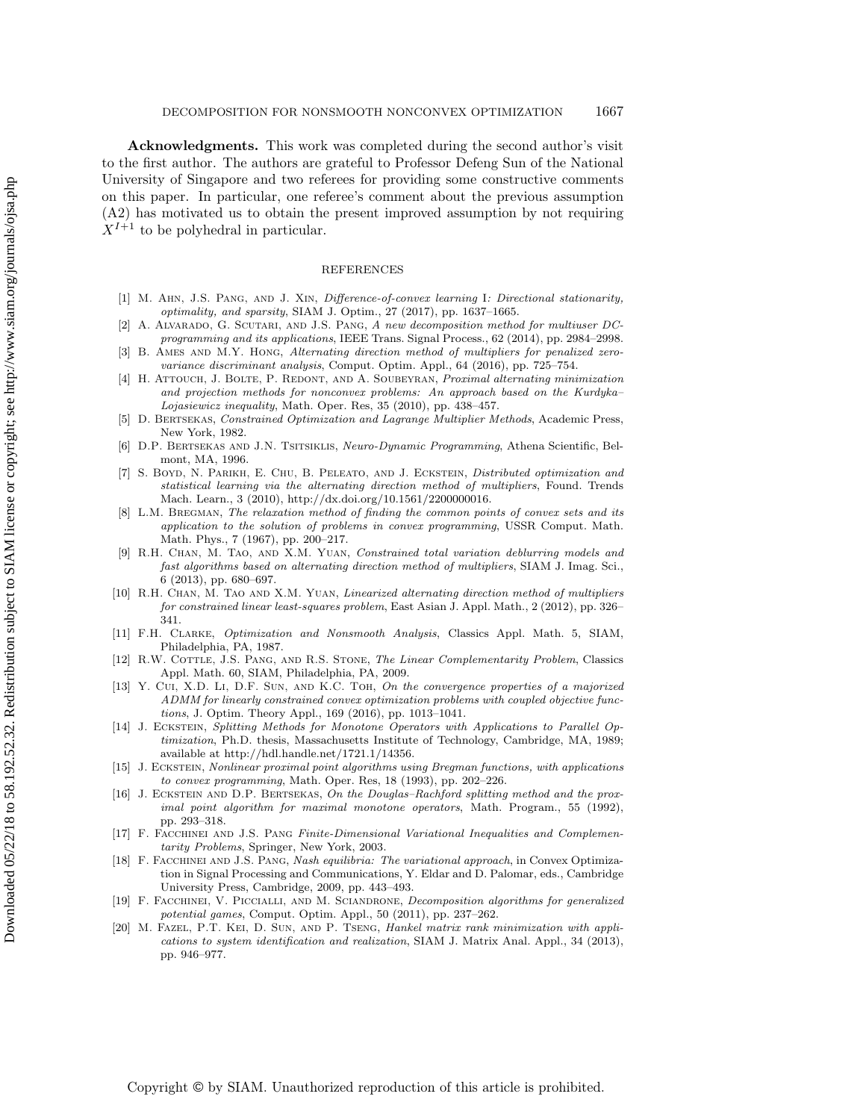Acknowledgments. This work was completed during the second author's visit to the first author. The authors are grateful to Professor Defeng Sun of the National University of Singapore and two referees for providing some constructive comments on this paper. In particular, one referee's comment about the previous assumption (A2) has motivated us to obtain the present improved assumption by not requiring  $X^{I+1}$  to be polyhedral in particular.

#### REFERENCES

- <span id="page-27-11"></span>[1] M. Ahn, J.S. Pang, and J. Xin, Difference-of-convex learning I: Directional stationarity, optimality, and sparsity, SIAM J. Optim., 27 (2017), pp. 1637–1665.
- [2] A. Alvarado, G. Scutari, and J.S. Pang, A new decomposition method for multiuser DCprogramming and its applications, IEEE Trans. Signal Process., 62 (2014), pp. 2984–2998.
- <span id="page-27-10"></span>[3] B. Ames and M.Y. Hong, Alternating direction method of multipliers for penalized zerovariance discriminant analysis, Comput. Optim. Appl., 64 (2016), pp. 725–754.
- <span id="page-27-13"></span>[4] H. ATTOUCH, J. BOLTE, P. REDONT, AND A. SOUBEYRAN, Proximal alternating minimization and projection methods for nonconvex problems: An approach based on the Kurdyka– Lojasiewicz inequality, Math. Oper. Res, 35 (2010), pp. 438–457.
- <span id="page-27-0"></span>[5] D. Bertsekas, Constrained Optimization and Lagrange Multiplier Methods, Academic Press, New York, 1982.
- <span id="page-27-16"></span>[6] D.P. Bertsekas and J.N. Tsitsiklis, Neuro-Dynamic Programming, Athena Scientific, Belmont, MA, 1996.
- <span id="page-27-7"></span>[7] S. BOYD, N. PARIKH, E. CHU, B. PELEATO, AND J. ECKSTEIN, *Distributed optimization and* statistical learning via the alternating direction method of multipliers, Found. Trends Mach. Learn., 3 (2010), [http://dx.doi.org/10.1561/2200000016.](http://dx.doi.org/10.1561/2200000016)
- <span id="page-27-14"></span>[8] L.M. BREGMAN, The relaxation method of finding the common points of convex sets and its application to the solution of problems in convex programming, USSR Comput. Math. Math. Phys., 7 (1967), pp. 200–217.
- <span id="page-27-5"></span>[9] R.H. CHAN, M. TAO, AND X.M. YUAN, Constrained total variation deblurring models and fast algorithms based on alternating direction method of multipliers, SIAM J. Imag. Sci., 6 (2013), pp. 680–697.
- <span id="page-27-6"></span>[10] R.H. CHAN, M. TAO AND X.M. YUAN, *Linearized alternating direction method of multipliers* for constrained linear least-squares problem, East Asian J. Appl. Math., 2 (2012), pp. 326– 341.
- [11] F.H. Clarke, Optimization and Nonsmooth Analysis, Classics Appl. Math. 5, SIAM, Philadelphia, PA, 1987.
- <span id="page-27-15"></span>[12] R.W. COTTLE, J.S. PANG, AND R.S. STONE, The Linear Complementarity Problem, Classics Appl. Math. 60, SIAM, Philadelphia, PA, 2009.
- <span id="page-27-4"></span>[13] Y. Cui, X.D. Li, D.F. Sun, and K.C. Toh, On the convergence properties of a majorized ADMM for linearly constrained convex optimization problems with coupled objective functions, J. Optim. Theory Appl., 169 (2016), pp. 1013–1041.
- <span id="page-27-1"></span>[14] J. ECKSTEIN, Splitting Methods for Monotone Operators with Applications to Parallel Optimization, Ph.D. thesis, Massachusetts Institute of Technology, Cambridge, MA, 1989; available at [http://hdl.handle.net/1721.1/14356.](http://hdl.handle.net/1721.1/14356)
- <span id="page-27-2"></span>[15] J. Eckstein, Nonlinear proximal point algorithms using Bregman functions, with applications to convex programming, Math. Oper. Res, 18 (1993), pp. 202–226.
- <span id="page-27-3"></span>[16] J. ECKSTEIN AND D.P. BERTSEKAS, On the Douglas–Rachford splitting method and the proximal point algorithm for maximal monotone operators, Math. Program., 55 (1992), pp. 293–318.
- <span id="page-27-9"></span>[17] F. Facchinei and J.S. Pang Finite-Dimensional Variational Inequalities and Complementarity Problems, Springer, New York, 2003.
- <span id="page-27-17"></span>[18] F. Facchinei and J.S. Pang, Nash equilibria: The variational approach, in Convex Optimization in Signal Processing and Communications, Y. Eldar and D. Palomar, eds., Cambridge University Press, Cambridge, 2009, pp. 443–493.
- <span id="page-27-12"></span>[19] F. Facchinei, V. Piccialli, and M. Sciandrone, Decomposition algorithms for generalized potential games, Comput. Optim. Appl., 50 (2011), pp. 237–262.
- <span id="page-27-8"></span>[20] M. Fazel, P.T. Kei, D. Sun, and P. Tseng, Hankel matrix rank minimization with applications to system identification and realization, SIAM J. Matrix Anal. Appl., 34 (2013), pp. 946–977.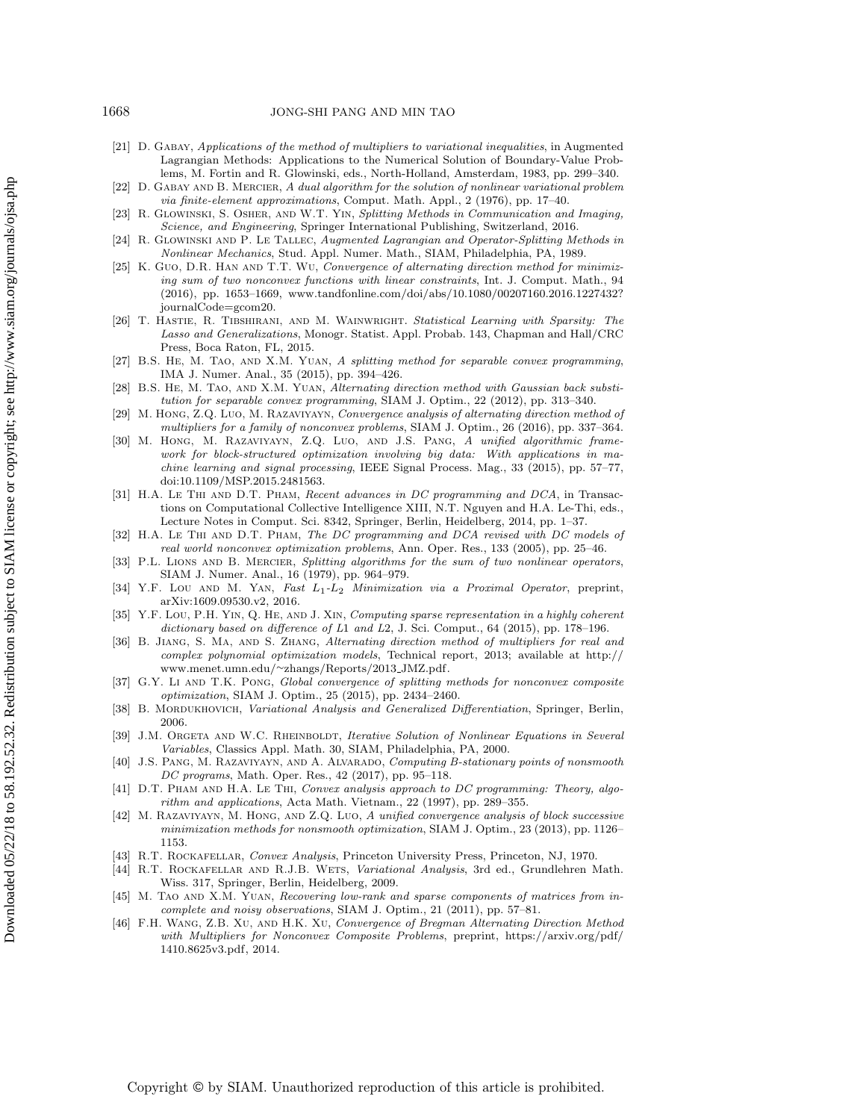### 1668 JONG-SHI PANG AND MIN TAO

- <span id="page-28-2"></span>[21] D. Gabay, Applications of the method of multipliers to variational inequalities, in Augmented Lagrangian Methods: Applications to the Numerical Solution of Boundary-Value Problems, M. Fortin and R. Glowinski, eds., North-Holland, Amsterdam, 1983, pp. 299–340.
- <span id="page-28-0"></span>[22] D. GABAY AND B. MERCIER, A dual algorithm for the solution of nonlinear variational problem via finite-element approximations, Comput. Math. Appl., 2 (1976), pp. 17–40.
- <span id="page-28-9"></span>[23] R. Glowinski, S. Osher, and W.T. Yin, Splitting Methods in Communication and Imaging, Science, and Engineering, Springer International Publishing, Switzerland, 2016.
- <span id="page-28-3"></span>[24] R. Glowinski and P. Le Tallec, Augmented Lagrangian and Operator-Splitting Methods in Nonlinear Mechanics, Stud. Appl. Numer. Math., SIAM, Philadelphia, PA, 1989.
- <span id="page-28-10"></span>[25] K. Guo, D.R. Han and T.T. Wu, Convergence of alternating direction method for minimizing sum of two nonconvex functions with linear constraints, Int. J. Comput. Math., 94 (2016), pp. 1653–1669, [www.tandfonline.com/doi/abs/10.1080/00207160.2016.1227432?](www.tandfonline.com/doi/abs/10.1080/00207160.2016.1227432?journalCode=gcom20) [journalCode=gcom20.](www.tandfonline.com/doi/abs/10.1080/00207160.2016.1227432?journalCode=gcom20)
- <span id="page-28-14"></span>[26] T. Hastie, R. Tibshirani, and M. Wainwright. Statistical Learning with Sparsity: The Lasso and Generalizations, Monogr. Statist. Appl. Probab. 143, Chapman and Hall/CRC Press, Boca Raton, FL, 2015.
- <span id="page-28-5"></span>[27] B.S. He, M. Tao, and X.M. Yuan, A splitting method for separable convex programming, IMA J. Numer. Anal., 35 (2015), pp. 394–426.
- <span id="page-28-4"></span>[28] B.S. He, M. Tao, and X.M. Yuan, Alternating direction method with Gaussian back substitution for separable convex programming, SIAM J. Optim., 22 (2012), pp. 313–340.
- <span id="page-28-12"></span>[29] M. Hong, Z.Q. Luo, M. Razaviyayn, Convergence analysis of alternating direction method of multipliers for a family of nonconvex problems, SIAM J. Optim., 26 (2016), pp. 337–364.
- <span id="page-28-17"></span>[30] M. Hong, M. Razaviyayn, Z.Q. Luo, and J.S. Pang, A unified algorithmic framework for block-structured optimization involving big data: With applications in machine learning and signal processing, IEEE Signal Process. Mag., 33 (2015), pp. 57–77, doi:10.1109/MSP.2015.2481563.
- [31] H.A. LE THI AND D.T. PHAM, Recent advances in DC programming and DCA, in Transactions on Computational Collective Intelligence XIII, N.T. Nguyen and H.A. Le-Thi, eds., Lecture Notes in Comput. Sci. 8342, Springer, Berlin, Heidelberg, 2014, pp. 1–37.
- [32] H.A. LE THI AND D.T. PHAM, The DC programming and DCA revised with DC models of real world nonconvex optimization problems, Ann. Oper. Res., 133 (2005), pp. 25–46.
- <span id="page-28-1"></span>[33] P.L. LIONS AND B. MERCIER, Splitting algorithms for the sum of two nonlinear operators, SIAM J. Numer. Anal., 16 (1979), pp. 964–979.<br>[34] Y.F. Lou AND M. YAN, *Fast L*<sub>1</sub>-*L*<sub>2</sub> *Minimization via a Proximal Operator*, preprint,
- <span id="page-28-21"></span>arXiv:1609.09530.v2, 2016.
- <span id="page-28-7"></span>[35] Y.F. Lou, P.H. Yin, Q. He, and J. Xin, Computing sparse representation in a highly coherent dictionary based on difference of L1 and L2, J. Sci. Comput., 64 (2015), pp. 178–196.
- <span id="page-28-8"></span>[36] B. JIANG, S. MA, AND S. ZHANG, Alternating direction method of multipliers for real and complex polynomial optimization models, Technical report, 2013; available at [http://](http://www.menet.umn.edu/~zhangs/Reports/2013_JMZ.pdf) [www.menet.umn.edu/](http://www.menet.umn.edu/~zhangs/Reports/2013_JMZ.pdf)∼zhangs/Reports/2013 JMZ.pdf.
- <span id="page-28-11"></span>[37] G.Y. LI AND T.K. PONG, Global convergence of splitting methods for nonconvex composite optimization, SIAM J. Optim., 25 (2015), pp. 2434–2460.
- <span id="page-28-19"></span>[38] B. MORDUKHOVICH, Variational Analysis and Generalized Differentiation, Springer, Berlin, 2006.
- <span id="page-28-22"></span>[39] J.M. ORGETA AND W.C. RHEINBOLDT, Iterative Solution of Nonlinear Equations in Several Variables, Classics Appl. Math. 30, SIAM, Philadelphia, PA, 2000.
- <span id="page-28-15"></span>[40] J.S. PANG, M. RAZAVIYAYN, AND A. ALVARADO, Computing B-stationary points of nonsmooth DC programs, Math. Oper. Res., 42 (2017), pp. 95–118.
- [41] D.T. PHAM AND H.A. LE THI, Convex analysis approach to DC programming: Theory, algorithm and applications, Acta Math. Vietnam., 22 (1997), pp. 289–355.
- <span id="page-28-16"></span>[42] M. RAZAVIYAYN, M. HONG, AND Z.Q. LUO, A unified convergence analysis of block successive minimization methods for nonsmooth optimization, SIAM J. Optim., 23 (2013), pp. 1126– 1153.
- <span id="page-28-18"></span>[43] R.T. Rockafellar, Convex Analysis, Princeton University Press, Princeton, NJ, 1970.
- <span id="page-28-20"></span>[44] R.T. Rockafellar and R.J.B. Wets, Variational Analysis, 3rd ed., Grundlehren Math. Wiss. 317, Springer, Berlin, Heidelberg, 2009.
- <span id="page-28-6"></span>[45] M. TAO AND X.M. YUAN, Recovering low-rank and sparse components of matrices from incomplete and noisy observations, SIAM J. Optim., 21 (2011), pp. 57–81.
- <span id="page-28-13"></span>[46] F.H. Wang, Z.B. Xu, and H.K. Xu, Convergence of Bregman Alternating Direction Method with Multipliers for Nonconvex Composite Problems, preprint, [https://arxiv.org/pdf/](https://arxiv.org/pdf/1410.8625v3.pdf) [1410.8625v3.pdf,](https://arxiv.org/pdf/1410.8625v3.pdf) 2014.